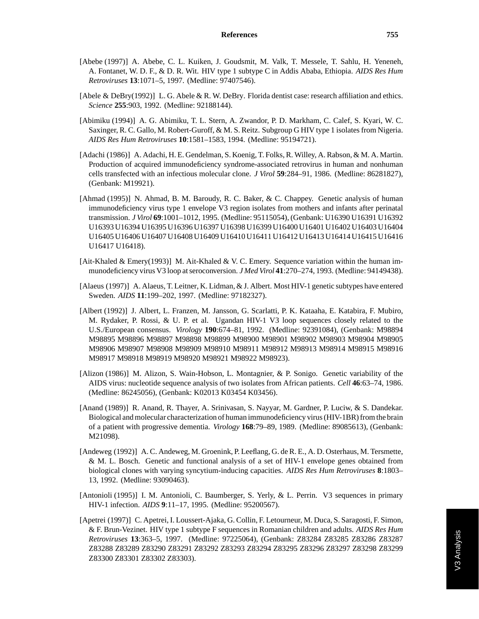- [Abebe (1997)] A. Abebe, C. L. Kuiken, J. Goudsmit, M. Valk, T. Messele, T. Sahlu, H. Yeneneh, A. Fontanet, W. D. F., & D. R. Wit. HIV type 1 subtype C in Addis Ababa, Ethiopia. *AIDS Res Hum Retroviruses* **13**:1071–5, 1997. (Medline: 97407546).
- [Abele & DeBry(1992)] L. G. Abele & R. W. DeBry. Florida dentist case: research affiliation and ethics. *Science* **255**:903, 1992. (Medline: 92188144).
- [Abimiku (1994)] A. G. Abimiku, T. L. Stern, A. Zwandor, P. D. Markham, C. Calef, S. Kyari, W. C. Saxinger, R. C. Gallo, M. Robert-Guroff, & M. S. Reitz. Subgroup G HIV type 1 isolates from Nigeria. *AIDS Res Hum Retroviruses* **10**:1581–1583, 1994. (Medline: 95194721).
- [Adachi (1986)] A. Adachi, H. E. Gendelman, S. Koenig, T. Folks, R. Willey, A. Rabson, & M. A. Martin. Production of acquired immunodeficiency syndrome-associated retrovirus in human and nonhuman cells transfected with an infectious molecular clone. *J Virol* **59**:284–91, 1986. (Medline: 86281827), (Genbank: M19921).
- [Ahmad (1995)] N. Ahmad, B. M. Baroudy, R. C. Baker, & C. Chappey. Genetic analysis of human immunodeficiency virus type 1 envelope V3 region isolates from mothers and infants after perinatal transmission. *J Virol* **69**:1001–1012, 1995. (Medline: 95115054), (Genbank: U16390 U16391 U16392 U16393 U16394 U16395 U16396 U16397 U16398 U16399 U16400 U16401 U16402 U16403 U16404 U16405 U16406 U16407 U16408 U16409 U16410 U16411 U16412 U16413 U16414 U16415 U16416 U16417 U16418).
- [Ait-Khaled & Emery(1993)] M. Ait-Khaled & V. C. Emery. Sequence variation within the human immunodeficiency virus V3 loop at seroconversion. *J Med Virol* **41**:270–274, 1993. (Medline: 94149438).
- [Alaeus (1997)] A. Alaeus, T. Leitner, K. Lidman, & J. Albert. Most HIV-1 genetic subtypes have entered Sweden. *AIDS* **11**:199–202, 1997. (Medline: 97182327).
- [Albert (1992)] J. Albert, L. Franzen, M. Jansson, G. Scarlatti, P. K. Kataaha, E. Katabira, F. Mubiro, M. Rydaker, P. Rossi, & U. P. et al. Ugandan HIV-1 V3 loop sequences closely related to the U.S./European consensus. *Virology* **190**:674–81, 1992. (Medline: 92391084), (Genbank: M98894 M98895 M98896 M98897 M98898 M98899 M98900 M98901 M98902 M98903 M98904 M98905 M98906 M98907 M98908 M98909 M98910 M98911 M98912 M98913 M98914 M98915 M98916 M98917 M98918 M98919 M98920 M98921 M98922 M98923).
- [Alizon (1986)] M. Alizon, S. Wain-Hobson, L. Montagnier, & P. Sonigo. Genetic variability of the AIDS virus: nucleotide sequence analysis of two isolates from African patients. *Cell* **46**:63–74, 1986. (Medline: 86245056), (Genbank: K02013 K03454 K03456).
- [Anand (1989)] R. Anand, R. Thayer, A. Srinivasan, S. Nayyar, M. Gardner, P. Luciw, & S. Dandekar. Biological and molecular characterization of human immunodeficiency virus (HIV-1BR) from the brain of a patient with progressive dementia. *Virology* **168**:79–89, 1989. (Medline: 89085613), (Genbank: M21098).
- [Andeweg (1992)] A. C. Andeweg, M. Groenink, P. Leeflang, G. de R. E., A. D. Osterhaus, M. Tersmette, & M. L. Bosch. Genetic and functional analysis of a set of HIV-1 envelope genes obtained from biological clones with varying syncytium-inducing capacities. *AIDS Res Hum Retroviruses* **8**:1803– 13, 1992. (Medline: 93090463).
- [Antonioli (1995)] I. M. Antonioli, C. Baumberger, S. Yerly, & L. Perrin. V3 sequences in primary HIV-1 infection. *AIDS* **9**:11–17, 1995. (Medline: 95200567).
- [Apetrei (1997)] C. Apetrei, I. Loussert-Ajaka, G. Collin, F. Letourneur, M. Duca, S. Saragosti, F. Simon, & F. Brun-Vezinet. HIV type 1 subtype F sequences in Romanian children and adults. *AIDS Res Hum Retroviruses* **13**:363–5, 1997. (Medline: 97225064), (Genbank: Z83284 Z83285 Z83286 Z83287 Z83288 Z83289 Z83290 Z83291 Z83292 Z83293 Z83294 Z83295 Z83296 Z83297 Z83298 Z83299 Z83300 Z83301 Z83302 Z83303).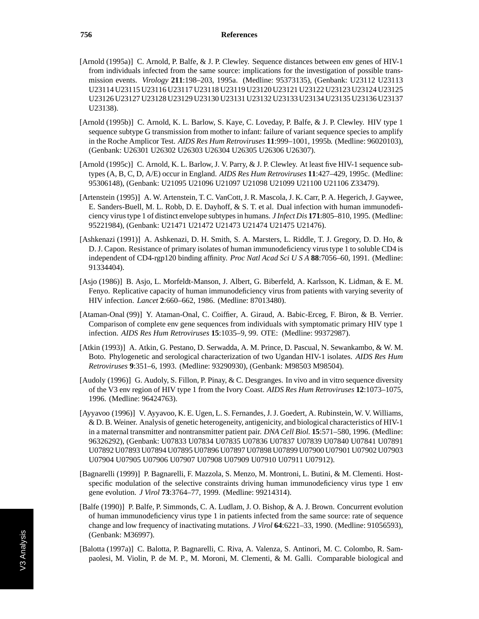- [Arnold (1995a)] C. Arnold, P. Balfe, & J. P. Clewley. Sequence distances between env genes of HIV-1 from individuals infected from the same source: implications for the investigation of possible transmission events. *Virology* **211**:198–203, 1995a. (Medline: 95373135), (Genbank: U23112 U23113 U23114 U23115 U23116 U23117 U23118 U23119 U23120 U23121 U23122 U23123 U23124 U23125 U23126 U23127 U23128 U23129 U23130 U23131 U23132 U23133 U23134 U23135 U23136 U23137 U23138).
- [Arnold (1995b)] C. Arnold, K. L. Barlow, S. Kaye, C. Loveday, P. Balfe, & J. P. Clewley. HIV type 1 sequence subtype G transmission from mother to infant: failure of variant sequence species to amplify in the Roche Amplicor Test. *AIDS Res Hum Retroviruses* **11**:999–1001, 1995b. (Medline: 96020103), (Genbank: U26301 U26302 U26303 U26304 U26305 U26306 U26307).
- [Arnold (1995c)] C. Arnold, K. L. Barlow, J. V. Parry, & J. P. Clewley. At least five HIV-1 sequence subtypes (A, B, C, D, A/E) occur in England. *AIDS Res Hum Retroviruses* **11**:427–429, 1995c. (Medline: 95306148), (Genbank: U21095 U21096 U21097 U21098 U21099 U21100 U21106 Z33479).
- [Artenstein (1995)] A. W. Artenstein, T. C. VanCott, J. R. Mascola, J. K. Carr, P. A. Hegerich, J. Gaywee, E. Sanders-Buell, M. L. Robb, D. E. Dayhoff, & S. T. et al. Dual infection with human immunodeficiency virus type 1 of distinct envelope subtypes in humans. *J Infect Dis* **171**:805–810, 1995. (Medline: 95221984), (Genbank: U21471 U21472 U21473 U21474 U21475 U21476).
- [Ashkenazi (1991)] A. Ashkenazi, D. H. Smith, S. A. Marsters, L. Riddle, T. J. Gregory, D. D. Ho, & D. J. Capon. Resistance of primary isolates of human immunodeficiency virus type 1 to soluble CD4 is independent of CD4-rgp120 binding affinity. *Proc Natl Acad SciUSA* **88**:7056–60, 1991. (Medline: 91334404).
- [Asjo (1986)] B. Asjo, L. Morfeldt-Manson, J. Albert, G. Biberfeld, A. Karlsson, K. Lidman, & E. M. Fenyo. Replicative capacity of human immunodeficiency virus from patients with varying severity of HIV infection. *Lancet* **2**:660–662, 1986. (Medline: 87013480).
- [Ataman-Onal (99)] Y. Ataman-Onal, C. Coiffier, A. Giraud, A. Babic-Erceg, F. Biron, & B. Verrier. Comparison of complete env gene sequences from individuals with symptomatic primary HIV type 1 infection. *AIDS Res Hum Retroviruses* **15**:1035–9, 99. OTE: (Medline: 99372987).
- [Atkin (1993)] A. Atkin, G. Pestano, D. Serwadda, A. M. Prince, D. Pascual, N. Sewankambo, & W. M. Boto. Phylogenetic and serological characterization of two Ugandan HIV-1 isolates. *AIDS Res Hum Retroviruses* **9**:351–6, 1993. (Medline: 93290930), (Genbank: M98503 M98504).
- [Audoly (1996)] G. Audoly, S. Fillon, P. Pinay, & C. Desgranges. In vivo and in vitro sequence diversity of the V3 env region of HIV type 1 from the Ivory Coast. *AIDS Res Hum Retroviruses* **12**:1073–1075, 1996. (Medline: 96424763).
- [Ayyavoo (1996)] V. Ayyavoo, K. E. Ugen, L. S. Fernandes, J. J. Goedert, A. Rubinstein, W. V. Williams, & D. B. Weiner. Analysis of genetic heterogeneity, antigenicity, and biological characteristics of HIV-1 in a maternal transmitter and nontransmitter patient pair. *DNA Cell Biol.* **15**:571–580, 1996. (Medline: 96326292), (Genbank: U07833 U07834 U07835 U07836 U07837 U07839 U07840 U07841 U07891 U07892 U07893 U07894 U07895 U07896 U07897 U07898 U07899 U07900 U07901 U07902 U07903 U07904 U07905 U07906 U07907 U07908 U07909 U07910 U07911 U07912).
- [Bagnarelli (1999)] P. Bagnarelli, F. Mazzola, S. Menzo, M. Montroni, L. Butini, & M. Clementi. Hostspecific modulation of the selective constraints driving human immunodeficiency virus type 1 env gene evolution. *J Virol* **73**:3764–77, 1999. (Medline: 99214314).
- [Balfe (1990)] P. Balfe, P. Simmonds, C. A. Ludlam, J. O. Bishop, & A. J. Brown. Concurrent evolution of human immunodeficiency virus type 1 in patients infected from the same source: rate of sequence change and low frequency of inactivating mutations. *J Virol* **64**:6221–33, 1990. (Medline: 91056593), (Genbank: M36997).
- [Balotta (1997a)] C. Balotta, P. Bagnarelli, C. Riva, A. Valenza, S. Antinori, M. C. Colombo, R. Sampaolesi, M. Violin, P. de M. P., M. Moroni, M. Clementi, & M. Galli. Comparable biological and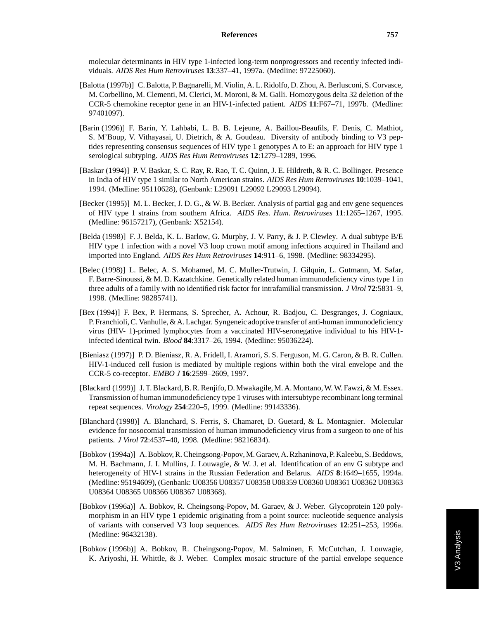molecular determinants in HIV type 1-infected long-term nonprogressors and recently infected individuals. *AIDS Res Hum Retroviruses* **13**:337–41, 1997a. (Medline: 97225060).

- [Balotta (1997b)] C. Balotta, P. Bagnarelli, M. Violin, A. L. Ridolfo, D. Zhou, A. Berlusconi, S. Corvasce, M. Corbellino, M. Clementi, M. Clerici, M. Moroni, & M. Galli. Homozygous delta 32 deletion of the CCR-5 chemokine receptor gene in an HIV-1-infected patient. *AIDS* **11**:F67–71, 1997b. (Medline: 97401097).
- [Barin (1996)] F. Barin, Y. Lahbabi, L. B. B. Lejeune, A. Baillou-Beaufils, F. Denis, C. Mathiot, S. M'Boup, V. Vithayasai, U. Dietrich, & A. Goudeau. Diversity of antibody binding to V3 peptides representing consensus sequences of HIV type 1 genotypes A to E: an approach for HIV type 1 serological subtyping. *AIDS Res Hum Retroviruses* **12**:1279–1289, 1996.
- [Baskar (1994)] P. V. Baskar, S. C. Ray, R. Rao, T. C. Quinn, J. E. Hildreth, & R. C. Bollinger. Presence in India of HIV type 1 similar to North American strains. *AIDS Res Hum Retroviruses* **10**:1039–1041, 1994. (Medline: 95110628), (Genbank: L29091 L29092 L29093 L29094).
- [Becker (1995)] M. L. Becker, J. D. G., & W. B. Becker. Analysis of partial gag and env gene sequences of HIV type 1 strains from southern Africa. *AIDS Res. Hum. Retroviruses* **11**:1265–1267, 1995. (Medline: 96157217), (Genbank: X52154).
- [Belda (1998)] F. J. Belda, K. L. Barlow, G. Murphy, J. V. Parry, & J. P. Clewley. A dual subtype B/E HIV type 1 infection with a novel V3 loop crown motif among infections acquired in Thailand and imported into England. *AIDS Res Hum Retroviruses* **14**:911–6, 1998. (Medline: 98334295).
- [Belec (1998)] L. Belec, A. S. Mohamed, M. C. Muller-Trutwin, J. Gilquin, L. Gutmann, M. Safar, F. Barre-Sinoussi, & M. D. Kazatchkine. Genetically related human immunodeficiency virus type 1 in three adults of a family with no identified risk factor for intrafamilial transmission. *J Virol* **72**:5831–9, 1998. (Medline: 98285741).
- [Bex (1994)] F. Bex, P. Hermans, S. Sprecher, A. Achour, R. Badjou, C. Desgranges, J. Cogniaux, P. Franchioli, C. Vanhulle, & A. Lachgar. Syngeneic adoptive transfer of anti-human immunodeficiency virus (HIV- 1)-primed lymphocytes from a vaccinated HIV-seronegative individual to his HIV-1 infected identical twin. *Blood* **84**:3317–26, 1994. (Medline: 95036224).
- [Bieniasz (1997)] P. D. Bieniasz, R. A. Fridell, I. Aramori, S. S. Ferguson, M. G. Caron, & B. R. Cullen. HIV-1-induced cell fusion is mediated by multiple regions within both the viral envelope and the CCR-5 co-receptor. *EMBO J* **16**:2599–2609, 1997.
- [Blackard (1999)] J. T. Blackard, B. R. Renjifo, D. Mwakagile, M. A. Montano, W. W. Fawzi, & M. Essex. Transmission of human immunodeficiency type 1 viruses with intersubtype recombinant long terminal repeat sequences. *Virology* **254**:220–5, 1999. (Medline: 99143336).
- [Blanchard (1998)] A. Blanchard, S. Ferris, S. Chamaret, D. Guetard, & L. Montagnier. Molecular evidence for nosocomial transmission of human immunodeficiency virus from a surgeon to one of his patients. *J Virol* **72**:4537–40, 1998. (Medline: 98216834).
- [Bobkov (1994a)] A. Bobkov, R. Cheingsong-Popov, M. Garaev, A. Rzhaninova, P. Kaleebu, S. Beddows, M. H. Bachmann, J. I. Mullins, J. Louwagie, & W. J. et al. Identification of an env G subtype and heterogeneity of HIV-1 strains in the Russian Federation and Belarus. *AIDS* **8**:1649–1655, 1994a. (Medline: 95194609), (Genbank: U08356 U08357 U08358 U08359 U08360 U08361 U08362 U08363 U08364 U08365 U08366 U08367 U08368).
- [Bobkov (1996a)] A. Bobkov, R. Cheingsong-Popov, M. Garaev, & J. Weber. Glycoprotein 120 polymorphism in an HIV type 1 epidemic originating from a point source: nucleotide sequence analysis of variants with conserved V3 loop sequences. *AIDS Res Hum Retroviruses* **12**:251–253, 1996a. (Medline: 96432138).
- [Bobkov (1996b)] A. Bobkov, R. Cheingsong-Popov, M. Salminen, F. McCutchan, J. Louwagie, K. Ariyoshi, H. Whittle, & J. Weber. Complex mosaic structure of the partial envelope sequence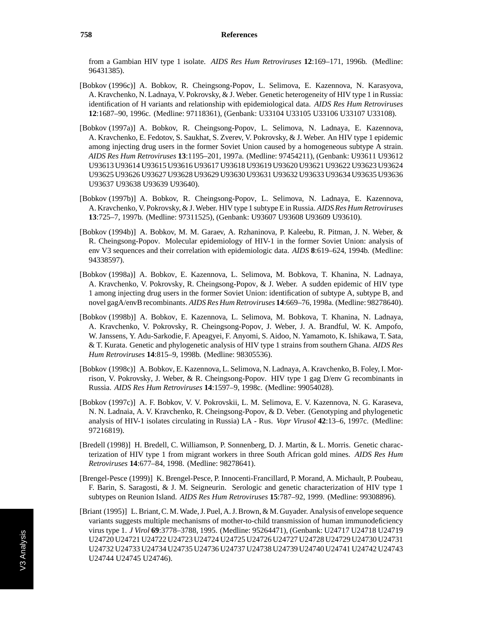from a Gambian HIV type 1 isolate. *AIDS Res Hum Retroviruses* **12**:169–171, 1996b. (Medline: 96431385).

- [Bobkov (1996c)] A. Bobkov, R. Cheingsong-Popov, L. Selimova, E. Kazennova, N. Karasyova, A. Kravchenko, N. Ladnaya, V. Pokrovsky, & J. Weber. Genetic heterogeneity of HIV type 1 in Russia: identification of H variants and relationship with epidemiological data. *AIDS Res Hum Retroviruses* **12**:1687–90, 1996c. (Medline: 97118361), (Genbank: U33104 U33105 U33106 U33107 U33108).
- [Bobkov (1997a)] A. Bobkov, R. Cheingsong-Popov, L. Selimova, N. Ladnaya, E. Kazennova, A. Kravchenko, E. Fedotov, S. Saukhat, S. Zverev, V. Pokrovsky, & J. Weber. An HIV type 1 epidemic among injecting drug users in the former Soviet Union caused by a homogeneous subtype A strain. *AIDS Res Hum Retroviruses* **13**:1195–201, 1997a. (Medline: 97454211), (Genbank: U93611 U93612 U93613 U93614 U93615 U93616 U93617 U93618 U93619 U93620 U93621 U93622 U93623 U93624 U93625 U93626 U93627 U93628 U93629 U93630 U93631 U93632 U93633 U93634 U93635 U93636 U93637 U93638 U93639 U93640).
- [Bobkov (1997b)] A. Bobkov, R. Cheingsong-Popov, L. Selimova, N. Ladnaya, E. Kazennova, A. Kravchenko, V. Pokrovsky, & J. Weber. HIV type 1 subtype E in Russia. *AIDS Res Hum Retroviruses* **13**:725–7, 1997b. (Medline: 97311525), (Genbank: U93607 U93608 U93609 U93610).
- [Bobkov (1994b)] A. Bobkov, M. M. Garaev, A. Rzhaninova, P. Kaleebu, R. Pitman, J. N. Weber, & R. Cheingsong-Popov. Molecular epidemiology of HIV-1 in the former Soviet Union: analysis of env V3 sequences and their correlation with epidemiologic data. *AIDS* **8**:619–624, 1994b. (Medline: 94338597).
- [Bobkov (1998a)] A. Bobkov, E. Kazennova, L. Selimova, M. Bobkova, T. Khanina, N. Ladnaya, A. Kravchenko, V. Pokrovsky, R. Cheingsong-Popov, & J. Weber. A sudden epidemic of HIV type 1 among injecting drug users in the former Soviet Union: identification of subtype A, subtype B, and novel gagA/envB recombinants. *AIDS Res Hum Retroviruses* **14**:669–76, 1998a. (Medline: 98278640).
- [Bobkov (1998b)] A. Bobkov, E. Kazennova, L. Selimova, M. Bobkova, T. Khanina, N. Ladnaya, A. Kravchenko, V. Pokrovsky, R. Cheingsong-Popov, J. Weber, J. A. Brandful, W. K. Ampofo, W. Janssens, Y. Adu-Sarkodie, F. Apeagyei, F. Anyomi, S. Aidoo, N. Yamamoto, K. Ishikawa, T. Sata, & T. Kurata. Genetic and phylogenetic analysis of HIV type 1 strains from southern Ghana. *AIDS Res Hum Retroviruses* **14**:815–9, 1998b. (Medline: 98305536).
- [Bobkov (1998c)] A. Bobkov, E. Kazennova, L. Selimova, N. Ladnaya, A. Kravchenko, B. Foley, I. Morrison, V. Pokrovsky, J. Weber, & R. Cheingsong-Popov. HIV type 1 gag D/env G recombinants in Russia. *AIDS Res Hum Retroviruses* **14**:1597–9, 1998c. (Medline: 99054028).
- [Bobkov (1997c)] A. F. Bobkov, V. V. Pokrovskii, L. M. Selimova, E. V. Kazennova, N. G. Karaseva, N. N. Ladnaia, A. V. Kravchenko, R. Cheingsong-Popov, & D. Veber. (Genotyping and phylogenetic analysis of HIV-1 isolates circulating in Russia) LA - Rus. *Vopr Virusol* **42**:13–6, 1997c. (Medline: 97216819).
- [Bredell (1998)] H. Bredell, C. Williamson, P. Sonnenberg, D. J. Martin, & L. Morris. Genetic characterization of HIV type 1 from migrant workers in three South African gold mines. *AIDS Res Hum Retroviruses* **14**:677–84, 1998. (Medline: 98278641).
- [Brengel-Pesce (1999)] K. Brengel-Pesce, P. Innocenti-Francillard, P. Morand, A. Michault, P. Poubeau, F. Barin, S. Saragosti, & J. M. Seigneurin. Serologic and genetic characterization of HIV type 1 subtypes on Reunion Island. *AIDS Res Hum Retroviruses* **15**:787–92, 1999. (Medline: 99308896).
- [Briant (1995)] L. Briant, C. M. Wade, J. Puel, A. J. Brown, & M. Guyader. Analysis of envelope sequence variants suggests multiple mechanisms of mother-to-child transmission of human immunodeficiency virus type 1. *J Virol* **69**:3778–3788, 1995. (Medline: 95264471), (Genbank: U24717 U24718 U24719 U24720 U24721 U24722 U24723 U24724 U24725 U24726 U24727 U24728 U24729 U24730 U24731 U24732 U24733 U24734 U24735 U24736 U24737 U24738 U24739 U24740 U24741 U24742 U24743 U24744 U24745 U24746).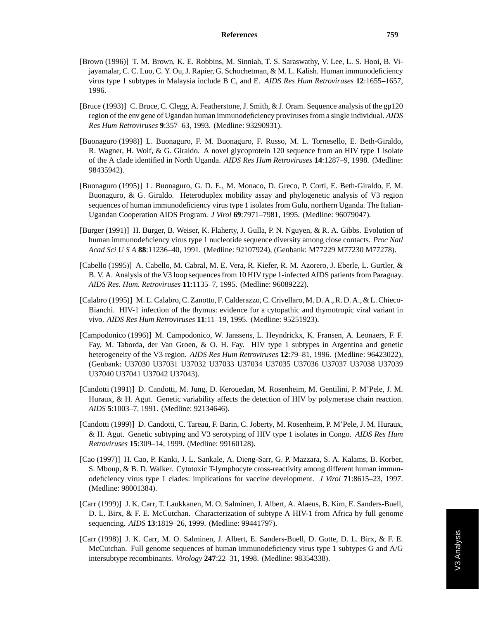- [Brown (1996)] T. M. Brown, K. E. Robbins, M. Sinniah, T. S. Saraswathy, V. Lee, L. S. Hooi, B. Vijayamalar, C. C. Luo, C. Y. Ou, J. Rapier, G. Schochetman, & M. L. Kalish. Human immunodeficiency virus type 1 subtypes in Malaysia include B C, and E. *AIDS Res Hum Retroviruses* **12**:1655–1657, 1996.
- [Bruce (1993)] C. Bruce, C. Clegg, A. Featherstone, J. Smith, & J. Oram. Sequence analysis of the gp120 region of the env gene of Ugandan human immunodeficiency proviruses from a single individual. *AIDS Res Hum Retroviruses* **9**:357–63, 1993. (Medline: 93290931).
- [Buonaguro (1998)] L. Buonaguro, F. M. Buonaguro, F. Russo, M. L. Tornesello, E. Beth-Giraldo, R. Wagner, H. Wolf, & G. Giraldo. A novel glycoprotein 120 sequence from an HIV type 1 isolate of the A clade identified in North Uganda. *AIDS Res Hum Retroviruses* **14**:1287–9, 1998. (Medline: 98435942).
- [Buonaguro (1995)] L. Buonaguro, G. D. E., M. Monaco, D. Greco, P. Corti, E. Beth-Giraldo, F. M. Buonaguro, & G. Giraldo. Heteroduplex mobility assay and phylogenetic analysis of V3 region sequences of human immunodeficiency virus type 1 isolates from Gulu, northern Uganda. The Italian-Ugandan Cooperation AIDS Program. *J Virol* **69**:7971–7981, 1995. (Medline: 96079047).
- [Burger (1991)] H. Burger, B. Weiser, K. Flaherty, J. Gulla, P. N. Nguyen, & R. A. Gibbs. Evolution of human immunodeficiency virus type 1 nucleotide sequence diversity among close contacts. *Proc Natl Acad SciUSA* **88**:11236–40, 1991. (Medline: 92107924), (Genbank: M77229 M77230 M77278).
- [Cabello (1995)] A. Cabello, M. Cabral, M. E. Vera, R. Kiefer, R. M. Azorero, J. Eberle, L. Gurtler, & B. V. A. Analysis of the V3 loop sequences from 10 HIV type 1-infected AIDS patients from Paraguay. *AIDS Res. Hum. Retroviruses* **11**:1135–7, 1995. (Medline: 96089222).
- [Calabro (1995)] M. L. Calabro, C. Zanotto, F. Calderazzo, C. Crivellaro, M. D. A., R. D. A., & L. Chieco-Bianchi. HIV-1 infection of the thymus: evidence for a cytopathic and thymotropic viral variant in vivo. *AIDS Res Hum Retroviruses* **11**:11–19, 1995. (Medline: 95251923).
- [Campodonico (1996)] M. Campodonico, W. Janssens, L. Heyndrickx, K. Fransen, A. Leonaers, F. F. Fay, M. Taborda, der Van Groen, & O. H. Fay. HIV type 1 subtypes in Argentina and genetic heterogeneity of the V3 region. *AIDS Res Hum Retroviruses* **12**:79–81, 1996. (Medline: 96423022), (Genbank: U37030 U37031 U37032 U37033 U37034 U37035 U37036 U37037 U37038 U37039 U37040 U37041 U37042 U37043).
- [Candotti (1991)] D. Candotti, M. Jung, D. Kerouedan, M. Rosenheim, M. Gentilini, P. M'Pele, J. M. Huraux, & H. Agut. Genetic variability affects the detection of HIV by polymerase chain reaction. *AIDS* **5**:1003–7, 1991. (Medline: 92134646).
- [Candotti (1999)] D. Candotti, C. Tareau, F. Barin, C. Joberty, M. Rosenheim, P. M'Pele, J. M. Huraux, & H. Agut. Genetic subtyping and V3 serotyping of HIV type 1 isolates in Congo. *AIDS Res Hum Retroviruses* **15**:309–14, 1999. (Medline: 99160128).
- [Cao (1997)] H. Cao, P. Kanki, J. L. Sankale, A. Dieng-Sarr, G. P. Mazzara, S. A. Kalams, B. Korber, S. Mboup, & B. D. Walker. Cytotoxic T-lymphocyte cross-reactivity among different human immunodeficiency virus type 1 clades: implications for vaccine development. *J Virol* **71**:8615–23, 1997. (Medline: 98001384).
- [Carr (1999)] J. K. Carr, T. Laukkanen, M. O. Salminen, J. Albert, A. Alaeus, B. Kim, E. Sanders-Buell, D. L. Birx, & F. E. McCutchan. Characterization of subtype A HIV-1 from Africa by full genome sequencing. *AIDS* **13**:1819–26, 1999. (Medline: 99441797).
- [Carr (1998)] J. K. Carr, M. O. Salminen, J. Albert, E. Sanders-Buell, D. Gotte, D. L. Birx, & F. E. McCutchan. Full genome sequences of human immunodeficiency virus type 1 subtypes G and A/G intersubtype recombinants. *Virology* **247**:22–31, 1998. (Medline: 98354338).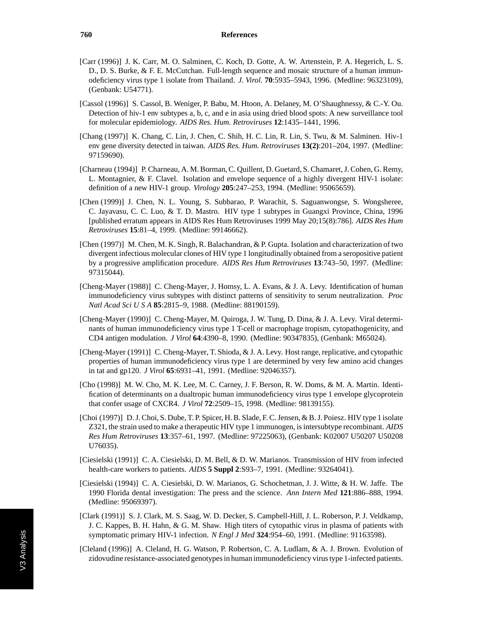- [Carr (1996)] J. K. Carr, M. O. Salminen, C. Koch, D. Gotte, A. W. Artenstein, P. A. Hegerich, L. S. D., D. S. Burke, & F. E. McCutchan. Full-length sequence and mosaic structure of a human immunodeficiency virus type 1 isolate from Thailand. *J. Virol.* **70**:5935–5943, 1996. (Medline: 96323109), (Genbank: U54771).
- [Cassol (1996)] S. Cassol, B. Weniger, P. Babu, M. Htoon, A. Delaney, M. O'Shaughnessy, & C.-Y. Ou. Detection of hiv-1 env subtypes a, b, c, and e in asia using dried blood spots: A new surveillance tool for molecular epidemiology. *AIDS Res. Hum. Retroviruses* **12**:1435–1441, 1996.
- [Chang (1997)] K. Chang, C. Lin, J. Chen, C. Shih, H. C. Lin, R. Lin, S. Twu, & M. Salminen. Hiv-1 env gene diversity detected in taiwan. *AIDS Res. Hum. Retroviruses* **13(2)**:201–204, 1997. (Medline: 97159690).
- [Charneau (1994)] P. Charneau, A. M. Borman, C. Quillent, D. Guetard, S. Chamaret, J. Cohen, G. Remy, L. Montagnier, & F. Clavel. Isolation and envelope sequence of a highly divergent HIV-1 isolate: definition of a new HIV-1 group. *Virology* **205**:247–253, 1994. (Medline: 95065659).
- [Chen (1999)] J. Chen, N. L. Young, S. Subbarao, P. Warachit, S. Saguanwongse, S. Wongsheree, C. Jayavasu, C. C. Luo, & T. D. Mastro. HIV type 1 subtypes in Guangxi Province, China, 1996 [published erratum appears in AIDS Res Hum Retroviruses 1999 May 20;15(8):786]. *AIDS Res Hum Retroviruses* **15**:81–4, 1999. (Medline: 99146662).
- [Chen (1997)] M. Chen, M. K. Singh, R. Balachandran, & P. Gupta. Isolation and characterization of two divergent infectious molecular clones of HIV type 1 longitudinally obtained from a seropositive patient by a progressive amplification procedure. *AIDS Res Hum Retroviruses* **13**:743–50, 1997. (Medline: 97315044).
- [Cheng-Mayer (1988)] C. Cheng-Mayer, J. Homsy, L. A. Evans, & J. A. Levy. Identification of human immunodeficiency virus subtypes with distinct patterns of sensitivity to serum neutralization. *Proc Natl Acad SciUSA* **85**:2815–9, 1988. (Medline: 88190159).
- [Cheng-Mayer (1990)] C. Cheng-Mayer, M. Quiroga, J. W. Tung, D. Dina, & J. A. Levy. Viral determinants of human immunodeficiency virus type 1 T-cell or macrophage tropism, cytopathogenicity, and CD4 antigen modulation. *J Virol* **64**:4390–8, 1990. (Medline: 90347835), (Genbank: M65024).
- [Cheng-Mayer (1991)] C. Cheng-Mayer, T. Shioda, & J. A. Levy. Host range, replicative, and cytopathic properties of human immunodeficiency virus type 1 are determined by very few amino acid changes in tat and gp120. *J Virol* **65**:6931–41, 1991. (Medline: 92046357).
- [Cho (1998)] M. W. Cho, M. K. Lee, M. C. Carney, J. F. Berson, R. W. Doms, & M. A. Martin. Identification of determinants on a dualtropic human immunodeficiency virus type 1 envelope glycoprotein that confer usage of CXCR4. *J Virol* **72**:2509–15, 1998. (Medline: 98139155).
- [Choi (1997)] D. J. Choi, S. Dube, T. P. Spicer, H. B. Slade, F. C. Jensen, & B. J. Poiesz. HIV type 1 isolate Z321, the strain used to make a therapeutic HIV type 1 immunogen, is intersubtype recombinant. *AIDS Res Hum Retroviruses* **13**:357–61, 1997. (Medline: 97225063), (Genbank: K02007 U50207 U50208 U76035).
- [Ciesielski (1991)] C. A. Ciesielski, D. M. Bell, & D. W. Marianos. Transmission of HIV from infected health-care workers to patients. *AIDS* **5 Suppl 2**:S93–7, 1991. (Medline: 93264041).
- [Ciesielski (1994)] C. A. Ciesielski, D. W. Marianos, G. Schochetman, J. J. Witte, & H. W. Jaffe. The 1990 Florida dental investigation: The press and the science. *Ann Intern Med* **121**:886–888, 1994. (Medline: 95069397).
- [Clark (1991)] S. J. Clark, M. S. Saag, W. D. Decker, S. Campbell-Hill, J. L. Roberson, P. J. Veldkamp, J. C. Kappes, B. H. Hahn, & G. M. Shaw. High titers of cytopathic virus in plasma of patients with symptomatic primary HIV-1 infection. *N Engl J Med* **324**:954–60, 1991. (Medline: 91163598).
- [Cleland (1996)] A. Cleland, H. G. Watson, P. Robertson, C. A. Ludlam, & A. J. Brown. Evolution of zidovudine resistance-associated genotypes in human immunodeficiency virus type 1-infected patients.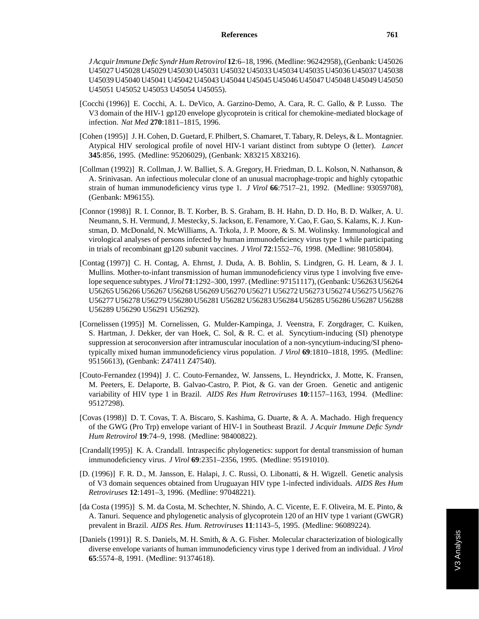*J Acquir Immune Defic Syndr Hum Retrovirol* **12**:6–18, 1996. (Medline: 96242958), (Genbank: U45026 U45027 U45028 U45029 U45030 U45031 U45032 U45033 U45034 U45035 U45036 U45037 U45038 U45039 U45040 U45041 U45042 U45043 U45044 U45045 U45046 U45047 U45048 U45049 U45050 U45051 U45052 U45053 U45054 U45055).

- [Cocchi (1996)] E. Cocchi, A. L. DeVico, A. Garzino-Demo, A. Cara, R. C. Gallo, & P. Lusso. The V3 domain of the HIV-1 gp120 envelope glycoprotein is critical for chemokine-mediated blockage of infection. *Nat Med* **270**:1811–1815, 1996.
- [Cohen (1995)] J. H. Cohen, D. Guetard, F. Philbert, S. Chamaret, T. Tabary, R. Deleys, & L. Montagnier. Atypical HIV serological profile of novel HIV-1 variant distinct from subtype O (letter). *Lancet* **345**:856, 1995. (Medline: 95206029), (Genbank: X83215 X83216).
- [Collman (1992)] R. Collman, J. W. Balliet, S. A. Gregory, H. Friedman, D. L. Kolson, N. Nathanson, & A. Srinivasan. An infectious molecular clone of an unusual macrophage-tropic and highly cytopathic strain of human immunodeficiency virus type 1. *J Virol* **66**:7517–21, 1992. (Medline: 93059708), (Genbank: M96155).
- [Connor (1998)] R. I. Connor, B. T. Korber, B. S. Graham, B. H. Hahn, D. D. Ho, B. D. Walker, A. U. Neumann, S. H. Vermund, J. Mestecky, S. Jackson, E. Fenamore, Y. Cao, F. Gao, S. Kalams, K. J. Kunstman, D. McDonald, N. McWilliams, A. Trkola, J. P. Moore, & S. M. Wolinsky. Immunological and virological analyses of persons infected by human immunodeficiency virus type 1 while participating in trials of recombinant gp120 subunit vaccines. *J Virol* **72**:1552–76, 1998. (Medline: 98105804).
- [Contag (1997)] C. H. Contag, A. Ehrnst, J. Duda, A. B. Bohlin, S. Lindgren, G. H. Learn, & J. I. Mullins. Mother-to-infant transmission of human immunodeficiency virus type 1 involving five envelope sequence subtypes. *J Virol* **71**:1292–300, 1997. (Medline: 97151117), (Genbank: U56263 U56264 U56265 U56266 U56267 U56268 U56269 U56270 U56271 U56272 U56273 U56274 U56275 U56276 U56277 U56278 U56279 U56280 U56281 U56282 U56283 U56284 U56285 U56286 U56287 U56288 U56289 U56290 U56291 U56292).
- [Cornelissen (1995)] M. Cornelissen, G. Mulder-Kampinga, J. Veenstra, F. Zorgdrager, C. Kuiken, S. Hartman, J. Dekker, der van Hoek, C. Sol, & R. C. et al. Syncytium-inducing (SI) phenotype suppression at seroconversion after intramuscular inoculation of a non-syncytium-inducing/SI phenotypically mixed human immunodeficiency virus population. *J Virol* **69**:1810–1818, 1995. (Medline: 95156613), (Genbank: Z47411 Z47540).
- [Couto-Fernandez (1994)] J. C. Couto-Fernandez, W. Janssens, L. Heyndrickx, J. Motte, K. Fransen, M. Peeters, E. Delaporte, B. Galvao-Castro, P. Piot, & G. van der Groen. Genetic and antigenic variability of HIV type 1 in Brazil. *AIDS Res Hum Retroviruses* **10**:1157–1163, 1994. (Medline: 95127298).
- [Covas (1998)] D. T. Covas, T. A. Biscaro, S. Kashima, G. Duarte, & A. A. Machado. High frequency of the GWG (Pro Trp) envelope variant of HIV-1 in Southeast Brazil. *J Acquir Immune Defic Syndr Hum Retrovirol* **19**:74–9, 1998. (Medline: 98400822).
- [Crandall(1995)] K. A. Crandall. Intraspecific phylogenetics: support for dental transmission of human immunodeficiency virus. *J Virol* **69**:2351–2356, 1995. (Medline: 95191010).
- [D. (1996)] F. R. D., M. Jansson, E. Halapi, J. C. Russi, O. Libonatti, & H. Wigzell. Genetic analysis of V3 domain sequences obtained from Uruguayan HIV type 1-infected individuals. *AIDS Res Hum Retroviruses* **12**:1491–3, 1996. (Medline: 97048221).
- [da Costa (1995)] S. M. da Costa, M. Schechter, N. Shindo, A. C. Vicente, E. F. Oliveira, M. E. Pinto, & A. Tanuri. Sequence and phylogenetic analysis of glycoprotein 120 of an HIV type 1 variant (GWGR) prevalent in Brazil. *AIDS Res. Hum. Retroviruses* **11**:1143–5, 1995. (Medline: 96089224).
- [Daniels (1991)] R. S. Daniels, M. H. Smith, & A. G. Fisher. Molecular characterization of biologically diverse envelope variants of human immunodeficiency virus type 1 derived from an individual. *J Virol* **65**:5574–8, 1991. (Medline: 91374618).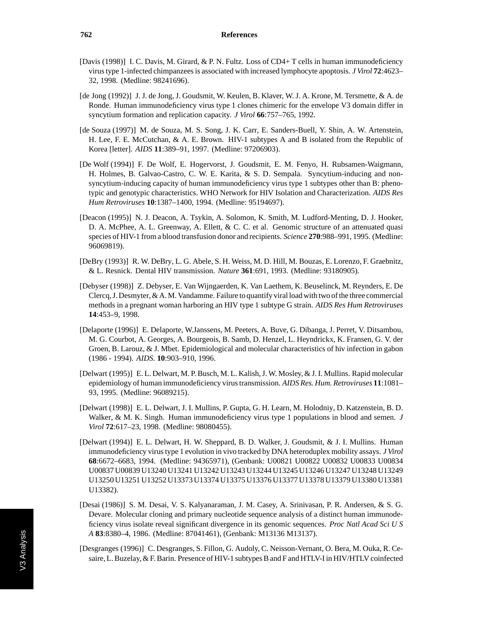- [Davis (1998)] I. C. Davis, M. Girard, & P. N. Fultz. Loss of CD4+ T cells in human immunodeficiency virus type 1-infected chimpanzees is associated with increased lymphocyte apoptosis. *J Virol* **72**:4623– 32, 1998. (Medline: 98241696).
- [de Jong (1992)] J. J. de Jong, J. Goudsmit, W. Keulen, B. Klaver, W. J. A. Krone, M. Tersmette, & A. de Ronde. Human immunodeficiency virus type 1 clones chimeric for the envelope V3 domain differ in syncytium formation and replication capacity. *J Virol* **66**:757–765, 1992.
- [de Souza (1997)] M. de Souza, M. S. Song, J. K. Carr, E. Sanders-Buell, Y. Shin, A. W. Artenstein, H. Lee, F. E. McCutchan, & A. E. Brown. HIV-1 subtypes A and B isolated from the Republic of Korea [letter]. *AIDS* **11**:389–91, 1997. (Medline: 97206903).
- [De Wolf (1994)] F. De Wolf, E. Hogervorst, J. Goudsmit, E. M. Fenyo, H. Rubsamen-Waigmann, H. Holmes, B. Galvao-Castro, C. W. E. Karita, & S. D. Sempala. Syncytium-inducing and nonsyncytium-inducing capacity of human immunodeficiency virus type 1 subtypes other than B: phenotypic and genotypic characteristics. WHO Network for HIV Isolation and Characterization. *AIDS Res Hum Retroviruses* **10**:1387–1400, 1994. (Medline: 95194697).
- [Deacon (1995)] N. J. Deacon, A. Tsykin, A. Solomon, K. Smith, M. Ludford-Menting, D. J. Hooker, D. A. McPhee, A. L. Greenway, A. Ellett, & C. C. et al. Genomic structure of an attenuated quasi species of HIV-1 from a blood transfusion donor and recipients. *Science* **270**:988–991, 1995. (Medline: 96069819).
- [DeBry (1993)] R. W. DeBry, L. G. Abele, S. H. Weiss, M. D. Hill, M. Bouzas, E. Lorenzo, F. Graebnitz, & L. Resnick. Dental HIV transmission. *Nature* **361**:691, 1993. (Medline: 93180905).
- [Debyser (1998)] Z. Debyser, E. Van Wijngaerden, K. Van Laethem, K. Beuselinck, M. Reynders, E. De Clercq, J. Desmyter, & A. M. Vandamme. Failure to quantify viral load with two of the three commercial methods in a pregnant woman harboring an HIV type 1 subtype G strain. *AIDS Res Hum Retroviruses* **14**:453–9, 1998.
- [Delaporte (1996)] E. Delaporte, W.Janssens, M. Peeters, A. Buve, G. Dibanga, J. Perret, V. Ditsambou, M. G. Courbot, A. Georges, A. Bourgeois, B. Samb, D. Henzel, L. Heyndrickx, K. Fransen, G. V. der Groen, B. Larouz, & J. Mbet. Epidemiological and molecular characteristics of hiv infection in gabon (1986 - 1994). *AIDS.* **10**:903–910, 1996.
- [Delwart (1995)] E. L. Delwart, M. P. Busch, M. L. Kalish, J. W. Mosley, & J. I. Mullins. Rapid molecular epidemiology of human immunodeficiency virus transmission. *AIDS Res. Hum. Retroviruses* **11**:1081– 93, 1995. (Medline: 96089215).
- [Delwart (1998)] E. L. Delwart, J. I. Mullins, P. Gupta, G. H. Learn, M. Holodniy, D. Katzenstein, B. D. Walker, & M. K. Singh. Human immunodeficiency virus type 1 populations in blood and semen. *J Virol* **72**:617–23, 1998. (Medline: 98080455).
- [Delwart (1994)] E. L. Delwart, H. W. Sheppard, B. D. Walker, J. Goudsmit, & J. I. Mullins. Human immunodeficiency virus type 1 evolution in vivo tracked by DNA heteroduplex mobility assays. *J Virol* **68**:6672–6683, 1994. (Medline: 94365971), (Genbank: U00821 U00822 U00832 U00833 U00834 U00837 U00839 U13240 U13241 U13242 U13243 U13244 U13245 U13246 U13247 U13248 U13249 U13250 U13251 U13252 U13373 U13374 U13375 U13376 U13377 U13378 U13379 U13380 U13381 U13382).
- [Desai (1986)] S. M. Desai, V. S. Kalyanaraman, J. M. Casey, A. Srinivasan, P. R. Andersen, & S. G. Devare. Molecular cloning and primary nucleotide sequence analysis of a distinct human immunodeficiency virus isolate reveal significant divergence in its genomic sequences. *Proc Natl Acad Sci U S A* **83**:8380–4, 1986. (Medline: 87041461), (Genbank: M13136 M13137).
- [Desgranges (1996)] C. Desgranges, S. Fillon, G. Audoly, C. Neisson-Vernant, O. Bera, M. Ouka, R. Cesaire, L. Buzelay, & F. Barin. Presence of HIV-1 subtypes B and F and HTLV-I in HIV/HTLV coinfected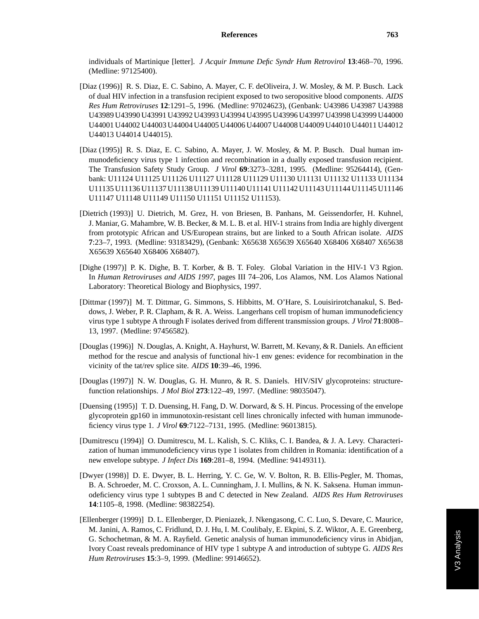individuals of Martinique [letter]. *J Acquir Immune Defic Syndr Hum Retrovirol* **13**:468–70, 1996. (Medline: 97125400).

- [Diaz (1996)] R. S. Diaz, E. C. Sabino, A. Mayer, C. F. deOliveira, J. W. Mosley, & M. P. Busch. Lack of dual HIV infection in a transfusion recipient exposed to two seropositive blood components. *AIDS Res Hum Retroviruses* **12**:1291–5, 1996. (Medline: 97024623), (Genbank: U43986 U43987 U43988 U43989 U43990 U43991 U43992 U43993 U43994 U43995 U43996 U43997 U43998 U43999 U44000 U44001 U44002 U44003 U44004 U44005 U44006 U44007 U44008 U44009 U44010 U44011 U44012 U44013 U44014 U44015).
- [Diaz (1995)] R. S. Diaz, E. C. Sabino, A. Mayer, J. W. Mosley, & M. P. Busch. Dual human immunodeficiency virus type 1 infection and recombination in a dually exposed transfusion recipient. The Transfusion Safety Study Group. *J Virol* **69**:3273–3281, 1995. (Medline: 95264414), (Genbank: U11124 U11125 U11126 U11127 U11128 U11129 U11130 U11131 U11132 U11133 U11134 U11135 U11136 U11137 U11138 U11139 U11140 U11141 U11142 U11143 U11144 U11145 U11146 U11147 U11148 U11149 U11150 U11151 U11152 U11153).
- [Dietrich (1993)] U. Dietrich, M. Grez, H. von Briesen, B. Panhans, M. Geissendorfer, H. Kuhnel, J. Maniar, G. Mahambre, W. B. Becker, & M. L. B. et al. HIV-1 strains from India are highly divergent from prototypic African and US/European strains, but are linked to a South African isolate. *AIDS* **7**:23–7, 1993. (Medline: 93183429), (Genbank: X65638 X65639 X65640 X68406 X68407 X65638 X65639 X65640 X68406 X68407).
- [Dighe (1997)] P. K. Dighe, B. T. Korber, & B. T. Foley. Global Variation in the HIV-1 V3 Rgion. In *Human Retroviruses and AIDS 1997*, pages III 74–206, Los Alamos, NM. Los Alamos National Laboratory: Theoretical Biology and Biophysics, 1997.
- [Dittmar (1997)] M. T. Dittmar, G. Simmons, S. Hibbitts, M. O'Hare, S. Louisirirotchanakul, S. Beddows, J. Weber, P. R. Clapham, & R. A. Weiss. Langerhans cell tropism of human immunodeficiency virus type 1 subtype A through F isolates derived from different transmission groups. *J Virol* **71**:8008– 13, 1997. (Medline: 97456582).
- [Douglas (1996)] N. Douglas, A. Knight, A. Hayhurst, W. Barrett, M. Kevany, & R. Daniels. An efficient method for the rescue and analysis of functional hiv-1 env genes: evidence for recombination in the vicinity of the tat/rev splice site. *AIDS* **10**:39–46, 1996.
- [Douglas (1997)] N. W. Douglas, G. H. Munro, & R. S. Daniels. HIV/SIV glycoproteins: structurefunction relationships. *J Mol Biol* **273**:122–49, 1997. (Medline: 98035047).
- [Duensing (1995)] T. D. Duensing, H. Fang, D. W. Dorward, & S. H. Pincus. Processing of the envelope glycoprotein gp160 in immunotoxin-resistant cell lines chronically infected with human immunodeficiency virus type 1. *J Virol* **69**:7122–7131, 1995. (Medline: 96013815).
- [Dumitrescu (1994)] O. Dumitrescu, M. L. Kalish, S. C. Kliks, C. I. Bandea, & J. A. Levy. Characterization of human immunodeficiency virus type 1 isolates from children in Romania: identification of a new envelope subtype. *J Infect Dis* **169**:281–8, 1994. (Medline: 94149311).
- [Dwyer (1998)] D. E. Dwyer, B. L. Herring, Y. C. Ge, W. V. Bolton, R. B. Ellis-Pegler, M. Thomas, B. A. Schroeder, M. C. Croxson, A. L. Cunningham, J. I. Mullins, & N. K. Saksena. Human immunodeficiency virus type 1 subtypes B and C detected in New Zealand. *AIDS Res Hum Retroviruses* **14**:1105–8, 1998. (Medline: 98382254).
- [Ellenberger (1999)] D. L. Ellenberger, D. Pieniazek, J. Nkengasong, C. C. Luo, S. Devare, C. Maurice, M. Janini, A. Ramos, C. Fridlund, D. J. Hu, I. M. Coulibaly, E. Ekpini, S. Z. Wiktor, A. E. Greenberg, G. Schochetman, & M. A. Rayfield. Genetic analysis of human immunodeficiency virus in Abidjan, Ivory Coast reveals predominance of HIV type 1 subtype A and introduction of subtype G. *AIDS Res Hum Retroviruses* **15**:3–9, 1999. (Medline: 99146652).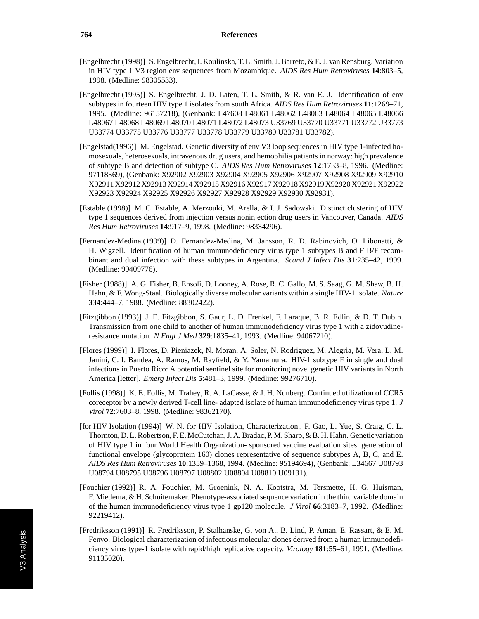- [Engelbrecht (1998)] S. Engelbrecht, I. Koulinska, T. L. Smith, J. Barreto, & E. J. van Rensburg. Variation in HIV type 1 V3 region env sequences from Mozambique. *AIDS Res Hum Retroviruses* **14**:803–5, 1998. (Medline: 98305533).
- [Engelbrecht (1995)] S. Engelbrecht, J. D. Laten, T. L. Smith, & R. van E. J. Identification of env subtypes in fourteen HIV type 1 isolates from south Africa. *AIDS Res Hum Retroviruses* **11**:1269–71, 1995. (Medline: 96157218), (Genbank: L47608 L48061 L48062 L48063 L48064 L48065 L48066 L48067 L48068 L48069 L48070 L48071 L48072 L48073 U33769 U33770 U33771 U33772 U33773 U33774 U33775 U33776 U33777 U33778 U33779 U33780 U33781 U33782).
- [Engelstad(1996)] M. Engelstad. Genetic diversity of env V3 loop sequences in HIV type 1-infected homosexuals, heterosexuals, intravenous drug users, and hemophilia patients in norway: high prevalence of subtype B and detection of subtype C. *AIDS Res Hum Retroviruses* **12**:1733–8, 1996. (Medline: 97118369), (Genbank: X92902 X92903 X92904 X92905 X92906 X92907 X92908 X92909 X92910 X92911 X92912 X92913 X92914 X92915 X92916 X92917 X92918 X92919 X92920 X92921 X92922 X92923 X92924 X92925 X92926 X92927 X92928 X92929 X92930 X92931).
- [Estable (1998)] M. C. Estable, A. Merzouki, M. Arella, & I. J. Sadowski. Distinct clustering of HIV type 1 sequences derived from injection versus noninjection drug users in Vancouver, Canada. *AIDS Res Hum Retroviruses* **14**:917–9, 1998. (Medline: 98334296).
- [Fernandez-Medina (1999)] D. Fernandez-Medina, M. Jansson, R. D. Rabinovich, O. Libonatti, & H. Wigzell. Identification of human immunodeficiency virus type 1 subtypes B and F B/F recombinant and dual infection with these subtypes in Argentina. *Scand J Infect Dis* **31**:235–42, 1999. (Medline: 99409776).
- [Fisher (1988)] A. G. Fisher, B. Ensoli, D. Looney, A. Rose, R. C. Gallo, M. S. Saag, G. M. Shaw, B. H. Hahn, & F. Wong-Staal. Biologically diverse molecular variants within a single HIV-1 isolate. *Nature* **334**:444–7, 1988. (Medline: 88302422).
- [Fitzgibbon (1993)] J. E. Fitzgibbon, S. Gaur, L. D. Frenkel, F. Laraque, B. R. Edlin, & D. T. Dubin. Transmission from one child to another of human immunodeficiency virus type 1 with a zidovudineresistance mutation. *N Engl J Med* **329**:1835–41, 1993. (Medline: 94067210).
- [Flores (1999)] I. Flores, D. Pieniazek, N. Moran, A. Soler, N. Rodriguez, M. Alegria, M. Vera, L. M. Janini, C. I. Bandea, A. Ramos, M. Rayfield, & Y. Yamamura. HIV-1 subtype F in single and dual infections in Puerto Rico: A potential sentinel site for monitoring novel genetic HIV variants in North America [letter]. *Emerg Infect Dis* **5**:481–3, 1999. (Medline: 99276710).
- [Follis (1998)] K. E. Follis, M. Trahey, R. A. LaCasse, & J. H. Nunberg. Continued utilization of CCR5 coreceptor by a newly derived T-cell line- adapted isolate of human immunodeficiency virus type 1. *J Virol* **72**:7603–8, 1998. (Medline: 98362170).
- [for HIV Isolation (1994)] W. N. for HIV Isolation, Characterization., F. Gao, L. Yue, S. Craig, C. L. Thornton, D. L. Robertson, F. E. McCutchan, J. A. Bradac, P. M. Sharp, & B. H. Hahn. Genetic variation of HIV type 1 in four World Health Organization- sponsored vaccine evaluation sites: generation of functional envelope (glycoprotein 160) clones representative of sequence subtypes A, B, C, and E. *AIDS Res Hum Retroviruses* **10**:1359–1368, 1994. (Medline: 95194694), (Genbank: L34667 U08793 U08794 U08795 U08796 U08797 U08802 U08804 U08810 U09131).
- [Fouchier (1992)] R. A. Fouchier, M. Groenink, N. A. Kootstra, M. Tersmette, H. G. Huisman, F. Miedema, & H. Schuitemaker. Phenotype-associated sequence variation in the third variable domain of the human immunodeficiency virus type 1 gp120 molecule. *J Virol* **66**:3183–7, 1992. (Medline: 92219412).
- [Fredriksson (1991)] R. Fredriksson, P. Stalhanske, G. von A., B. Lind, P. Aman, E. Rassart, & E. M. Fenyo. Biological characterization of infectious molecular clones derived from a human immunodeficiency virus type-1 isolate with rapid/high replicative capacity. *Virology* **181**:55–61, 1991. (Medline: 91135020).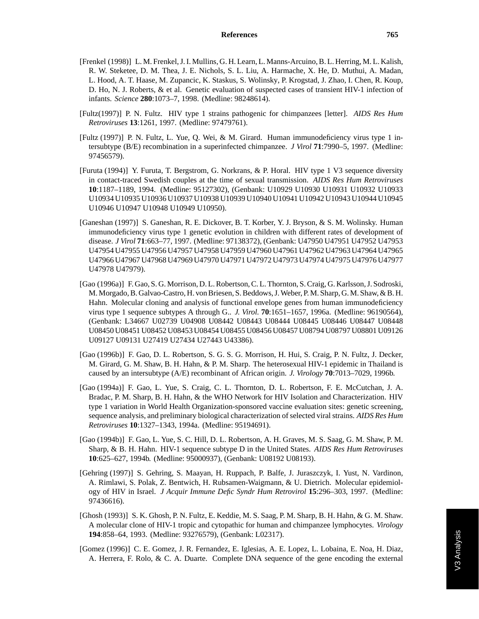- [Frenkel (1998)] L. M. Frenkel, J. I. Mullins, G. H. Learn, L. Manns-Arcuino, B. L. Herring, M. L. Kalish, R. W. Steketee, D. M. Thea, J. E. Nichols, S. L. Liu, A. Harmache, X. He, D. Muthui, A. Madan, L. Hood, A. T. Haase, M. Zupancic, K. Staskus, S. Wolinsky, P. Krogstad, J. Zhao, I. Chen, R. Koup, D. Ho, N. J. Roberts, & et al. Genetic evaluation of suspected cases of transient HIV-1 infection of infants. *Science* **280**:1073–7, 1998. (Medline: 98248614).
- [Fultz(1997)] P. N. Fultz. HIV type 1 strains pathogenic for chimpanzees [letter]. *AIDS Res Hum Retroviruses* **13**:1261, 1997. (Medline: 97479761).
- [Fultz (1997)] P. N. Fultz, L. Yue, Q. Wei, & M. Girard. Human immunodeficiency virus type 1 intersubtype (B/E) recombination in a superinfected chimpanzee. *J Virol* **71**:7990–5, 1997. (Medline: 97456579).
- [Furuta (1994)] Y. Furuta, T. Bergstrom, G. Norkrans, & P. Horal. HIV type 1 V3 sequence diversity in contact-traced Swedish couples at the time of sexual transmission. *AIDS Res Hum Retroviruses* **10**:1187–1189, 1994. (Medline: 95127302), (Genbank: U10929 U10930 U10931 U10932 U10933 U10934 U10935 U10936 U10937 U10938 U10939 U10940 U10941 U10942 U10943 U10944 U10945 U10946 U10947 U10948 U10949 U10950).
- [Ganeshan (1997)] S. Ganeshan, R. E. Dickover, B. T. Korber, Y. J. Bryson, & S. M. Wolinsky. Human immunodeficiency virus type 1 genetic evolution in children with different rates of development of disease. *J Virol* **71**:663–77, 1997. (Medline: 97138372), (Genbank: U47950 U47951 U47952 U47953 U47954 U47955 U47956 U47957 U47958 U47959 U47960 U47961 U47962 U47963 U47964 U47965 U47966 U47967 U47968 U47969 U47970 U47971 U47972 U47973 U47974 U47975 U47976 U47977 U47978 U47979).
- [Gao (1996a)] F. Gao, S. G. Morrison, D. L. Robertson, C. L. Thornton, S. Craig, G. Karlsson, J. Sodroski, M. Morgado, B. Galvao-Castro, H. von Briesen, S. Beddows, J. Weber, P. M. Sharp, G. M. Shaw, & B. H. Hahn. Molecular cloning and analysis of functional envelope genes from human immunodeficiency virus type 1 sequence subtypes A through G.. *J. Virol.* **70**:1651–1657, 1996a. (Medline: 96190564), (Genbank: L34667 U02739 U04908 U08442 U08443 U08444 U08445 U08446 U08447 U08448 U08450 U08451 U08452 U08453 U08454 U08455 U08456 U08457 U08794 U08797 U08801 U09126 U09127 U09131 U27419 U27434 U27443 U43386).
- [Gao (1996b)] F. Gao, D. L. Robertson, S. G. S. G. Morrison, H. Hui, S. Craig, P. N. Fultz, J. Decker, M. Girard, G. M. Shaw, B. H. Hahn, & P. M. Sharp. The heterosexual HIV-1 epidemic in Thailand is caused by an intersubtype (A/E) recombinant of African origin. *J. Virology* **70**:7013–7029, 1996b.
- [Gao (1994a)] F. Gao, L. Yue, S. Craig, C. L. Thornton, D. L. Robertson, F. E. McCutchan, J. A. Bradac, P. M. Sharp, B. H. Hahn, & the WHO Network for HIV Isolation and Characterization. HIV type 1 variation in World Health Organization-sponsored vaccine evaluation sites: genetic screening, sequence analysis, and preliminary biological characterization of selected viral strains. *AIDS Res Hum Retroviruses* **10**:1327–1343, 1994a. (Medline: 95194691).
- [Gao (1994b)] F. Gao, L. Yue, S. C. Hill, D. L. Robertson, A. H. Graves, M. S. Saag, G. M. Shaw, P. M. Sharp, & B. H. Hahn. HIV-1 sequence subtype D in the United States. *AIDS Res Hum Retroviruses* **10**:625–627, 1994b. (Medline: 95000937), (Genbank: U08192 U08193).
- [Gehring (1997)] S. Gehring, S. Maayan, H. Ruppach, P. Balfe, J. Juraszczyk, I. Yust, N. Vardinon, A. Rimlawi, S. Polak, Z. Bentwich, H. Rubsamen-Waigmann, & U. Dietrich. Molecular epidemiology of HIV in Israel. *J Acquir Immune Defic Syndr Hum Retrovirol* **15**:296–303, 1997. (Medline: 97436616).
- [Ghosh (1993)] S. K. Ghosh, P. N. Fultz, E. Keddie, M. S. Saag, P. M. Sharp, B. H. Hahn, & G. M. Shaw. A molecular clone of HIV-1 tropic and cytopathic for human and chimpanzee lymphocytes. *Virology* **194**:858–64, 1993. (Medline: 93276579), (Genbank: L02317).
- [Gomez (1996)] C. E. Gomez, J. R. Fernandez, E. Iglesias, A. E. Lopez, L. Lobaina, E. Noa, H. Diaz, A. Herrera, F. Rolo, & C. A. Duarte. Complete DNA sequence of the gene encoding the external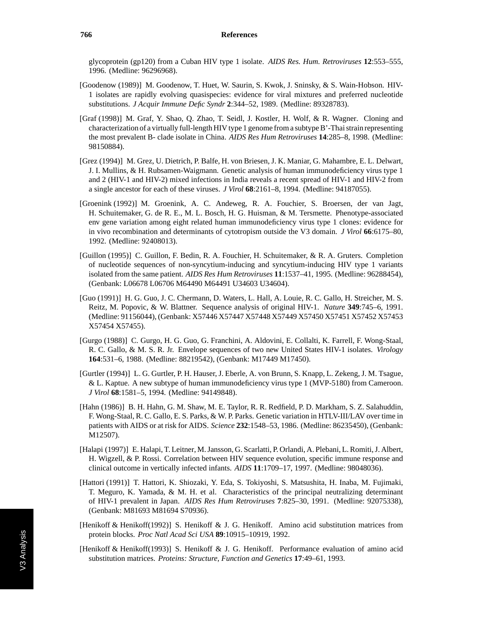glycoprotein (gp120) from a Cuban HIV type 1 isolate. *AIDS Res. Hum. Retroviruses* **12**:553–555, 1996. (Medline: 96296968).

- [Goodenow (1989)] M. Goodenow, T. Huet, W. Saurin, S. Kwok, J. Sninsky, & S. Wain-Hobson. HIV-1 isolates are rapidly evolving quasispecies: evidence for viral mixtures and preferred nucleotide substitutions. *J Acquir Immune Defic Syndr* **2**:344–52, 1989. (Medline: 89328783).
- [Graf (1998)] M. Graf, Y. Shao, Q. Zhao, T. Seidl, J. Kostler, H. Wolf, & R. Wagner. Cloning and characterization of a virtually full-length HIV type 1 genome from a subtype B'-Thai strain representing the most prevalent B- clade isolate in China. *AIDS Res Hum Retroviruses* **14**:285–8, 1998. (Medline: 98150884).
- [Grez (1994)] M. Grez, U. Dietrich, P. Balfe, H. von Briesen, J. K. Maniar, G. Mahambre, E. L. Delwart, J. I. Mullins, & H. Rubsamen-Waigmann. Genetic analysis of human immunodeficiency virus type 1 and 2 (HIV-1 and HIV-2) mixed infections in India reveals a recent spread of HIV-1 and HIV-2 from a single ancestor for each of these viruses. *J Virol* **68**:2161–8, 1994. (Medline: 94187055).
- [Groenink (1992)] M. Groenink, A. C. Andeweg, R. A. Fouchier, S. Broersen, der van Jagt, H. Schuitemaker, G. de R. E., M. L. Bosch, H. G. Huisman, & M. Tersmette. Phenotype-associated env gene variation among eight related human immunodeficiency virus type 1 clones: evidence for in vivo recombination and determinants of cytotropism outside the V3 domain. *J Virol* **66**:6175–80, 1992. (Medline: 92408013).
- [Guillon (1995)] C. Guillon, F. Bedin, R. A. Fouchier, H. Schuitemaker, & R. A. Gruters. Completion of nucleotide sequences of non-syncytium-inducing and syncytium-inducing HIV type 1 variants isolated from the same patient. *AIDS Res Hum Retroviruses* **11**:1537–41, 1995. (Medline: 96288454), (Genbank: L06678 L06706 M64490 M64491 U34603 U34604).
- [Guo (1991)] H. G. Guo, J. C. Chermann, D. Waters, L. Hall, A. Louie, R. C. Gallo, H. Streicher, M. S. Reitz, M. Popovic, & W. Blattner. Sequence analysis of original HIV-1. *Nature* **349**:745–6, 1991. (Medline: 91156044), (Genbank: X57446 X57447 X57448 X57449 X57450 X57451 X57452 X57453 X57454 X57455).
- [Gurgo (1988)] C. Gurgo, H. G. Guo, G. Franchini, A. Aldovini, E. Collalti, K. Farrell, F. Wong-Staal, R. C. Gallo, & M. S. R. Jr. Envelope sequences of two new United States HIV-1 isolates. *Virology* **164**:531–6, 1988. (Medline: 88219542), (Genbank: M17449 M17450).
- [Gurtler (1994)] L. G. Gurtler, P. H. Hauser, J. Eberle, A. von Brunn, S. Knapp, L. Zekeng, J. M. Tsague, & L. Kaptue. A new subtype of human immunodeficiency virus type 1 (MVP-5180) from Cameroon. *J Virol* **68**:1581–5, 1994. (Medline: 94149848).
- [Hahn (1986)] B. H. Hahn, G. M. Shaw, M. E. Taylor, R. R. Redfield, P. D. Markham, S. Z. Salahuddin, F. Wong-Staal, R. C. Gallo, E. S. Parks, & W. P. Parks. Genetic variation in HTLV-III/LAV over time in patients with AIDS or at risk for AIDS. *Science* **232**:1548–53, 1986. (Medline: 86235450), (Genbank: M12507).
- [Halapi (1997)] E. Halapi, T. Leitner, M. Jansson, G. Scarlatti, P. Orlandi, A. Plebani, L. Romiti, J. Albert, H. Wigzell, & P. Rossi. Correlation between HIV sequence evolution, specific immune response and clinical outcome in vertically infected infants. *AIDS* **11**:1709–17, 1997. (Medline: 98048036).
- [Hattori (1991)] T. Hattori, K. Shiozaki, Y. Eda, S. Tokiyoshi, S. Matsushita, H. Inaba, M. Fujimaki, T. Meguro, K. Yamada, & M. H. et al. Characteristics of the principal neutralizing determinant of HIV-1 prevalent in Japan. *AIDS Res Hum Retroviruses* **7**:825–30, 1991. (Medline: 92075338), (Genbank: M81693 M81694 S70936).
- [Henikoff & Henikoff(1992)] S. Henikoff & J. G. Henikoff. Amino acid substitution matrices from protein blocks. *Proc Natl Acad Sci USA* **89**:10915–10919, 1992.
- [Henikoff & Henikoff(1993)] S. Henikoff & J. G. Henikoff. Performance evaluation of amino acid substitution matrices. *Proteins: Structure, Function and Genetics* **17**:49–61, 1993.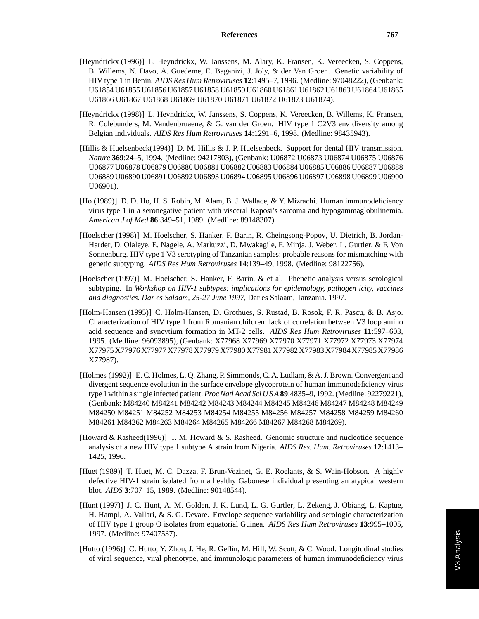- [Heyndrickx (1996)] L. Heyndrickx, W. Janssens, M. Alary, K. Fransen, K. Vereecken, S. Coppens, B. Willems, N. Davo, A. Guedeme, E. Baganizi, J. Joly, & der Van Groen. Genetic variability of HIV type 1 in Benin. *AIDS Res Hum Retroviruses* **12**:1495–7, 1996. (Medline: 97048222), (Genbank: U61854 U61855 U61856 U61857 U61858 U61859 U61860 U61861 U61862 U61863 U61864 U61865 U61866 U61867 U61868 U61869 U61870 U61871 U61872 U61873 U61874).
- [Heyndrickx (1998)] L. Heyndrickx, W. Janssens, S. Coppens, K. Vereecken, B. Willems, K. Fransen, R. Colebunders, M. Vandenbruaene, & G. van der Groen. HIV type 1 C2V3 env diversity among Belgian individuals. *AIDS Res Hum Retroviruses* **14**:1291–6, 1998. (Medline: 98435943).
- [Hillis & Huelsenbeck(1994)] D. M. Hillis & J. P. Huelsenbeck. Support for dental HIV transmission. *Nature* **369**:24–5, 1994. (Medline: 94217803), (Genbank: U06872 U06873 U06874 U06875 U06876 U06877 U06878 U06879 U06880 U06881 U06882 U06883 U06884 U06885 U06886 U06887 U06888 U06889 U06890 U06891 U06892 U06893 U06894 U06895 U06896 U06897 U06898 U06899 U06900 U06901).
- [Ho (1989)] D. D. Ho, H. S. Robin, M. Alam, B. J. Wallace, & Y. Mizrachi. Human immunodeficiency virus type 1 in a seronegative patient with visceral Kaposi's sarcoma and hypogammaglobulinemia. *American J of Med* **86**:349–51, 1989. (Medline: 89148307).
- [Hoelscher (1998)] M. Hoelscher, S. Hanker, F. Barin, R. Cheingsong-Popov, U. Dietrich, B. Jordan-Harder, D. Olaleye, E. Nagele, A. Markuzzi, D. Mwakagile, F. Minja, J. Weber, L. Gurtler, & F. Von Sonnenburg. HIV type 1 V3 serotyping of Tanzanian samples: probable reasons for mismatching with genetic subtyping. *AIDS Res Hum Retroviruses* **14**:139–49, 1998. (Medline: 98122756).
- [Hoelscher (1997)] M. Hoelscher, S. Hanker, F. Barin, & et al. Phenetic analysis versus serological subtyping. In *Workshop on HIV-1 subtypes: implications for epidemology, pathogen icity, vaccines and diagnostics. Dar es Salaam, 25-27 June 1997*, Dar es Salaam, Tanzania. 1997.
- [Holm-Hansen (1995)] C. Holm-Hansen, D. Grothues, S. Rustad, B. Rosok, F. R. Pascu, & B. Asjo. Characterization of HIV type 1 from Romanian children: lack of correlation between V3 loop amino acid sequence and syncytium formation in MT-2 cells. *AIDS Res Hum Retroviruses* **11**:597–603, 1995. (Medline: 96093895), (Genbank: X77968 X77969 X77970 X77971 X77972 X77973 X77974 X77975 X77976 X77977 X77978 X77979 X77980 X77981 X77982 X77983 X77984 X77985 X77986 X77987).
- [Holmes (1992)] E. C. Holmes, L. Q. Zhang, P. Simmonds, C. A. Ludlam, & A. J. Brown. Convergent and divergent sequence evolution in the surface envelope glycoprotein of human immunodeficiency virus type 1 within a single infected patient. *Proc Natl Acad Sci U S A***89**:4835–9, 1992. (Medline: 92279221), (Genbank: M84240 M84241 M84242 M84243 M84244 M84245 M84246 M84247 M84248 M84249 M84250 M84251 M84252 M84253 M84254 M84255 M84256 M84257 M84258 M84259 M84260 M84261 M84262 M84263 M84264 M84265 M84266 M84267 M84268 M84269).
- [Howard & Rasheed(1996)] T. M. Howard & S. Rasheed. Genomic structure and nucleotide sequence analysis of a new HIV type 1 subtype A strain from Nigeria. *AIDS Res. Hum. Retroviruses* **12**:1413– 1425, 1996.
- [Huet (1989)] T. Huet, M. C. Dazza, F. Brun-Vezinet, G. E. Roelants, & S. Wain-Hobson. A highly defective HIV-1 strain isolated from a healthy Gabonese individual presenting an atypical western blot. *AIDS* **3**:707–15, 1989. (Medline: 90148544).
- [Hunt (1997)] J. C. Hunt, A. M. Golden, J. K. Lund, L. G. Gurtler, L. Zekeng, J. Obiang, L. Kaptue, H. Hampl, A. Vallari, & S. G. Devare. Envelope sequence variability and serologic characterization of HIV type 1 group O isolates from equatorial Guinea. *AIDS Res Hum Retroviruses* **13**:995–1005, 1997. (Medline: 97407537).
- [Hutto (1996)] C. Hutto, Y. Zhou, J. He, R. Geffin, M. Hill, W. Scott, & C. Wood. Longitudinal studies of viral sequence, viral phenotype, and immunologic parameters of human immunodeficiency virus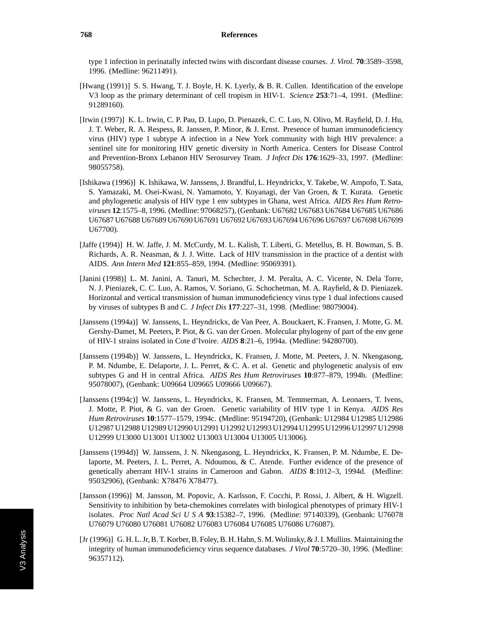type 1 infection in perinatally infected twins with discordant disease courses. *J. Virol.* **70**:3589–3598, 1996. (Medline: 96211491).

- [Hwang (1991)] S. S. Hwang, T. J. Boyle, H. K. Lyerly, & B. R. Cullen. Identification of the envelope V3 loop as the primary determinant of cell tropism in HIV-1. *Science* **253**:71–4, 1991. (Medline: 91289160).
- [Irwin (1997)] K. L. Irwin, C. P. Pau, D. Lupo, D. Pienazek, C. C. Luo, N. Olivo, M. Rayfield, D. J. Hu, J. T. Weber, R. A. Respess, R. Janssen, P. Minor, & J. Ernst. Presence of human immunodeficiency virus (HIV) type 1 subtype A infection in a New York community with high HIV prevalence: a sentinel site for monitoring HIV genetic diversity in North America. Centers for Disease Control and Prevention-Bronx Lebanon HIV Serosurvey Team. *J Infect Dis* **176**:1629–33, 1997. (Medline: 98055758).
- [Ishikawa (1996)] K. Ishikawa, W. Janssens, J. Brandful, L. Heyndrickx, Y. Takebe, W. Ampofo, T. Sata, S. Yamazaki, M. Osei-Kwasi, N. Yamamoto, Y. Koyanagi, der Van Groen, & T. Kurata. Genetic and phylogenetic analysis of HIV type 1 env subtypes in Ghana, west Africa. *AIDS Res Hum Retroviruses* **12**:1575–8, 1996. (Medline: 97068257), (Genbank: U67682 U67683 U67684 U67685 U67686 U67687 U67688 U67689 U67690 U67691 U67692 U67693 U67694 U67696 U67697 U67698 U67699 U67700).
- [Jaffe (1994)] H. W. Jaffe, J. M. McCurdy, M. L. Kalish, T. Liberti, G. Metellus, B. H. Bowman, S. B. Richards, A. R. Neasman, & J. J. Witte. Lack of HIV transmission in the practice of a dentist with AIDS. *Ann Intern Med* **121**:855–859, 1994. (Medline: 95069391).
- [Janini (1998)] L. M. Janini, A. Tanuri, M. Schechter, J. M. Peralta, A. C. Vicente, N. Dela Torre, N. J. Pieniazek, C. C. Luo, A. Ramos, V. Soriano, G. Schochetman, M. A. Rayfield, & D. Pieniazek. Horizontal and vertical transmission of human immunodeficiency virus type 1 dual infections caused by viruses of subtypes B and C. *J Infect Dis* **177**:227–31, 1998. (Medline: 98079004).
- [Janssens (1994a)] W. Janssens, L. Heyndrickx, de Van Peer, A. Bouckaert, K. Fransen, J. Motte, G. M. Gershy-Damet, M. Peeters, P. Piot, & G. van der Groen. Molecular phylogeny of part of the env gene of HIV-1 strains isolated in Cote d'Ivoire. *AIDS* **8**:21–6, 1994a. (Medline: 94280700).
- [Janssens (1994b)] W. Janssens, L. Heyndrickx, K. Fransen, J. Motte, M. Peeters, J. N. Nkengasong, P. M. Ndumbe, E. Delaporte, J. L. Perret, & C. A. et al. Genetic and phylogenetic analysis of env subtypes G and H in central Africa. *AIDS Res Hum Retroviruses* **10**:877–879, 1994b. (Medline: 95078007), (Genbank: U09664 U09665 U09666 U09667).
- [Janssens (1994c)] W. Janssens, L. Heyndrickx, K. Fransen, M. Temmerman, A. Leonaers, T. Ivens, J. Motte, P. Piot, & G. van der Groen. Genetic variability of HIV type 1 in Kenya. *AIDS Res Hum Retroviruses* **10**:1577–1579, 1994c. (Medline: 95194720), (Genbank: U12984 U12985 U12986 U12987 U12988 U12989 U12990 U12991 U12992 U12993 U12994 U12995 U12996 U12997 U12998 U12999 U13000 U13001 U13002 U13003 U13004 U13005 U13006).
- [Janssens (1994d)] W. Janssens, J. N. Nkengasong, L. Heyndrickx, K. Fransen, P. M. Ndumbe, E. Delaporte, M. Peeters, J. L. Perret, A. Ndoumou, & C. Atende. Further evidence of the presence of genetically aberrant HIV-1 strains in Cameroon and Gabon. *AIDS* **8**:1012–3, 1994d. (Medline: 95032906), (Genbank: X78476 X78477).
- [Jansson (1996)] M. Jansson, M. Popovic, A. Karlsson, F. Cocchi, P. Rossi, J. Albert, & H. Wigzell. Sensitivity to inhibition by beta-chemokines correlates with biological phenotypes of primary HIV-1 isolates. *Proc Natl Acad Sci U S A* **93**:15382–7, 1996. (Medline: 97140339), (Genbank: U76078 U76079 U76080 U76081 U76082 U76083 U76084 U76085 U76086 U76087).
- [Jr (1996)] G. H. L. Jr, B. T. Korber, B. Foley, B. H. Hahn, S. M. Wolinsky, & J. I. Mullins. Maintaining the integrity of human immunodeficiency virus sequence databases. *J Virol* **70**:5720–30, 1996. (Medline: 96357112).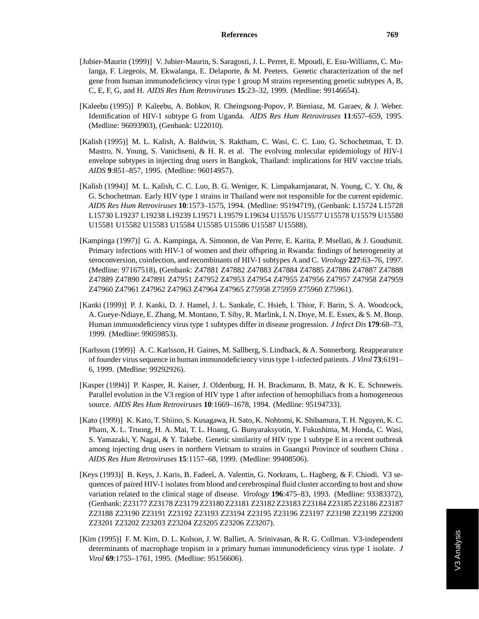- [Jubier-Maurin (1999)] V. Jubier-Maurin, S. Saragosti, J. L. Perret, E. Mpoudi, E. Esu-Williams, C. Mulanga, F. Liegeois, M. Ekwalanga, E. Delaporte, & M. Peeters. Genetic characterization of the nef gene from human immunodeficiency virus type 1 group M strains representing genetic subtypes A, B, C, E, F, G, and H. *AIDS Res Hum Retroviruses* **15**:23–32, 1999. (Medline: 99146654).
- [Kaleebu (1995)] P. Kaleebu, A. Bobkov, R. Cheingsong-Popov, P. Bieniasz, M. Garaev, & J. Weber. Identification of HIV-1 subtype G from Uganda. *AIDS Res Hum Retroviruses* **11**:657–659, 1995. (Medline: 96093903), (Genbank: U22010).
- [Kalish (1995)] M. L. Kalish, A. Baldwin, S. Raktham, C. Wasi, C. C. Luo, G. Schochetman, T. D. Mastro, N. Young, S. Vanichseni, & H. R. et al. The evolving molecular epidemiology of HIV-1 envelope subtypes in injecting drug users in Bangkok, Thailand: implications for HIV vaccine trials. *AIDS* **9**:851–857, 1995. (Medline: 96014957).
- [Kalish (1994)] M. L. Kalish, C. C. Luo, B. G. Weniger, K. Limpakarnjanarat, N. Young, C. Y. Ou, & G. Schochetman. Early HIV type 1 strains in Thailand were not responsible for the current epidemic. *AIDS Res Hum Retroviruses* **10**:1573–1575, 1994. (Medline: 95194719), (Genbank: L15724 L15728 L15730 L19237 L19238 L19239 L19571 L19579 L19634 U15576 U15577 U15578 U15579 U15580 U15581 U15582 U15583 U15584 U15585 U15586 U15587 U15588).
- [Kampinga (1997)] G. A. Kampinga, A. Simonon, de Van Perre, E. Karita, P. Msellati, & J. Goudsmit. Primary infections with HIV-1 of women and their offspring in Rwanda: findings of heterogeneity at seroconversion, coinfection, and recombinants of HIV-1 subtypes A and C. *Virology* **227**:63–76, 1997. (Medline: 97167518), (Genbank: Z47881 Z47882 Z47883 Z47884 Z47885 Z47886 Z47887 Z47888 Z47889 Z47890 Z47891 Z47951 Z47952 Z47953 Z47954 Z47955 Z47956 Z47957 Z47958 Z47959 Z47960 Z47961 Z47962 Z47963 Z47964 Z47965 Z75958 Z75959 Z75960 Z75961).
- [Kanki (1999)] P. J. Kanki, D. J. Hamel, J. L. Sankale, C. Hsieh, I. Thior, F. Barin, S. A. Woodcock, A. Gueye-Ndiaye, E. Zhang, M. Montano, T. Siby, R. Marlink, I. N. Doye, M. E. Essex, & S. M. Boup. Human immunodeficiency virus type 1 subtypes differ in disease progression. *J Infect Dis* **179**:68–73, 1999. (Medline: 99059853).
- [Karlsson (1999)] A. C. Karlsson, H. Gaines, M. Sallberg, S. Lindback, & A. Sonnerborg. Reappearance of founder virus sequence in human immunodeficiency virus type 1-infected patients. *J Virol* **73**:6191– 6, 1999. (Medline: 99292926).
- [Kasper (1994)] P. Kasper, R. Kaiser, J. Oldenburg, H. H. Brackmann, B. Matz, & K. E. Schneweis. Parallel evolution in the V3 region of HIV type 1 after infection of hemophiliacs from a homogeneous source. *AIDS Res Hum Retroviruses* **10**:1669–1678, 1994. (Medline: 95194733).
- [Kato (1999)] K. Kato, T. Shiino, S. Kusagawa, H. Sato, K. Nohtomi, K. Shibamura, T. H. Nguyen, K. C. Pham, X. L. Truong, H. A. Mai, T. L. Hoang, G. Bunyaraksyotin, Y. Fukushima, M. Honda, C. Wasi, S. Yamazaki, Y. Nagai, & Y. Takebe. Genetic similarity of HIV type 1 subtype E in a recent outbreak among injecting drug users in northern Vietnam to strains in Guangxi Province of southern China . *AIDS Res Hum Retroviruses* **15**:1157–68, 1999. (Medline: 99408506).
- [Keys (1993)] B. Keys, J. Karis, B. Fadeel, A. Valentin, G. Norkrans, L. Hagberg, & F. Chiodi. V3 sequences of paired HIV-1 isolates from blood and cerebrospinal fluid cluster according to host and show variation related to the clinical stage of disease. *Virology* **196**:475–83, 1993. (Medline: 93383372), (Genbank: Z23177 Z23178 Z23179 Z23180 Z23181 Z23182 Z23183 Z23184 Z23185 Z23186 Z23187 Z23188 Z23190 Z23191 Z23192 Z23193 Z23194 Z23195 Z23196 Z23197 Z23198 Z23199 Z23200 Z23201 Z23202 Z23203 Z23204 Z23205 Z23206 Z23207).
- [Kim (1995)] F. M. Kim, D. L. Kolson, J. W. Balliet, A. Srinivasan, & R. G. Collman. V3-independent determinants of macrophage tropism in a primary human immunodeficiency virus type 1 isolate. *J Virol* **69**:1755–1761, 1995. (Medline: 95156606).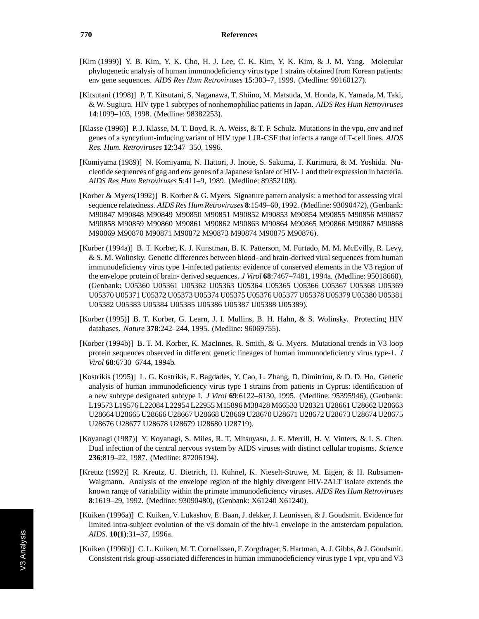- [Kim (1999)] Y. B. Kim, Y. K. Cho, H. J. Lee, C. K. Kim, Y. K. Kim, & J. M. Yang. Molecular phylogenetic analysis of human immunodeficiency virus type 1 strains obtained from Korean patients: env gene sequences. *AIDS Res Hum Retroviruses* **15**:303–7, 1999. (Medline: 99160127).
- [Kitsutani (1998)] P. T. Kitsutani, S. Naganawa, T. Shiino, M. Matsuda, M. Honda, K. Yamada, M. Taki, & W. Sugiura. HIV type 1 subtypes of nonhemophiliac patients in Japan. *AIDS Res Hum Retroviruses* **14**:1099–103, 1998. (Medline: 98382253).
- [Klasse (1996)] P. J. Klasse, M. T. Boyd, R. A. Weiss, & T. F. Schulz. Mutations in the vpu, env and nef genes of a syncytium-inducing variant of HIV type 1 JR-CSF that infects a range of T-cell lines. *AIDS Res. Hum. Retroviruses* **12**:347–350, 1996.
- [Komiyama (1989)] N. Komiyama, N. Hattori, J. Inoue, S. Sakuma, T. Kurimura, & M. Yoshida. Nucleotide sequences of gag and env genes of a Japanese isolate of HIV- 1 and their expression in bacteria. *AIDS Res Hum Retroviruses* **5**:411–9, 1989. (Medline: 89352108).
- [Korber & Myers(1992)] B. Korber & G. Myers. Signature pattern analysis: a method for assessing viral sequence relatedness. *AIDS Res Hum Retroviruses* **8**:1549–60, 1992. (Medline: 93090472), (Genbank: M90847 M90848 M90849 M90850 M90851 M90852 M90853 M90854 M90855 M90856 M90857 M90858 M90859 M90860 M90861 M90862 M90863 M90864 M90865 M90866 M90867 M90868 M90869 M90870 M90871 M90872 M90873 M90874 M90875 M90876).
- [Korber (1994a)] B. T. Korber, K. J. Kunstman, B. K. Patterson, M. Furtado, M. M. McEvilly, R. Levy, & S. M. Wolinsky. Genetic differences between blood- and brain-derived viral sequences from human immunodeficiency virus type 1-infected patients: evidence of conserved elements in the V3 region of the envelope protein of brain- derived sequences. *J Virol* **68**:7467–7481, 1994a. (Medline: 95018660), (Genbank: U05360 U05361 U05362 U05363 U05364 U05365 U05366 U05367 U05368 U05369 U05370 U05371 U05372 U05373 U05374 U05375 U05376 U05377 U05378 U05379 U05380 U05381 U05382 U05383 U05384 U05385 U05386 U05387 U05388 U05389).
- [Korber (1995)] B. T. Korber, G. Learn, J. I. Mullins, B. H. Hahn, & S. Wolinsky. Protecting HIV databases. *Nature* **378**:242–244, 1995. (Medline: 96069755).
- [Korber (1994b)] B. T. M. Korber, K. MacInnes, R. Smith, & G. Myers. Mutational trends in V3 loop protein sequences observed in different genetic lineages of human immunodeficiency virus type-1. *J Virol* **68**:6730–6744, 1994b.
- [Kostrikis (1995)] L. G. Kostrikis, E. Bagdades, Y. Cao, L. Zhang, D. Dimitriou, & D. D. Ho. Genetic analysis of human immunodeficiency virus type 1 strains from patients in Cyprus: identification of a new subtype designated subtype I. *J Virol* **69**:6122–6130, 1995. (Medline: 95395946), (Genbank: L19573 L19576 L22084 L22954 L22955 M15896 M38428 M66533 U28321 U28661 U28662 U28663 U28664 U28665 U28666 U28667 U28668 U28669 U28670 U28671 U28672 U28673 U28674 U28675 U28676 U28677 U28678 U28679 U28680 U28719).
- [Koyanagi (1987)] Y. Koyanagi, S. Miles, R. T. Mitsuyasu, J. E. Merrill, H. V. Vinters, & I. S. Chen. Dual infection of the central nervous system by AIDS viruses with distinct cellular tropisms. *Science* **236**:819–22, 1987. (Medline: 87206194).
- [Kreutz (1992)] R. Kreutz, U. Dietrich, H. Kuhnel, K. Nieselt-Struwe, M. Eigen, & H. Rubsamen-Waigmann. Analysis of the envelope region of the highly divergent HIV-2ALT isolate extends the known range of variability within the primate immunodeficiency viruses. *AIDS Res Hum Retroviruses* **8**:1619–29, 1992. (Medline: 93090480), (Genbank: X61240 X61240).
- [Kuiken (1996a)] C. Kuiken, V. Lukashov, E. Baan, J. dekker, J. Leunissen, & J. Goudsmit. Evidence for limited intra-subject evolution of the v3 domain of the hiv-1 envelope in the amsterdam population. *AIDS.* **10(1)**:31–37, 1996a.
- [Kuiken (1996b)] C. L. Kuiken, M. T. Cornelissen, F. Zorgdrager, S. Hartman, A. J. Gibbs, & J. Goudsmit. Consistent risk group-associated differences in human immunodeficiency virus type 1 vpr, vpu and V3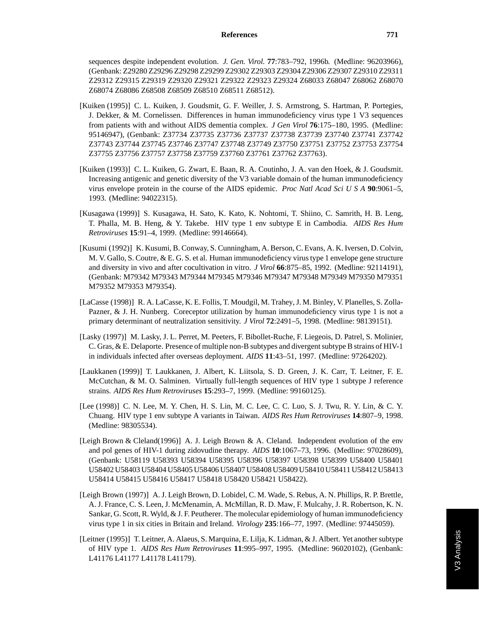sequences despite independent evolution. *J. Gen. Virol.* **77**:783–792, 1996b. (Medline: 96203966), (Genbank: Z29280 Z29296 Z29298 Z29299 Z29302 Z29303 Z29304 Z29306 Z29307 Z29310 Z29311 Z29312 Z29315 Z29319 Z29320 Z29321 Z29322 Z29323 Z29324 Z68033 Z68047 Z68062 Z68070 Z68074 Z68086 Z68508 Z68509 Z68510 Z68511 Z68512).

- [Kuiken (1995)] C. L. Kuiken, J. Goudsmit, G. F. Weiller, J. S. Armstrong, S. Hartman, P. Portegies, J. Dekker, & M. Cornelissen. Differences in human immunodeficiency virus type 1 V3 sequences from patients with and without AIDS dementia complex. *J Gen Virol* **76**:175–180, 1995. (Medline: 95146947), (Genbank: Z37734 Z37735 Z37736 Z37737 Z37738 Z37739 Z37740 Z37741 Z37742 Z37743 Z37744 Z37745 Z37746 Z37747 Z37748 Z37749 Z37750 Z37751 Z37752 Z37753 Z37754 Z37755 Z37756 Z37757 Z37758 Z37759 Z37760 Z37761 Z37762 Z37763).
- [Kuiken (1993)] C. L. Kuiken, G. Zwart, E. Baan, R. A. Coutinho, J. A. van den Hoek, & J. Goudsmit. Increasing antigenic and genetic diversity of the V3 variable domain of the human immunodeficiency virus envelope protein in the course of the AIDS epidemic. *Proc Natl Acad Sci U S A* **90**:9061–5, 1993. (Medline: 94022315).
- [Kusagawa (1999)] S. Kusagawa, H. Sato, K. Kato, K. Nohtomi, T. Shiino, C. Samrith, H. B. Leng, T. Phalla, M. B. Heng, & Y. Takebe. HIV type 1 env subtype E in Cambodia. *AIDS Res Hum Retroviruses* **15**:91–4, 1999. (Medline: 99146664).
- [Kusumi (1992)] K. Kusumi, B. Conway, S. Cunningham, A. Berson, C. Evans, A. K. Iversen, D. Colvin, M. V. Gallo, S. Coutre, & E. G. S. et al. Human immunodeficiency virus type 1 envelope gene structure and diversity in vivo and after cocultivation in vitro. *J Virol* **66**:875–85, 1992. (Medline: 92114191), (Genbank: M79342 M79343 M79344 M79345 M79346 M79347 M79348 M79349 M79350 M79351 M79352 M79353 M79354).
- [LaCasse (1998)] R. A. LaCasse, K. E. Follis, T. Moudgil, M. Trahey, J. M. Binley, V. Planelles, S. Zolla-Pazner, & J. H. Nunberg. Coreceptor utilization by human immunodeficiency virus type 1 is not a primary determinant of neutralization sensitivity. *J Virol* **72**:2491–5, 1998. (Medline: 98139151).
- [Lasky (1997)] M. Lasky, J. L. Perret, M. Peeters, F. Bibollet-Ruche, F. Liegeois, D. Patrel, S. Molinier, C. Gras, & E. Delaporte. Presence of multiple non-B subtypes and divergent subtype B strains of HIV-1 in individuals infected after overseas deployment. *AIDS* **11**:43–51, 1997. (Medline: 97264202).
- [Laukkanen (1999)] T. Laukkanen, J. Albert, K. Liitsola, S. D. Green, J. K. Carr, T. Leitner, F. E. McCutchan, & M. O. Salminen. Virtually full-length sequences of HIV type 1 subtype J reference strains. *AIDS Res Hum Retroviruses* **15**:293–7, 1999. (Medline: 99160125).
- [Lee (1998)] C. N. Lee, M. Y. Chen, H. S. Lin, M. C. Lee, C. C. Luo, S. J. Twu, R. Y. Lin, & C. Y. Chuang. HIV type 1 env subtype A variants in Taiwan. *AIDS Res Hum Retroviruses* **14**:807–9, 1998. (Medline: 98305534).
- [Leigh Brown & Cleland(1996)] A. J. Leigh Brown & A. Cleland. Independent evolution of the env and pol genes of HIV-1 during zidovudine therapy. *AIDS* **10**:1067–73, 1996. (Medline: 97028609), (Genbank: U58119 U58393 U58394 U58395 U58396 U58397 U58398 U58399 U58400 U58401 U58402 U58403 U58404 U58405 U58406 U58407 U58408 U58409 U58410 U58411 U58412 U58413 U58414 U58415 U58416 U58417 U58418 U58420 U58421 U58422).
- [Leigh Brown (1997)] A. J. Leigh Brown, D. Lobidel, C. M. Wade, S. Rebus, A. N. Phillips, R. P. Brettle, A. J. France, C. S. Leen, J. McMenamin, A. McMillan, R. D. Maw, F. Mulcahy, J. R. Robertson, K. N. Sankar, G. Scott, R. Wyld, & J. F. Peutherer. The molecular epidemiology of human immunodeficiency virus type 1 in six cities in Britain and Ireland. *Virology* **235**:166–77, 1997. (Medline: 97445059).
- [Leitner (1995)] T. Leitner, A. Alaeus, S. Marquina, E. Lilja, K. Lidman, & J. Albert. Yet another subtype of HIV type 1. *AIDS Res Hum Retroviruses* **11**:995–997, 1995. (Medline: 96020102), (Genbank: L41176 L41177 L41178 L41179).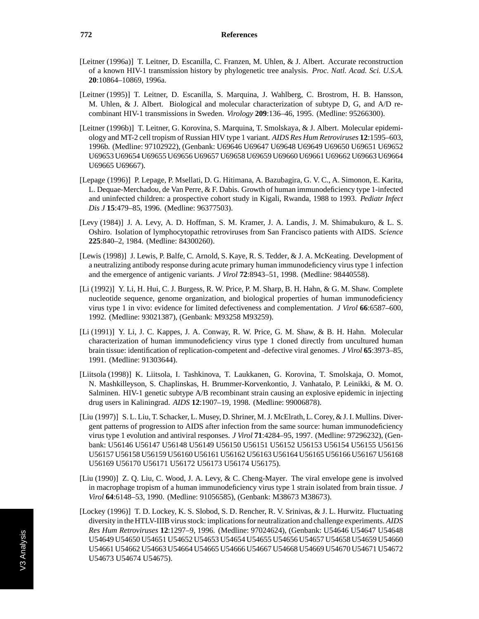- [Leitner (1996a)] T. Leitner, D. Escanilla, C. Franzen, M. Uhlen, & J. Albert. Accurate reconstruction of a known HIV-1 transmission history by phylogenetic tree analysis. *Proc. Natl. Acad. Sci. U.S.A.* **20**:10864–10869, 1996a.
- [Leitner (1995)] T. Leitner, D. Escanilla, S. Marquina, J. Wahlberg, C. Brostrom, H. B. Hansson, M. Uhlen, & J. Albert. Biological and molecular characterization of subtype D, G, and A/D recombinant HIV-1 transmissions in Sweden. *Virology* **209**:136–46, 1995. (Medline: 95266300).
- [Leitner (1996b)] T. Leitner, G. Korovina, S. Marquina, T. Smolskaya, & J. Albert. Molecular epidemiology and MT-2 cell tropism of Russian HIV type 1 variant. *AIDS Res Hum Retroviruses* **12**:1595–603, 1996b. (Medline: 97102922), (Genbank: U69646 U69647 U69648 U69649 U69650 U69651 U69652 U69653 U69654 U69655 U69656 U69657 U69658 U69659 U69660 U69661 U69662 U69663 U69664 U69665 U69667).
- [Lepage (1996)] P. Lepage, P. Msellati, D. G. Hitimana, A. Bazubagira, G. V. C., A. Simonon, E. Karita, L. Dequae-Merchadou, de Van Perre, & F. Dabis. Growth of human immunodeficiency type 1-infected and uninfected children: a prospective cohort study in Kigali, Rwanda, 1988 to 1993. *Pediatr Infect Dis J* **15**:479–85, 1996. (Medline: 96377503).
- [Levy (1984)] J. A. Levy, A. D. Hoffman, S. M. Kramer, J. A. Landis, J. M. Shimabukuro, & L. S. Oshiro. Isolation of lymphocytopathic retroviruses from San Francisco patients with AIDS. *Science* **225**:840–2, 1984. (Medline: 84300260).
- [Lewis (1998)] J. Lewis, P. Balfe, C. Arnold, S. Kaye, R. S. Tedder, & J. A. McKeating. Development of a neutralizing antibody response during acute primary human immunodeficiency virus type 1 infection and the emergence of antigenic variants. *J Virol* **72**:8943–51, 1998. (Medline: 98440558).
- [Li (1992)] Y. Li, H. Hui, C. J. Burgess, R. W. Price, P. M. Sharp, B. H. Hahn, & G. M. Shaw. Complete nucleotide sequence, genome organization, and biological properties of human immunodeficiency virus type 1 in vivo: evidence for limited defectiveness and complementation. *J Virol* **66**:6587–600, 1992. (Medline: 93021387), (Genbank: M93258 M93259).
- [Li (1991)] Y. Li, J. C. Kappes, J. A. Conway, R. W. Price, G. M. Shaw, & B. H. Hahn. Molecular characterization of human immunodeficiency virus type 1 cloned directly from uncultured human brain tissue: identification of replication-competent and -defective viral genomes. *J Virol* **65**:3973–85, 1991. (Medline: 91303644).
- [Liitsola (1998)] K. Liitsola, I. Tashkinova, T. Laukkanen, G. Korovina, T. Smolskaja, O. Momot, N. Mashkilleyson, S. Chaplinskas, H. Brummer-Korvenkontio, J. Vanhatalo, P. Leinikki, & M. O. Salminen. HIV-1 genetic subtype A/B recombinant strain causing an explosive epidemic in injecting drug users in Kaliningrad. *AIDS* **12**:1907–19, 1998. (Medline: 99006878).
- [Liu (1997)] S. L. Liu, T. Schacker, L. Musey, D. Shriner, M. J. McElrath, L. Corey, & J. I. Mullins. Divergent patterns of progression to AIDS after infection from the same source: human immunodeficiency virus type 1 evolution and antiviral responses. *J Virol* **71**:4284–95, 1997. (Medline: 97296232), (Genbank: U56146 U56147 U56148 U56149 U56150 U56151 U56152 U56153 U56154 U56155 U56156 U56157 U56158 U56159 U56160 U56161 U56162 U56163 U56164 U56165 U56166 U56167 U56168 U56169 U56170 U56171 U56172 U56173 U56174 U56175).
- [Liu (1990)] Z. Q. Liu, C. Wood, J. A. Levy, & C. Cheng-Mayer. The viral envelope gene is involved in macrophage tropism of a human immunodeficiency virus type 1 strain isolated from brain tissue. *J Virol* **64**:6148–53, 1990. (Medline: 91056585), (Genbank: M38673 M38673).
- [Lockey (1996)] T. D. Lockey, K. S. Slobod, S. D. Rencher, R. V. Srinivas, & J. L. Hurwitz. Fluctuating diversity in the HTLV-IIIB virus stock: implications for neutralization and challenge experiments. *AIDS Res Hum Retroviruses* **12**:1297–9, 1996. (Medline: 97024624), (Genbank: U54646 U54647 U54648 U54649 U54650 U54651 U54652 U54653 U54654 U54655 U54656 U54657 U54658 U54659 U54660 U54661 U54662 U54663 U54664 U54665 U54666 U54667 U54668 U54669 U54670 U54671 U54672 U54673 U54674 U54675).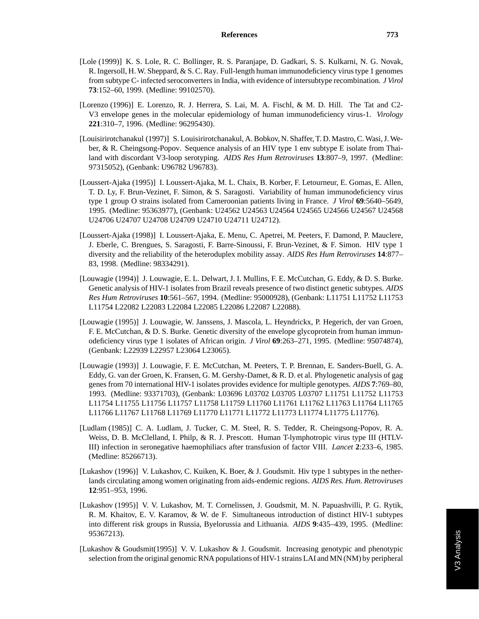- [Lole (1999)] K. S. Lole, R. C. Bollinger, R. S. Paranjape, D. Gadkari, S. S. Kulkarni, N. G. Novak, R. Ingersoll, H. W. Sheppard, & S. C. Ray. Full-length human immunodeficiency virus type 1 genomes from subtype C- infected seroconverters in India, with evidence of intersubtype recombination. *J Virol* **73**:152–60, 1999. (Medline: 99102570).
- [Lorenzo (1996)] E. Lorenzo, R. J. Herrera, S. Lai, M. A. Fischl, & M. D. Hill. The Tat and C2- V3 envelope genes in the molecular epidemiology of human immunodeficiency virus-1. *Virology* **221**:310–7, 1996. (Medline: 96295430).
- [Louisirirotchanakul (1997)] S. Louisirirotchanakul, A. Bobkov, N. Shaffer, T. D. Mastro, C. Wasi, J. Weber, & R. Cheingsong-Popov. Sequence analysis of an HIV type 1 env subtype E isolate from Thailand with discordant V3-loop serotyping. *AIDS Res Hum Retroviruses* **13**:807–9, 1997. (Medline: 97315052), (Genbank: U96782 U96783).
- [Loussert-Ajaka (1995)] I. Loussert-Ajaka, M. L. Chaix, B. Korber, F. Letourneur, E. Gomas, E. Allen, T. D. Ly, F. Brun-Vezinet, F. Simon, & S. Saragosti. Variability of human immunodeficiency virus type 1 group O strains isolated from Cameroonian patients living in France. *J Virol* **69**:5640–5649, 1995. (Medline: 95363977), (Genbank: U24562 U24563 U24564 U24565 U24566 U24567 U24568 U24706 U24707 U24708 U24709 U24710 U24711 U24712).
- [Loussert-Ajaka (1998)] I. Loussert-Ajaka, E. Menu, C. Apetrei, M. Peeters, F. Damond, P. Mauclere, J. Eberle, C. Brengues, S. Saragosti, F. Barre-Sinoussi, F. Brun-Vezinet, & F. Simon. HIV type 1 diversity and the reliability of the heteroduplex mobility assay. *AIDS Res Hum Retroviruses* **14**:877– 83, 1998. (Medline: 98334291).
- [Louwagie (1994)] J. Louwagie, E. L. Delwart, J. I. Mullins, F. E. McCutchan, G. Eddy, & D. S. Burke. Genetic analysis of HIV-1 isolates from Brazil reveals presence of two distinct genetic subtypes. *AIDS Res Hum Retroviruses* **10**:561–567, 1994. (Medline: 95000928), (Genbank: L11751 L11752 L11753 L11754 L22082 L22083 L22084 L22085 L22086 L22087 L22088).
- [Louwagie (1995)] J. Louwagie, W. Janssens, J. Mascola, L. Heyndrickx, P. Hegerich, der van Groen, F. E. McCutchan, & D. S. Burke. Genetic diversity of the envelope glycoprotein from human immunodeficiency virus type 1 isolates of African origin. *J Virol* **69**:263–271, 1995. (Medline: 95074874), (Genbank: L22939 L22957 L23064 L23065).
- [Louwagie (1993)] J. Louwagie, F. E. McCutchan, M. Peeters, T. P. Brennan, E. Sanders-Buell, G. A. Eddy, G. van der Groen, K. Fransen, G. M. Gershy-Damet, & R. D. et al. Phylogenetic analysis of gag genes from 70 international HIV-1 isolates provides evidence for multiple genotypes. *AIDS* **7**:769–80, 1993. (Medline: 93371703), (Genbank: L03696 L03702 L03705 L03707 L11751 L11752 L11753 L11754 L11755 L11756 L11757 L11758 L11759 L11760 L11761 L11762 L11763 L11764 L11765 L11766 L11767 L11768 L11769 L11770 L11771 L11772 L11773 L11774 L11775 L11776).
- [Ludlam (1985)] C. A. Ludlam, J. Tucker, C. M. Steel, R. S. Tedder, R. Cheingsong-Popov, R. A. Weiss, D. B. McClelland, I. Philp, & R. J. Prescott. Human T-lymphotropic virus type III (HTLV-III) infection in seronegative haemophiliacs after transfusion of factor VIII. *Lancet* **2**:233–6, 1985. (Medline: 85266713).
- [Lukashov (1996)] V. Lukashov, C. Kuiken, K. Boer, & J. Goudsmit. Hiv type 1 subtypes in the netherlands circulating among women originating from aids-endemic regions. *AIDS Res. Hum. Retroviruses* **12**:951–953, 1996.
- [Lukashov (1995)] V. V. Lukashov, M. T. Cornelissen, J. Goudsmit, M. N. Papuashvilli, P. G. Rytik, R. M. Khaitov, E. V. Karamov, & W. de F. Simultaneous introduction of distinct HIV-1 subtypes into different risk groups in Russia, Byelorussia and Lithuania. *AIDS* **9**:435–439, 1995. (Medline: 95367213).
- [Lukashov & Goudsmit(1995)] V. V. Lukashov & J. Goudsmit. Increasing genotypic and phenotypic selection from the original genomic RNA populations of HIV-1 strains LAI and MN (NM) by peripheral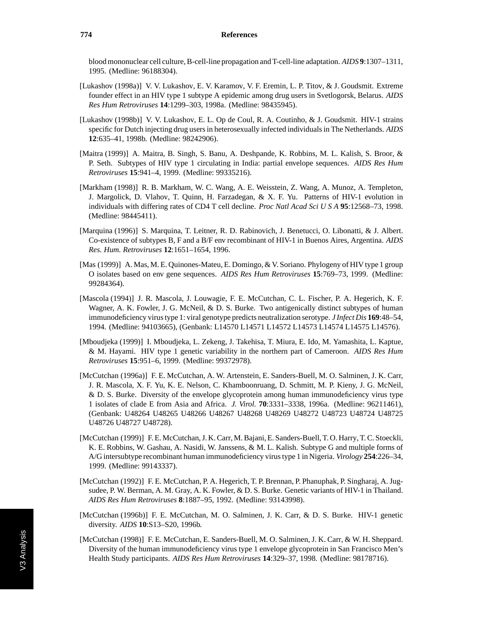blood mononuclear cell culture, B-cell-line propagation and T-cell-line adaptation. *AIDS* **9**:1307–1311, 1995. (Medline: 96188304).

- [Lukashov (1998a)] V. V. Lukashov, E. V. Karamov, V. F. Eremin, L. P. Titov, & J. Goudsmit. Extreme founder effect in an HIV type 1 subtype A epidemic among drug users in Svetlogorsk, Belarus. *AIDS Res Hum Retroviruses* **14**:1299–303, 1998a. (Medline: 98435945).
- [Lukashov (1998b)] V. V. Lukashov, E. L. Op de Coul, R. A. Coutinho, & J. Goudsmit. HIV-1 strains specific for Dutch injecting drug users in heterosexually infected individuals in The Netherlands. *AIDS* **12**:635–41, 1998b. (Medline: 98242906).
- [Maitra (1999)] A. Maitra, B. Singh, S. Banu, A. Deshpande, K. Robbins, M. L. Kalish, S. Broor, & P. Seth. Subtypes of HIV type 1 circulating in India: partial envelope sequences. *AIDS Res Hum Retroviruses* **15**:941–4, 1999. (Medline: 99335216).
- [Markham (1998)] R. B. Markham, W. C. Wang, A. E. Weisstein, Z. Wang, A. Munoz, A. Templeton, J. Margolick, D. Vlahov, T. Quinn, H. Farzadegan, & X. F. Yu. Patterns of HIV-1 evolution in individuals with differing rates of CD4 T cell decline. *Proc Natl Acad Sci U S A* **95**:12568–73, 1998. (Medline: 98445411).
- [Marquina (1996)] S. Marquina, T. Leitner, R. D. Rabinovich, J. Benetucci, O. Libonatti, & J. Albert. Co-existence of subtypes B, F and a B/F env recombinant of HIV-1 in Buenos Aires, Argentina. *AIDS Res. Hum. Retroviruses* **12**:1651–1654, 1996.
- [Mas (1999)] A. Mas, M. E. Quinones-Mateu, E. Domingo, & V. Soriano. Phylogeny of HIV type 1 group O isolates based on env gene sequences. *AIDS Res Hum Retroviruses* **15**:769–73, 1999. (Medline: 99284364).
- [Mascola (1994)] J. R. Mascola, J. Louwagie, F. E. McCutchan, C. L. Fischer, P. A. Hegerich, K. F. Wagner, A. K. Fowler, J. G. McNeil, & D. S. Burke. Two antigenically distinct subtypes of human immunodeficiency virus type 1: viral genotype predicts neutralization serotype. *J Infect Dis* **169**:48–54, 1994. (Medline: 94103665), (Genbank: L14570 L14571 L14572 L14573 L14574 L14575 L14576).
- [Mboudjeka (1999)] I. Mboudjeka, L. Zekeng, J. Takehisa, T. Miura, E. Ido, M. Yamashita, L. Kaptue, & M. Hayami. HIV type 1 genetic variability in the northern part of Cameroon. *AIDS Res Hum Retroviruses* **15**:951–6, 1999. (Medline: 99372978).
- [McCutchan (1996a)] F. E. McCutchan, A. W. Artenstein, E. Sanders-Buell, M. O. Salminen, J. K. Carr, J. R. Mascola, X. F. Yu, K. E. Nelson, C. Khamboonruang, D. Schmitt, M. P. Kieny, J. G. McNeil, & D. S. Burke. Diversity of the envelope glycoprotein among human immunodeficiency virus type 1 isolates of clade E from Asia and Africa. *J. Virol.* **70**:3331–3338, 1996a. (Medline: 96211461), (Genbank: U48264 U48265 U48266 U48267 U48268 U48269 U48272 U48723 U48724 U48725 U48726 U48727 U48728).
- [McCutchan (1999)] F. E. McCutchan, J. K. Carr, M. Bajani, E. Sanders-Buell, T. O. Harry, T. C. Stoeckli, K. E. Robbins, W. Gashau, A. Nasidi, W. Janssens, & M. L. Kalish. Subtype G and multiple forms of A/G intersubtype recombinant human immunodeficiency virus type 1 in Nigeria. *Virology* **254**:226–34, 1999. (Medline: 99143337).
- [McCutchan (1992)] F. E. McCutchan, P. A. Hegerich, T. P. Brennan, P. Phanuphak, P. Singharaj, A. Jugsudee, P. W. Berman, A. M. Gray, A. K. Fowler, & D. S. Burke. Genetic variants of HIV-1 in Thailand. *AIDS Res Hum Retroviruses* **8**:1887–95, 1992. (Medline: 93143998).
- [McCutchan (1996b)] F. E. McCutchan, M. O. Salminen, J. K. Carr, & D. S. Burke. HIV-1 genetic diversity. *AIDS* **10**:S13–S20, 1996b.
- [McCutchan (1998)] F. E. McCutchan, E. Sanders-Buell, M. O. Salminen, J. K. Carr, & W. H. Sheppard. Diversity of the human immunodeficiency virus type 1 envelope glycoprotein in San Francisco Men's Health Study participants. *AIDS Res Hum Retroviruses* **14**:329–37, 1998. (Medline: 98178716).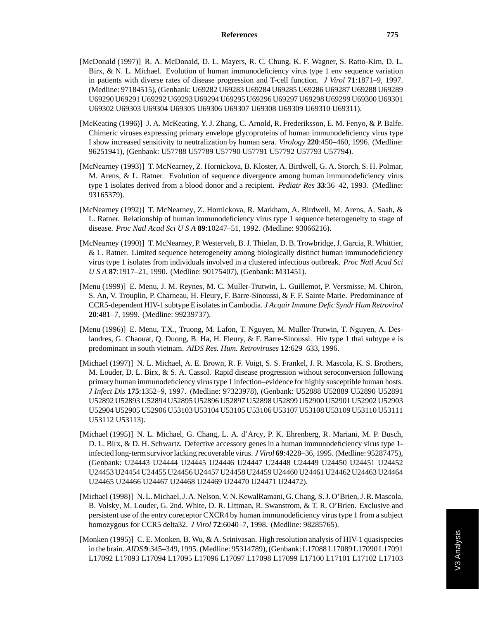- [McDonald (1997)] R. A. McDonald, D. L. Mayers, R. C. Chung, K. F. Wagner, S. Ratto-Kim, D. L. Birx, & N. L. Michael. Evolution of human immunodeficiency virus type 1 env sequence variation in patients with diverse rates of disease progression and T-cell function. *J Virol* **71**:1871–9, 1997. (Medline: 97184515), (Genbank: U69282 U69283 U69284 U69285 U69286 U69287 U69288 U69289 U69290 U69291 U69292 U69293 U69294 U69295 U69296 U69297 U69298 U69299 U69300 U69301 U69302 U69303 U69304 U69305 U69306 U69307 U69308 U69309 U69310 U69311).
- [McKeating (1996)] J. A. McKeating, Y. J. Zhang, C. Arnold, R. Frederiksson, E. M. Fenyo, & P. Balfe. Chimeric viruses expressing primary envelope glycoproteins of human immunodeficiency virus type I show increased sensitivity to neutralization by human sera. *Virology* **220**:450–460, 1996. (Medline: 96251941), (Genbank: U57788 U57789 U57790 U57791 U57792 U57793 U57794).
- [McNearney (1993)] T. McNearney, Z. Hornickova, B. Kloster, A. Birdwell, G. A. Storch, S. H. Polmar, M. Arens, & L. Ratner. Evolution of sequence divergence among human immunodeficiency virus type 1 isolates derived from a blood donor and a recipient. *Pediatr Res* **33**:36–42, 1993. (Medline: 93165379).
- [McNearney (1992)] T. McNearney, Z. Hornickova, R. Markham, A. Birdwell, M. Arens, A. Saah, & L. Ratner. Relationship of human immunodeficiency virus type 1 sequence heterogeneity to stage of disease. *Proc Natl Acad SciUSA* **89**:10247–51, 1992. (Medline: 93066216).
- [McNearney (1990)] T. McNearney, P. Westervelt, B. J. Thielan, D. B. Trowbridge, J. Garcia, R. Whittier, & L. Ratner. Limited sequence heterogeneity among biologically distinct human immunodeficiency virus type 1 isolates from individuals involved in a clustered infectious outbreak. *Proc Natl Acad Sci USA* **87**:1917–21, 1990. (Medline: 90175407), (Genbank: M31451).
- [Menu (1999)] E. Menu, J. M. Reynes, M. C. Muller-Trutwin, L. Guillemot, P. Versmisse, M. Chiron, S. An, V. Trouplin, P. Charneau, H. Fleury, F. Barre-Sinoussi, & F. F. Sainte Marie. Predominance of CCR5-dependent HIV-1 subtype E isolates in Cambodia. *J Acquir Immune Defic Syndr Hum Retrovirol* **20**:481–7, 1999. (Medline: 99239737).
- [Menu (1996)] E. Menu, T.X., Truong, M. Lafon, T. Nguyen, M. Muller-Trutwin, T. Nguyen, A. Deslandres, G. Chaouat, Q. Duong, B. Ha, H. Fleury, & F. Barre-Sinoussi. Hiv type 1 thai subtype e is predominant in south vietnam. *AIDS Res. Hum. Retroviruses* **12**:629–633, 1996.
- [Michael (1997)] N. L. Michael, A. E. Brown, R. F. Voigt, S. S. Frankel, J. R. Mascola, K. S. Brothers, M. Louder, D. L. Birx, & S. A. Cassol. Rapid disease progression without seroconversion following primary human immunodeficiency virus type 1 infection–evidence for highly susceptible human hosts. *J Infect Dis* **175**:1352–9, 1997. (Medline: 97323978), (Genbank: U52888 U52889 U52890 U52891 U52892 U52893 U52894 U52895 U52896 U52897 U52898 U52899 U52900 U52901 U52902 U52903 U52904 U52905 U52906 U53103 U53104 U53105 U53106 U53107 U53108 U53109 U53110 U53111 U53112 U53113).
- [Michael (1995)] N. L. Michael, G. Chang, L. A. d'Arcy, P. K. Ehrenberg, R. Mariani, M. P. Busch, D. L. Birx, & D. H. Schwartz. Defective accessory genes in a human immunodeficiency virus type 1 infected long-term survivor lacking recoverable virus. *J Virol* **69**:4228–36, 1995. (Medline: 95287475), (Genbank: U24443 U24444 U24445 U24446 U24447 U24448 U24449 U24450 U24451 U24452 U24453 U24454 U24455 U24456 U24457 U24458 U24459 U24460 U24461 U24462 U24463 U24464 U24465 U24466 U24467 U24468 U24469 U24470 U24471 U24472).
- [Michael (1998)] N. L. Michael, J. A. Nelson, V. N. KewalRamani, G. Chang, S. J. O'Brien, J. R. Mascola, B. Volsky, M. Louder, G. 2nd. White, D. R. Littman, R. Swanstrom, & T. R. O'Brien. Exclusive and persistent use of the entry coreceptor CXCR4 by human immunodeficiency virus type 1 from a subject homozygous for CCR5 delta32. *J Virol* **72**:6040–7, 1998. (Medline: 98285765).
- [Monken (1995)] C. E. Monken, B. Wu, & A. Srinivasan. High resolution analysis of HIV-1 quasispecies in the brain. *AIDS* **9**:345–349, 1995. (Medline: 95314789), (Genbank: L17088 L17089 L17090 L17091 L17092 L17093 L17094 L17095 L17096 L17097 L17098 L17099 L17100 L17101 L17102 L17103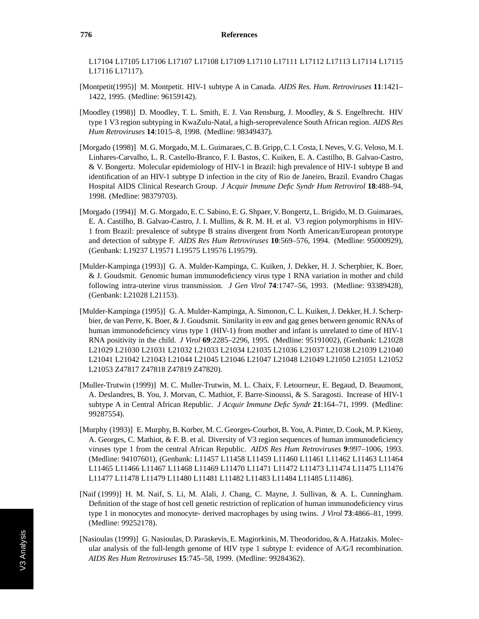L17104 L17105 L17106 L17107 L17108 L17109 L17110 L17111 L17112 L17113 L17114 L17115 L17116 L17117).

- [Montpetit(1995)] M. Montpetit. HIV-1 subtype A in Canada. *AIDS Res. Hum. Retroviruses* **11**:1421– 1422, 1995. (Medline: 96159142).
- [Moodley (1998)] D. Moodley, T. L. Smith, E. J. Van Rensburg, J. Moodley, & S. Engelbrecht. HIV type 1 V3 region subtyping in KwaZulu-Natal, a high-seroprevalence South African region. *AIDS Res Hum Retroviruses* **14**:1015–8, 1998. (Medline: 98349437).
- [Morgado (1998)] M. G. Morgado, M. L. Guimaraes, C. B. Gripp, C. I. Costa, I. Neves, V. G. Veloso, M. I. Linhares-Carvalho, L. R. Castello-Branco, F. I. Bastos, C. Kuiken, E. A. Castilho, B. Galvao-Castro, & V. Bongertz. Molecular epidemiology of HIV-1 in Brazil: high prevalence of HIV-1 subtype B and identification of an HIV-1 subtype D infection in the city of Rio de Janeiro, Brazil. Evandro Chagas Hospital AIDS Clinical Research Group. *J Acquir Immune Defic Syndr Hum Retrovirol* **18**:488–94, 1998. (Medline: 98379703).
- [Morgado (1994)] M. G. Morgado, E. C. Sabino, E. G. Shpaer, V. Bongertz, L. Brigido, M. D. Guimaraes, E. A. Castilho, B. Galvao-Castro, J. I. Mullins, & R. M. H. et al. V3 region polymorphisms in HIV-1 from Brazil: prevalence of subtype B strains divergent from North American/European prototype and detection of subtype F. *AIDS Res Hum Retroviruses* **10**:569–576, 1994. (Medline: 95000929), (Genbank: L19237 L19571 L19575 L19576 L19579).
- [Mulder-Kampinga (1993)] G. A. Mulder-Kampinga, C. Kuiken, J. Dekker, H. J. Scherpbier, K. Boer, & J. Goudsmit. Genomic human immunodeficiency virus type 1 RNA variation in mother and child following intra-uterine virus transmission. *J Gen Virol* **74**:1747–56, 1993. (Medline: 93389428), (Genbank: L21028 L21153).
- [Mulder-Kampinga (1995)] G. A. Mulder-Kampinga, A. Simonon, C. L. Kuiken, J. Dekker, H. J. Scherpbier, de van Perre, K. Boer, & J. Goudsmit. Similarity in env and gag genes between genomic RNAs of human immunodeficiency virus type 1 (HIV-1) from mother and infant is unrelated to time of HIV-1 RNA positivity in the child. *J Virol* **69**:2285–2296, 1995. (Medline: 95191002), (Genbank: L21028 L21029 L21030 L21031 L21032 L21033 L21034 L21035 L21036 L21037 L21038 L21039 L21040 L21041 L21042 L21043 L21044 L21045 L21046 L21047 L21048 L21049 L21050 L21051 L21052 L21053 Z47817 Z47818 Z47819 Z47820).
- [Muller-Trutwin (1999)] M. C. Muller-Trutwin, M. L. Chaix, F. Letourneur, E. Begaud, D. Beaumont, A. Deslandres, B. You, J. Morvan, C. Mathiot, F. Barre-Sinoussi, & S. Saragosti. Increase of HIV-1 subtype A in Central African Republic. *J Acquir Immune Defic Syndr* **21**:164–71, 1999. (Medline: 99287554).
- [Murphy (1993)] E. Murphy, B. Korber, M. C. Georges-Courbot, B. You, A. Pinter, D. Cook, M. P. Kieny, A. Georges, C. Mathiot, & F. B. et al. Diversity of V3 region sequences of human immunodeficiency viruses type 1 from the central African Republic. *AIDS Res Hum Retroviruses* **9**:997–1006, 1993. (Medline: 94107601), (Genbank: L11457 L11458 L11459 L11460 L11461 L11462 L11463 L11464 L11465 L11466 L11467 L11468 L11469 L11470 L11471 L11472 L11473 L11474 L11475 L11476 L11477 L11478 L11479 L11480 L11481 L11482 L11483 L11484 L11485 L11486).
- [Naif (1999)] H. M. Naif, S. Li, M. Alali, J. Chang, C. Mayne, J. Sullivan, & A. L. Cunningham. Definition of the stage of host cell genetic restriction of replication of human immunodeficiency virus type 1 in monocytes and monocyte- derived macrophages by using twins. *J Virol* **73**:4866–81, 1999. (Medline: 99252178).
- [Nasioulas (1999)] G. Nasioulas, D. Paraskevis, E. Magiorkinis, M. Theodoridou, & A. Hatzakis. Molecular analysis of the full-length genome of HIV type 1 subtype I: evidence of A/G/I recombination. *AIDS Res Hum Retroviruses* **15**:745–58, 1999. (Medline: 99284362).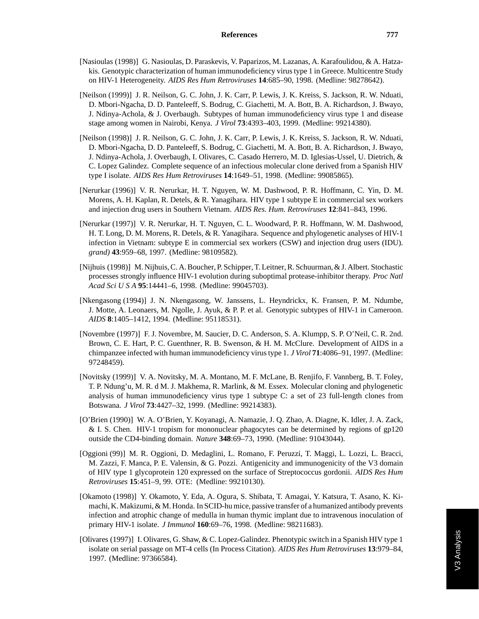- [Nasioulas (1998)] G. Nasioulas, D. Paraskevis, V. Paparizos, M. Lazanas, A. Karafoulidou, & A. Hatzakis. Genotypic characterization of human immunodeficiency virus type 1 in Greece. Multicentre Study on HIV-1 Heterogeneity. *AIDS Res Hum Retroviruses* **14**:685–90, 1998. (Medline: 98278642).
- [Neilson (1999)] J. R. Neilson, G. C. John, J. K. Carr, P. Lewis, J. K. Kreiss, S. Jackson, R. W. Nduati, D. Mbori-Ngacha, D. D. Panteleeff, S. Bodrug, C. Giachetti, M. A. Bott, B. A. Richardson, J. Bwayo, J. Ndinya-Achola, & J. Overbaugh. Subtypes of human immunodeficiency virus type 1 and disease stage among women in Nairobi, Kenya. *J Virol* **73**:4393–403, 1999. (Medline: 99214380).
- [Neilson (1998)] J. R. Neilson, G. C. John, J. K. Carr, P. Lewis, J. K. Kreiss, S. Jackson, R. W. Nduati, D. Mbori-Ngacha, D. D. Panteleeff, S. Bodrug, C. Giachetti, M. A. Bott, B. A. Richardson, J. Bwayo, J. Ndinya-Achola, J. Overbaugh, I. Olivares, C. Casado Herrero, M. D. Iglesias-Ussel, U. Dietrich, & C. Lopez Galindez. Complete sequence of an infectious molecular clone derived from a Spanish HIV type I isolate. *AIDS Res Hum Retroviruses* **14**:1649–51, 1998. (Medline: 99085865).
- [Nerurkar (1996)] V. R. Nerurkar, H. T. Nguyen, W. M. Dashwood, P. R. Hoffmann, C. Yin, D. M. Morens, A. H. Kaplan, R. Detels, & R. Yanagihara. HIV type 1 subtype E in commercial sex workers and injection drug users in Southern Vietnam. *AIDS Res. Hum. Retroviruses* **12**:841–843, 1996.
- [Nerurkar (1997)] V. R. Nerurkar, H. T. Nguyen, C. L. Woodward, P. R. Hoffmann, W. M. Dashwood, H. T. Long, D. M. Morens, R. Detels, & R. Yanagihara. Sequence and phylogenetic analyses of HIV-1 infection in Vietnam: subtype E in commercial sex workers (CSW) and injection drug users (IDU). *grand)* **43**:959–68, 1997. (Medline: 98109582).
- [Nijhuis (1998)] M. Nijhuis, C. A. Boucher, P. Schipper, T. Leitner, R. Schuurman, & J. Albert. Stochastic processes strongly influence HIV-1 evolution during suboptimal protease-inhibitor therapy. *Proc Natl Acad SciUSA* **95**:14441–6, 1998. (Medline: 99045703).
- [Nkengasong (1994)] J. N. Nkengasong, W. Janssens, L. Heyndrickx, K. Fransen, P. M. Ndumbe, J. Motte, A. Leonaers, M. Ngolle, J. Ayuk, & P. P. et al. Genotypic subtypes of HIV-1 in Cameroon. *AIDS* **8**:1405–1412, 1994. (Medline: 95118531).
- [Novembre (1997)] F. J. Novembre, M. Saucier, D. C. Anderson, S. A. Klumpp, S. P. O'Neil, C. R. 2nd. Brown, C. E. Hart, P. C. Guenthner, R. B. Swenson, & H. M. McClure. Development of AIDS in a chimpanzee infected with human immunodeficiency virus type 1. *J Virol* **71**:4086–91, 1997. (Medline: 97248459).
- [Novitsky (1999)] V. A. Novitsky, M. A. Montano, M. F. McLane, B. Renjifo, F. Vannberg, B. T. Foley, T. P. Ndung'u, M. R. d M. J. Makhema, R. Marlink, & M. Essex. Molecular cloning and phylogenetic analysis of human immunodeficiency virus type 1 subtype C: a set of 23 full-length clones from Botswana. *J Virol* **73**:4427–32, 1999. (Medline: 99214383).
- [O'Brien (1990)] W. A. O'Brien, Y. Koyanagi, A. Namazie, J. Q. Zhao, A. Diagne, K. Idler, J. A. Zack, & I. S. Chen. HIV-1 tropism for mononuclear phagocytes can be determined by regions of gp120 outside the CD4-binding domain. *Nature* **348**:69–73, 1990. (Medline: 91043044).
- [Oggioni (99)] M. R. Oggioni, D. Medaglini, L. Romano, F. Peruzzi, T. Maggi, L. Lozzi, L. Bracci, M. Zazzi, F. Manca, P. E. Valensin, & G. Pozzi. Antigenicity and immunogenicity of the V3 domain of HIV type 1 glycoprotein 120 expressed on the surface of Streptococcus gordonii. *AIDS Res Hum Retroviruses* **15**:451–9, 99. OTE: (Medline: 99210130).
- [Okamoto (1998)] Y. Okamoto, Y. Eda, A. Ogura, S. Shibata, T. Amagai, Y. Katsura, T. Asano, K. Kimachi, K. Makizumi, & M. Honda. In SCID-hu mice, passive transfer of a humanized antibody prevents infection and atrophic change of medulla in human thymic implant due to intravenous inoculation of primary HIV-1 isolate. *J Immunol* **160**:69–76, 1998. (Medline: 98211683).
- [Olivares (1997)] I. Olivares, G. Shaw, & C. Lopez-Galindez. Phenotypic switch in a Spanish HIV type 1 isolate on serial passage on MT-4 cells (In Process Citation). *AIDS Res Hum Retroviruses* **13**:979–84, 1997. (Medline: 97366584).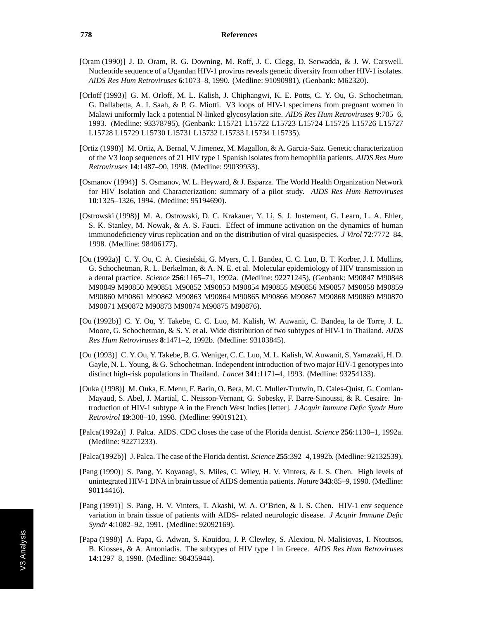- [Oram (1990)] J. D. Oram, R. G. Downing, M. Roff, J. C. Clegg, D. Serwadda, & J. W. Carswell. Nucleotide sequence of a Ugandan HIV-1 provirus reveals genetic diversity from other HIV-1 isolates. *AIDS Res Hum Retroviruses* **6**:1073–8, 1990. (Medline: 91090981), (Genbank: M62320).
- [Orloff (1993)] G. M. Orloff, M. L. Kalish, J. Chiphangwi, K. E. Potts, C. Y. Ou, G. Schochetman, G. Dallabetta, A. I. Saah, & P. G. Miotti. V3 loops of HIV-1 specimens from pregnant women in Malawi uniformly lack a potential N-linked glycosylation site. *AIDS Res Hum Retroviruses* **9**:705–6, 1993. (Medline: 93378795), (Genbank: L15721 L15722 L15723 L15724 L15725 L15726 L15727 L15728 L15729 L15730 L15731 L15732 L15733 L15734 L15735).
- [Ortiz (1998)] M. Ortiz, A. Bernal, V. Jimenez, M. Magallon, & A. Garcia-Saiz. Genetic characterization of the V3 loop sequences of 21 HIV type 1 Spanish isolates from hemophilia patients. *AIDS Res Hum Retroviruses* **14**:1487–90, 1998. (Medline: 99039933).
- [Osmanov (1994)] S. Osmanov, W. L. Heyward, & J. Esparza. The World Health Organization Network for HIV Isolation and Characterization: summary of a pilot study. *AIDS Res Hum Retroviruses* **10**:1325–1326, 1994. (Medline: 95194690).
- [Ostrowski (1998)] M. A. Ostrowski, D. C. Krakauer, Y. Li, S. J. Justement, G. Learn, L. A. Ehler, S. K. Stanley, M. Nowak, & A. S. Fauci. Effect of immune activation on the dynamics of human immunodeficiency virus replication and on the distribution of viral quasispecies. *J Virol* **72**:7772–84, 1998. (Medline: 98406177).
- [Ou (1992a)] C. Y. Ou, C. A. Ciesielski, G. Myers, C. I. Bandea, C. C. Luo, B. T. Korber, J. I. Mullins, G. Schochetman, R. L. Berkelman, & A. N. E. et al. Molecular epidemiology of HIV transmission in a dental practice. *Science* **256**:1165–71, 1992a. (Medline: 92271245), (Genbank: M90847 M90848 M90849 M90850 M90851 M90852 M90853 M90854 M90855 M90856 M90857 M90858 M90859 M90860 M90861 M90862 M90863 M90864 M90865 M90866 M90867 M90868 M90869 M90870 M90871 M90872 M90873 M90874 M90875 M90876).
- [Ou (1992b)] C. Y. Ou, Y. Takebe, C. C. Luo, M. Kalish, W. Auwanit, C. Bandea, la de Torre, J. L. Moore, G. Schochetman, & S. Y. et al. Wide distribution of two subtypes of HIV-1 in Thailand. *AIDS Res Hum Retroviruses* **8**:1471–2, 1992b. (Medline: 93103845).
- [Ou (1993)] C. Y. Ou, Y. Takebe, B. G. Weniger, C. C. Luo, M. L. Kalish, W. Auwanit, S. Yamazaki, H. D. Gayle, N. L. Young, & G. Schochetman. Independent introduction of two major HIV-1 genotypes into distinct high-risk populations in Thailand. *Lancet* **341**:1171–4, 1993. (Medline: 93254133).
- [Ouka (1998)] M. Ouka, E. Menu, F. Barin, O. Bera, M. C. Muller-Trutwin, D. Cales-Quist, G. Comlan-Mayaud, S. Abel, J. Martial, C. Neisson-Vernant, G. Sobesky, F. Barre-Sinoussi, & R. Cesaire. Introduction of HIV-1 subtype A in the French West Indies [letter]. *J Acquir Immune Defic Syndr Hum Retrovirol* **19**:308–10, 1998. (Medline: 99019121).
- [Palca(1992a)] J. Palca. AIDS. CDC closes the case of the Florida dentist. *Science* **256**:1130–1, 1992a. (Medline: 92271233).
- [Palca(1992b)] J. Palca. The case of the Florida dentist. *Science* **255**:392–4, 1992b. (Medline: 92132539).
- [Pang (1990)] S. Pang, Y. Koyanagi, S. Miles, C. Wiley, H. V. Vinters, & I. S. Chen. High levels of unintegrated HIV-1 DNA in brain tissue of AIDS dementia patients. *Nature* **343**:85–9, 1990. (Medline: 90114416).
- [Pang (1991)] S. Pang, H. V. Vinters, T. Akashi, W. A. O'Brien, & I. S. Chen. HIV-1 env sequence variation in brain tissue of patients with AIDS- related neurologic disease. *J Acquir Immune Defic Syndr* **4**:1082–92, 1991. (Medline: 92092169).
- [Papa (1998)] A. Papa, G. Adwan, S. Kouidou, J. P. Clewley, S. Alexiou, N. Malisiovas, I. Ntoutsos, B. Kiosses, & A. Antoniadis. The subtypes of HIV type 1 in Greece. *AIDS Res Hum Retroviruses* **14**:1297–8, 1998. (Medline: 98435944).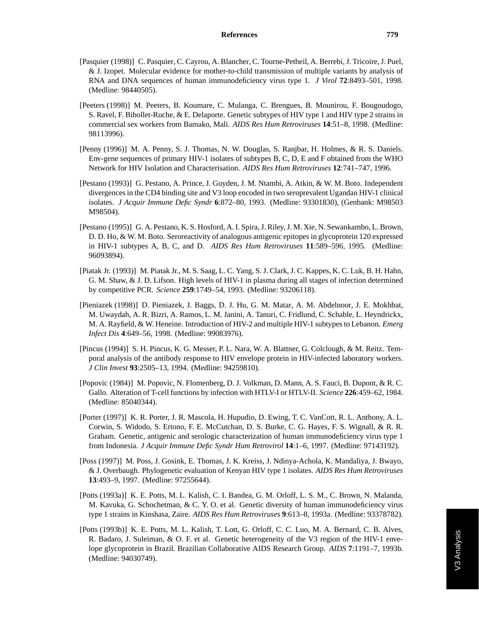- [Pasquier (1998)] C. Pasquier, C. Cayrou, A. Blancher, C. Tourne-Petheil, A. Berrebi, J. Tricoire, J. Puel, & J. Izopet. Molecular evidence for mother-to-child transmission of multiple variants by analysis of RNA and DNA sequences of human immunodeficiency virus type 1. *J Virol* **72**:8493–501, 1998. (Medline: 98440505).
- [Peeters (1998)] M. Peeters, B. Koumare, C. Mulanga, C. Brengues, B. Mounirou, F. Bougoudogo, S. Ravel, F. Bibollet-Ruche, & E. Delaporte. Genetic subtypes of HIV type 1 and HIV type 2 strains in commercial sex workers from Bamako, Mali. *AIDS Res Hum Retroviruses* **14**:51–8, 1998. (Medline: 98113996).
- [Penny (1996)] M. A. Penny, S. J. Thomas, N. W. Douglas, S. Ranjbar, H. Holmes, & R. S. Daniels. Env-gene sequences of primary HIV-1 isolates of subtypes B, C, D, E and F obtained from the WHO Network for HIV Isolation and Characterisation. *AIDS Res Hum Retroviruses* **12**:741–747, 1996.
- [Pestano (1993)] G. Pestano, A. Prince, J. Guyden, J. M. Ntambi, A. Atkin, & W. M. Boto. Independent divergences in the CD4 binding site and V3 loop encoded in two seroprevalent Ugandan HIV-1 clinical isolates. *J Acquir Immune Defic Syndr* **6**:872–80, 1993. (Medline: 93301830), (Genbank: M98503 M98504).
- [Pestano (1995)] G. A. Pestano, K. S. Hosford, A. I. Spira, J. Riley, J. M. Xie, N. Sewankambo, L. Brown, D. D. Ho, & W. M. Boto. Seroreactivity of analogous antigenic epitopes in glycoprotein 120 expressed in HIV-1 subtypes A, B, C, and D. *AIDS Res Hum Retroviruses* **11**:589–596, 1995. (Medline: 96093894).
- [Piatak Jr. (1993)] M. Piatak Jr., M. S. Saag, L. C. Yang, S. J. Clark, J. C. Kappes, K. C. Luk, B. H. Hahn, G. M. Shaw, & J. D. Lifson. High levels of HIV-1 in plasma during all stages of infection determined by competitive PCR. *Science* **259**:1749–54, 1993. (Medline: 93206118).
- [Pieniazek (1998)] D. Pieniazek, J. Baggs, D. J. Hu, G. M. Matar, A. M. Abdelnoor, J. E. Mokhbat, M. Uwaydah, A. R. Bizri, A. Ramos, L. M. Janini, A. Tanuri, C. Fridlund, C. Schable, L. Heyndrickx, M. A. Rayfield, & W. Heneine. Introduction of HIV-2 and multiple HIV-1 subtypes to Lebanon. *Emerg Infect Dis* **4**:649–56, 1998. (Medline: 99083976).
- [Pincus (1994)] S. H. Pincus, K. G. Messer, P. L. Nara, W. A. Blattner, G. Colclough, & M. Reitz. Temporal analysis of the antibody response to HIV envelope protein in HIV-infected laboratory workers. *J Clin Invest* **93**:2505–13, 1994. (Medline: 94259810).
- [Popovic (1984)] M. Popovic, N. Flomenberg, D. J. Volkman, D. Mann, A. S. Fauci, B. Dupont, & R. C. Gallo. Alteration of T-cell functions by infection with HTLV-I or HTLV-II. *Science* **226**:459–62, 1984. (Medline: 85040344).
- [Porter (1997)] K. R. Porter, J. R. Mascola, H. Hupudio, D. Ewing, T. C. VanCott, R. L. Anthony, A. L. Corwin, S. Widodo, S. Ertono, F. E. McCutchan, D. S. Burke, C. G. Hayes, F. S. Wignall, & R. R. Graham. Genetic, antigenic and serologic characterization of human immunodeficiency virus type 1 from Indonesia. *J Acquir Immune Defic Syndr Hum Retrovirol* **14**:1–6, 1997. (Medline: 97143192).
- [Poss (1997)] M. Poss, J. Gosink, E. Thomas, J. K. Kreiss, J. Ndinya-Achola, K. Mandaliya, J. Bwayo, & J. Overbaugh. Phylogenetic evaluation of Kenyan HIV type 1 isolates. *AIDS Res Hum Retroviruses* **13**:493–9, 1997. (Medline: 97255644).
- [Potts (1993a)] K. E. Potts, M. L. Kalish, C. I. Bandea, G. M. Orloff, L. S. M., C. Brown, N. Malanda, M. Kavuka, G. Schochetman, & C. Y. O. et al. Genetic diversity of human immunodeficiency virus type 1 strains in Kinshasa, Zaire. *AIDS Res Hum Retroviruses* **9**:613–8, 1993a. (Medline: 93378782).
- [Potts (1993b)] K. E. Potts, M. L. Kalish, T. Lott, G. Orloff, C. C. Luo, M. A. Bernard, C. B. Alves, R. Badaro, J. Suleiman, & O. F. et al. Genetic heterogeneity of the V3 region of the HIV-1 envelope glycoprotein in Brazil. Brazilian Collaborative AIDS Research Group. *AIDS* **7**:1191–7, 1993b. (Medline: 94030749).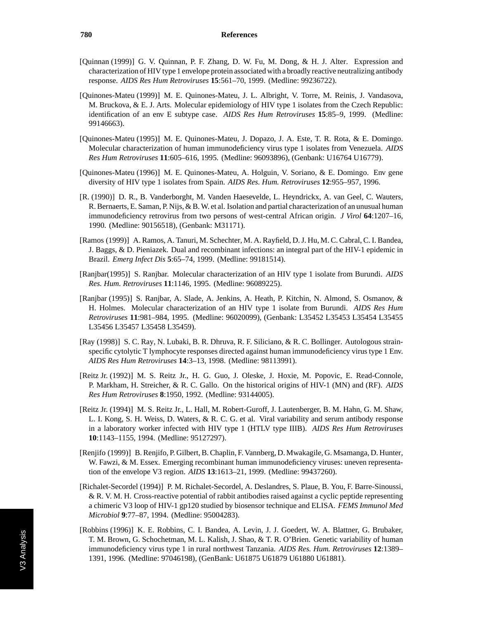- [Quinnan (1999)] G. V. Quinnan, P. F. Zhang, D. W. Fu, M. Dong, & H. J. Alter. Expression and characterization of HIV type 1 envelope protein associated with a broadly reactive neutralizing antibody response. *AIDS Res Hum Retroviruses* **15**:561–70, 1999. (Medline: 99236722).
- [Quinones-Mateu (1999)] M. E. Quinones-Mateu, J. L. Albright, V. Torre, M. Reinis, J. Vandasova, M. Bruckova, & E. J. Arts. Molecular epidemiology of HIV type 1 isolates from the Czech Republic: identification of an env E subtype case. *AIDS Res Hum Retroviruses* **15**:85–9, 1999. (Medline: 99146663).
- [Quinones-Mateu (1995)] M. E. Quinones-Mateu, J. Dopazo, J. A. Este, T. R. Rota, & E. Domingo. Molecular characterization of human immunodeficiency virus type 1 isolates from Venezuela. *AIDS Res Hum Retroviruses* **11**:605–616, 1995. (Medline: 96093896), (Genbank: U16764 U16779).
- [Quinones-Mateu (1996)] M. E. Quinones-Mateu, A. Holguin, V. Soriano, & E. Domingo. Env gene diversity of HIV type 1 isolates from Spain. *AIDS Res. Hum. Retroviruses* **12**:955–957, 1996.
- [R. (1990)] D. R., B. Vanderborght, M. Vanden Haesevelde, L. Heyndrickx, A. van Geel, C. Wauters, R. Bernaerts, E. Saman, P. Nijs, & B. W. et al. Isolation and partial characterization of an unusual human immunodeficiency retrovirus from two persons of west-central African origin. *J Virol* **64**:1207–16, 1990. (Medline: 90156518), (Genbank: M31171).
- [Ramos (1999)] A. Ramos, A. Tanuri, M. Schechter, M. A. Rayfield, D. J. Hu, M. C. Cabral, C. I. Bandea, J. Baggs, & D. Pieniazek. Dual and recombinant infections: an integral part of the HIV-1 epidemic in Brazil. *Emerg Infect Dis* **5**:65–74, 1999. (Medline: 99181514).
- [Ranjbar(1995)] S. Ranjbar. Molecular characterization of an HIV type 1 isolate from Burundi. *AIDS Res. Hum. Retroviruses* **11**:1146, 1995. (Medline: 96089225).
- [Ranjbar (1995)] S. Ranjbar, A. Slade, A. Jenkins, A. Heath, P. Kitchin, N. Almond, S. Osmanov, & H. Holmes. Molecular characterization of an HIV type 1 isolate from Burundi. *AIDS Res Hum Retroviruses* **11**:981–984, 1995. (Medline: 96020099), (Genbank: L35452 L35453 L35454 L35455 L35456 L35457 L35458 L35459).
- [Ray (1998)] S. C. Ray, N. Lubaki, B. R. Dhruva, R. F. Siliciano, & R. C. Bollinger. Autologous strainspecific cytolytic T lymphocyte responses directed against human immunodeficiency virus type 1 Env. *AIDS Res Hum Retroviruses* **14**:3–13, 1998. (Medline: 98113991).
- [Reitz Jr. (1992)] M. S. Reitz Jr., H. G. Guo, J. Oleske, J. Hoxie, M. Popovic, E. Read-Connole, P. Markham, H. Streicher, & R. C. Gallo. On the historical origins of HIV-1 (MN) and (RF). *AIDS Res Hum Retroviruses* **8**:1950, 1992. (Medline: 93144005).
- [Reitz Jr. (1994)] M. S. Reitz Jr., L. Hall, M. Robert-Guroff, J. Lautenberger, B. M. Hahn, G. M. Shaw, L. I. Kong, S. H. Weiss, D. Waters, & R. C. G. et al. Viral variability and serum antibody response in a laboratory worker infected with HIV type 1 (HTLV type IIIB). *AIDS Res Hum Retroviruses* **10**:1143–1155, 1994. (Medline: 95127297).
- [Renjifo (1999)] B. Renjifo, P. Gilbert, B. Chaplin, F. Vannberg, D. Mwakagile, G. Msamanga, D. Hunter, W. Fawzi, & M. Essex. Emerging recombinant human immunodeficiency viruses: uneven representation of the envelope V3 region. *AIDS* **13**:1613–21, 1999. (Medline: 99437260).
- [Richalet-Secordel (1994)] P. M. Richalet-Secordel, A. Deslandres, S. Plaue, B. You, F. Barre-Sinoussi, & R. V. M. H. Cross-reactive potential of rabbit antibodies raised against a cyclic peptide representing a chimeric V3 loop of HIV-1 gp120 studied by biosensor technique and ELISA. *FEMS Immunol Med Microbiol* **9**:77–87, 1994. (Medline: 95004283).
- [Robbins (1996)] K. E. Robbins, C. I. Bandea, A. Levin, J. J. Goedert, W. A. Blattner, G. Brubaker, T. M. Brown, G. Schochetman, M. L. Kalish, J. Shao, & T. R. O'Brien. Genetic variability of human immunodeficiency virus type 1 in rural northwest Tanzania. *AIDS Res. Hum. Retroviruses* **12**:1389– 1391, 1996. (Medline: 97046198), (GenBank: U61875 U61879 U61880 U61881).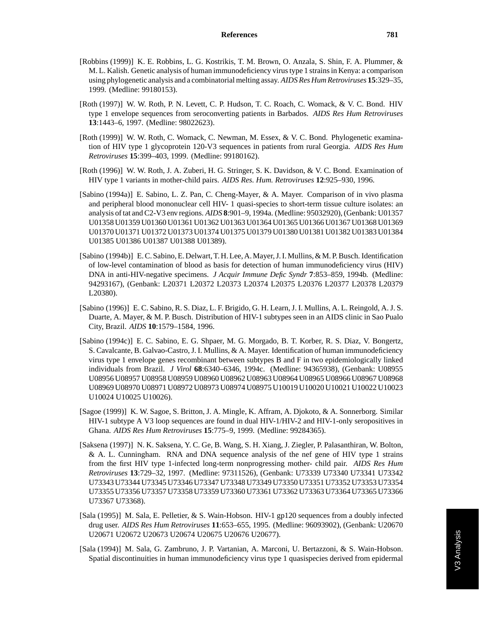- [Robbins (1999)] K. E. Robbins, L. G. Kostrikis, T. M. Brown, O. Anzala, S. Shin, F. A. Plummer, & M. L. Kalish. Genetic analysis of human immunodeficiency virus type 1 strains in Kenya: a comparison using phylogenetic analysis and a combinatorial melting assay. *AIDS Res Hum Retroviruses* **15**:329–35, 1999. (Medline: 99180153).
- [Roth (1997)] W. W. Roth, P. N. Levett, C. P. Hudson, T. C. Roach, C. Womack, & V. C. Bond. HIV type 1 envelope sequences from seroconverting patients in Barbados. *AIDS Res Hum Retroviruses* **13**:1443–6, 1997. (Medline: 98022623).
- [Roth (1999)] W. W. Roth, C. Womack, C. Newman, M. Essex, & V. C. Bond. Phylogenetic examination of HIV type 1 glycoprotein 120-V3 sequences in patients from rural Georgia. *AIDS Res Hum Retroviruses* **15**:399–403, 1999. (Medline: 99180162).
- [Roth (1996)] W. W. Roth, J. A. Zuberi, H. G. Stringer, S. K. Davidson, & V. C. Bond. Examination of HIV type 1 variants in mother-child pairs. *AIDS Res. Hum. Retroviruses* **12**:925–930, 1996.
- [Sabino (1994a)] E. Sabino, L. Z. Pan, C. Cheng-Mayer, & A. Mayer. Comparison of in vivo plasma and peripheral blood mononuclear cell HIV- 1 quasi-species to short-term tissue culture isolates: an analysis of tat and C2-V3 env regions. *AIDS* **8**:901–9, 1994a. (Medline: 95032920), (Genbank: U01357 U01358 U01359 U01360 U01361 U01362 U01363 U01364 U01365 U01366 U01367 U01368 U01369 U01370 U01371 U01372 U01373 U01374 U01375 U01379 U01380 U01381 U01382 U01383 U01384 U01385 U01386 U01387 U01388 U01389).
- [Sabino (1994b)] E. C. Sabino, E. Delwart, T. H. Lee, A. Mayer, J. I. Mullins, & M. P. Busch. Identification of low-level contamination of blood as basis for detection of human immunodeficiency virus (HIV) DNA in anti-HIV-negative specimens. *J Acquir Immune Defic Syndr* **7**:853–859, 1994b. (Medline: 94293167), (Genbank: L20371 L20372 L20373 L20374 L20375 L20376 L20377 L20378 L20379 L20380).
- [Sabino (1996)] E. C. Sabino, R. S. Diaz, L. F. Brigido, G. H. Learn, J. I. Mullins, A. L. Reingold, A. J. S. Duarte, A. Mayer, & M. P. Busch. Distribution of HIV-1 subtypes seen in an AIDS clinic in Sao Pualo City, Brazil. *AIDS* **10**:1579–1584, 1996.
- [Sabino (1994c)] E. C. Sabino, E. G. Shpaer, M. G. Morgado, B. T. Korber, R. S. Diaz, V. Bongertz, S. Cavalcante, B. Galvao-Castro, J. I. Mullins, & A. Mayer. Identification of human immunodeficiency virus type 1 envelope genes recombinant between subtypes B and F in two epidemiologically linked individuals from Brazil. *J Virol* **68**:6340–6346, 1994c. (Medline: 94365938), (Genbank: U08955 U08956 U08957 U08958 U08959 U08960 U08962 U08963 U08964 U08965 U08966 U08967 U08968 U08969 U08970 U08971 U08972 U08973 U08974 U08975 U10019 U10020 U10021 U10022 U10023 U10024 U10025 U10026).
- [Sagoe (1999)] K. W. Sagoe, S. Britton, J. A. Mingle, K. Affram, A. Djokoto, & A. Sonnerborg. Similar HIV-1 subtype A V3 loop sequences are found in dual HIV-1/HIV-2 and HIV-1-only seropositives in Ghana. *AIDS Res Hum Retroviruses* **15**:775–9, 1999. (Medline: 99284365).
- [Saksena (1997)] N. K. Saksena, Y. C. Ge, B. Wang, S. H. Xiang, J. Ziegler, P. Palasanthiran, W. Bolton, & A. L. Cunningham. RNA and DNA sequence analysis of the nef gene of HIV type 1 strains from the first HIV type 1-infected long-term nonprogressing mother- child pair. *AIDS Res Hum Retroviruses* **13**:729–32, 1997. (Medline: 97311526), (Genbank: U73339 U73340 U73341 U73342 U73343 U73344 U73345 U73346 U73347 U73348 U73349 U73350 U73351 U73352 U73353 U73354 U73355 U73356 U73357 U73358 U73359 U73360 U73361 U73362 U73363 U73364 U73365 U73366 U73367 U73368).
- [Sala (1995)] M. Sala, E. Pelletier, & S. Wain-Hobson. HIV-1 gp120 sequences from a doubly infected drug user. *AIDS Res Hum Retroviruses* **11**:653–655, 1995. (Medline: 96093902), (Genbank: U20670 U20671 U20672 U20673 U20674 U20675 U20676 U20677).
- [Sala (1994)] M. Sala, G. Zambruno, J. P. Vartanian, A. Marconi, U. Bertazzoni, & S. Wain-Hobson. Spatial discontinuities in human immunodeficiency virus type 1 quasispecies derived from epidermal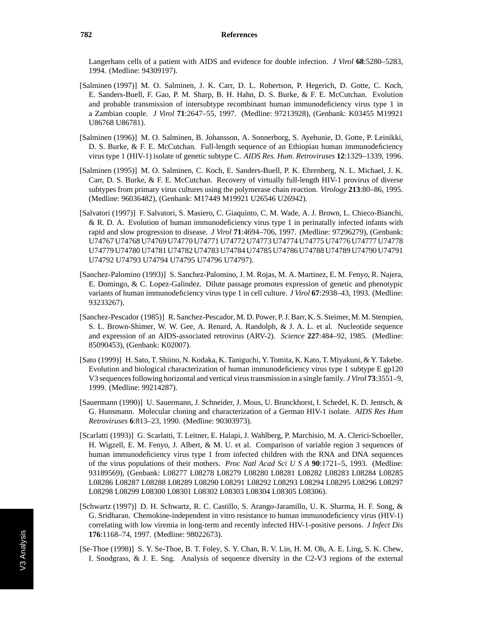Langerhans cells of a patient with AIDS and evidence for double infection. *J Virol* **68**:5280–5283, 1994. (Medline: 94309197).

- [Salminen (1997)] M. O. Salminen, J. K. Carr, D. L. Robertson, P. Hegerich, D. Gotte, C. Koch, E. Sanders-Buell, F. Gao, P. M. Sharp, B. H. Hahn, D. S. Burke, & F. E. McCutchan. Evolution and probable transmission of intersubtype recombinant human immunodeficiency virus type 1 in a Zambian couple. *J Virol* **71**:2647–55, 1997. (Medline: 97213928), (Genbank: K03455 M19921 U86768 U86781).
- [Salminen (1996)] M. O. Salminen, B. Johansson, A. Sonnerborg, S. Ayehunie, D. Gotte, P. Leinikki, D. S. Burke, & F. E. McCutchan. Full-length sequence of an Ethiopian human immunodeficiency virus type 1 (HIV-1) isolate of genetic subtype C. *AIDS Res. Hum. Retroviruses* **12**:1329–1339, 1996.
- [Salminen (1995)] M. O. Salminen, C. Koch, E. Sanders-Buell, P. K. Ehrenberg, N. L. Michael, J. K. Carr, D. S. Burke, & F. E. McCutchan. Recovery of virtually full-length HIV-1 provirus of diverse subtypes from primary virus cultures using the polymerase chain reaction. *Virology* **213**:80–86, 1995. (Medline: 96036482), (Genbank: M17449 M19921 U26546 U26942).
- [Salvatori (1997)] F. Salvatori, S. Masiero, C. Giaquinto, C. M. Wade, A. J. Brown, L. Chieco-Bianchi, & R. D. A. Evolution of human immunodeficiency virus type 1 in perinatally infected infants with rapid and slow progression to disease. *J Virol* **71**:4694–706, 1997. (Medline: 97296279), (Genbank: U74767 U74768 U74769 U74770 U74771 U74772 U74773 U74774 U74775 U74776 U74777 U74778 U74779 U74780 U74781 U74782 U74783 U74784 U74785 U74786 U74788 U74789 U74790 U74791 U74792 U74793 U74794 U74795 U74796 U74797).
- [Sanchez-Palomino (1993)] S. Sanchez-Palomino, J. M. Rojas, M. A. Martinez, E. M. Fenyo, R. Najera, E. Domingo, & C. Lopez-Galindez. Dilute passage promotes expression of genetic and phenotypic variants of human immunodeficiency virus type 1 in cell culture. *J Virol* **67**:2938–43, 1993. (Medline: 93233267).
- [Sanchez-Pescador (1985)] R. Sanchez-Pescador, M. D. Power, P. J. Barr, K. S. Steimer, M. M. Stempien, S. L. Brown-Shimer, W. W. Gee, A. Renard, A. Randolph, & J. A. L. et al. Nucleotide sequence and expression of an AIDS-associated retrovirus (ARV-2). *Science* **227**:484–92, 1985. (Medline: 85090453), (Genbank: K02007).
- [Sato (1999)] H. Sato, T. Shiino, N. Kodaka, K. Taniguchi, Y. Tomita, K. Kato, T. Miyakuni, & Y. Takebe. Evolution and biological characterization of human immunodeficiency virus type 1 subtype E gp120 V3 sequences following horizontal and vertical virus transmission in a single family. *J Virol* **73**:3551–9, 1999. (Medline: 99214287).
- [Sauermann (1990)] U. Sauermann, J. Schneider, J. Mous, U. Brunckhorst, I. Schedel, K. D. Jentsch, & G. Hunsmann. Molecular cloning and characterization of a German HIV-1 isolate. *AIDS Res Hum Retroviruses* **6**:813–23, 1990. (Medline: 90303973).
- [Scarlatti (1993)] G. Scarlatti, T. Leitner, E. Halapi, J. Wahlberg, P. Marchisio, M. A. Clerici-Schoeller, H. Wigzell, E. M. Fenyo, J. Albert, & M. U. et al. Comparison of variable region 3 sequences of human immunodeficiency virus type 1 from infected children with the RNA and DNA sequences of the virus populations of their mothers. *Proc Natl Acad Sci U S A* **90**:1721–5, 1993. (Medline: 93189569), (Genbank: L08277 L08278 L08279 L08280 L08281 L08282 L08283 L08284 L08285 L08286 L08287 L08288 L08289 L08290 L08291 L08292 L08293 L08294 L08295 L08296 L08297 L08298 L08299 L08300 L08301 L08302 L08303 L08304 L08305 L08306).
- [Schwartz (1997)] D. H. Schwartz, R. C. Castillo, S. Arango-Jaramillo, U. K. Sharma, H. F. Song, & G. Sridharan. Chemokine-independent in vitro resistance to human immunodeficiency virus (HIV-1) correlating with low viremia in long-term and recently infected HIV-1-positive persons. *J Infect Dis* **176**:1168–74, 1997. (Medline: 98022673).
- [Se-Thoe (1998)] S. Y. Se-Thoe, B. T. Foley, S. Y. Chan, R. V. Lin, H. M. Oh, A. E. Ling, S. K. Chew, I. Snodgrass, & J. E. Sng. Analysis of sequence diversity in the C2-V3 regions of the external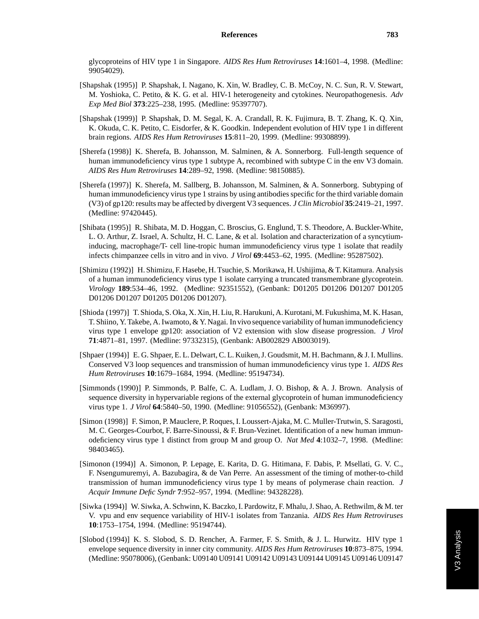glycoproteins of HIV type 1 in Singapore. *AIDS Res Hum Retroviruses* **14**:1601–4, 1998. (Medline: 99054029).

- [Shapshak (1995)] P. Shapshak, I. Nagano, K. Xin, W. Bradley, C. B. McCoy, N. C. Sun, R. V. Stewart, M. Yoshioka, C. Petito, & K. G. et al. HIV-1 heterogeneity and cytokines. Neuropathogenesis. *Adv Exp Med Biol* **373**:225–238, 1995. (Medline: 95397707).
- [Shapshak (1999)] P. Shapshak, D. M. Segal, K. A. Crandall, R. K. Fujimura, B. T. Zhang, K. Q. Xin, K. Okuda, C. K. Petito, C. Eisdorfer, & K. Goodkin. Independent evolution of HIV type 1 in different brain regions. *AIDS Res Hum Retroviruses* **15**:811–20, 1999. (Medline: 99308899).
- [Sherefa (1998)] K. Sherefa, B. Johansson, M. Salminen, & A. Sonnerborg. Full-length sequence of human immunodeficiency virus type 1 subtype A, recombined with subtype C in the env V3 domain. *AIDS Res Hum Retroviruses* **14**:289–92, 1998. (Medline: 98150885).
- [Sherefa (1997)] K. Sherefa, M. Sallberg, B. Johansson, M. Salminen, & A. Sonnerborg. Subtyping of human immunodeficiency virus type 1 strains by using antibodies specific for the third variable domain (V3) of gp120: results may be affected by divergent V3 sequences. *J Clin Microbiol* **35**:2419–21, 1997. (Medline: 97420445).
- [Shibata (1995)] R. Shibata, M. D. Hoggan, C. Broscius, G. Englund, T. S. Theodore, A. Buckler-White, L. O. Arthur, Z. Israel, A. Schultz, H. C. Lane, & et al. Isolation and characterization of a syncytiuminducing, macrophage/T- cell line-tropic human immunodeficiency virus type 1 isolate that readily infects chimpanzee cells in vitro and in vivo. *J Virol* **69**:4453–62, 1995. (Medline: 95287502).
- [Shimizu (1992)] H. Shimizu, F. Hasebe, H. Tsuchie, S. Morikawa, H. Ushijima, & T. Kitamura. Analysis of a human immunodeficiency virus type 1 isolate carrying a truncated transmembrane glycoprotein. *Virology* **189**:534–46, 1992. (Medline: 92351552), (Genbank: D01205 D01206 D01207 D01205 D01206 D01207 D01205 D01206 D01207).
- [Shioda (1997)] T. Shioda, S. Oka, X. Xin, H. Liu, R. Harukuni, A. Kurotani, M. Fukushima, M. K. Hasan, T. Shiino, Y. Takebe, A. Iwamoto, & Y. Nagai. In vivo sequence variability of human immunodeficiency virus type 1 envelope gp120: association of V2 extension with slow disease progression. *J Virol* **71**:4871–81, 1997. (Medline: 97332315), (Genbank: AB002829 AB003019).
- [Shpaer (1994)] E. G. Shpaer, E. L. Delwart, C. L. Kuiken, J. Goudsmit, M. H. Bachmann, & J. I. Mullins. Conserved V3 loop sequences and transmission of human immunodeficiency virus type 1. *AIDS Res Hum Retroviruses* **10**:1679–1684, 1994. (Medline: 95194734).
- [Simmonds (1990)] P. Simmonds, P. Balfe, C. A. Ludlam, J. O. Bishop, & A. J. Brown. Analysis of sequence diversity in hypervariable regions of the external glycoprotein of human immunodeficiency virus type 1. *J Virol* **64**:5840–50, 1990. (Medline: 91056552), (Genbank: M36997).
- [Simon (1998)] F. Simon, P. Mauclere, P. Roques, I. Loussert-Ajaka, M. C. Muller-Trutwin, S. Saragosti, M. C. Georges-Courbot, F. Barre-Sinoussi, & F. Brun-Vezinet. Identification of a new human immunodeficiency virus type 1 distinct from group M and group O. *Nat Med* **4**:1032–7, 1998. (Medline: 98403465).
- [Simonon (1994)] A. Simonon, P. Lepage, E. Karita, D. G. Hitimana, F. Dabis, P. Msellati, G. V. C., F. Nsengumuremyi, A. Bazubagira, & de Van Perre. An assessment of the timing of mother-to-child transmission of human immunodeficiency virus type 1 by means of polymerase chain reaction. *J Acquir Immune Defic Syndr* **7**:952–957, 1994. (Medline: 94328228).
- [Siwka (1994)] W. Siwka, A. Schwinn, K. Baczko, I. Pardowitz, F. Mhalu, J. Shao, A. Rethwilm, & M. ter V. vpu and env sequence variability of HIV-1 isolates from Tanzania. *AIDS Res Hum Retroviruses* **10**:1753–1754, 1994. (Medline: 95194744).
- [Slobod (1994)] K. S. Slobod, S. D. Rencher, A. Farmer, F. S. Smith, & J. L. Hurwitz. HIV type 1 envelope sequence diversity in inner city community. *AIDS Res Hum Retroviruses* **10**:873–875, 1994. (Medline: 95078006), (Genbank: U09140 U09141 U09142 U09143 U09144 U09145 U09146 U09147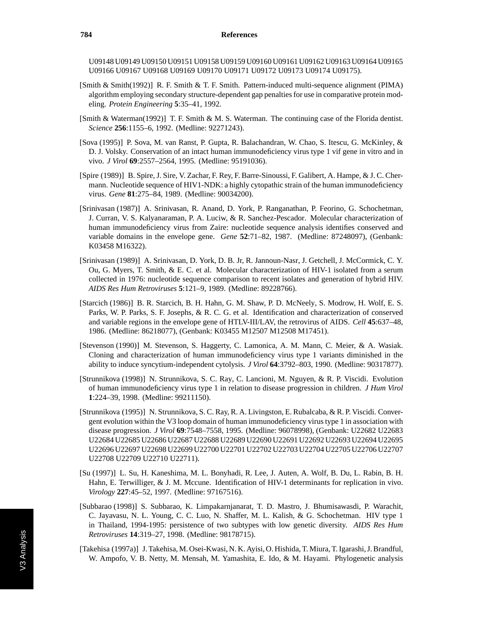U09148 U09149 U09150 U09151 U09158 U09159 U09160 U09161 U09162 U09163 U09164 U09165 U09166 U09167 U09168 U09169 U09170 U09171 U09172 U09173 U09174 U09175).

- [Smith & Smith(1992)] R. F. Smith & T. F. Smith. Pattern-induced multi-sequence alignment (PIMA) algorithm employing secondary structure-dependent gap penalties for use in comparative protein modeling. *Protein Engineering* **5**:35–41, 1992.
- [Smith & Waterman(1992)] T. F. Smith & M. S. Waterman. The continuing case of the Florida dentist. *Science* **256**:1155–6, 1992. (Medline: 92271243).
- [Sova (1995)] P. Sova, M. van Ranst, P. Gupta, R. Balachandran, W. Chao, S. Itescu, G. McKinley, & D. J. Volsky. Conservation of an intact human immunodeficiency virus type 1 vif gene in vitro and in vivo. *J Virol* **69**:2557–2564, 1995. (Medline: 95191036).
- [Spire (1989)] B. Spire, J. Sire, V. Zachar, F. Rey, F. Barre-Sinoussi, F. Galibert, A. Hampe, & J. C. Chermann. Nucleotide sequence of HIV1-NDK: a highly cytopathic strain of the human immunodeficiency virus. *Gene* **81**:275–84, 1989. (Medline: 90034200).
- [Srinivasan (1987)] A. Srinivasan, R. Anand, D. York, P. Ranganathan, P. Feorino, G. Schochetman, J. Curran, V. S. Kalyanaraman, P. A. Luciw, & R. Sanchez-Pescador. Molecular characterization of human immunodeficiency virus from Zaire: nucleotide sequence analysis identifies conserved and variable domains in the envelope gene. *Gene* **52**:71–82, 1987. (Medline: 87248097), (Genbank: K03458 M16322).
- [Srinivasan (1989)] A. Srinivasan, D. York, D. B. Jr, R. Jannoun-Nasr, J. Getchell, J. McCormick, C. Y. Ou, G. Myers, T. Smith, & E. C. et al. Molecular characterization of HIV-1 isolated from a serum collected in 1976: nucleotide sequence comparison to recent isolates and generation of hybrid HIV. *AIDS Res Hum Retroviruses* **5**:121–9, 1989. (Medline: 89228766).
- [Starcich (1986)] B. R. Starcich, B. H. Hahn, G. M. Shaw, P. D. McNeely, S. Modrow, H. Wolf, E. S. Parks, W. P. Parks, S. F. Josephs, & R. C. G. et al. Identification and characterization of conserved and variable regions in the envelope gene of HTLV-III/LAV, the retrovirus of AIDS. *Cell* **45**:637–48, 1986. (Medline: 86218077), (Genbank: K03455 M12507 M12508 M17451).
- [Stevenson (1990)] M. Stevenson, S. Haggerty, C. Lamonica, A. M. Mann, C. Meier, & A. Wasiak. Cloning and characterization of human immunodeficiency virus type 1 variants diminished in the ability to induce syncytium-independent cytolysis. *J Virol* **64**:3792–803, 1990. (Medline: 90317877).
- [Strunnikova (1998)] N. Strunnikova, S. C. Ray, C. Lancioni, M. Nguyen, & R. P. Viscidi. Evolution of human immunodeficiency virus type 1 in relation to disease progression in children. *J Hum Virol* **1**:224–39, 1998. (Medline: 99211150).
- [Strunnikova (1995)] N. Strunnikova, S. C. Ray, R. A. Livingston, E. Rubalcaba, & R. P. Viscidi. Convergent evolution within the V3 loop domain of human immunodeficiency virus type 1 in association with disease progression. *J Virol* **69**:7548–7558, 1995. (Medline: 96078998), (Genbank: U22682 U22683 U22684 U22685 U22686 U22687 U22688 U22689 U22690 U22691 U22692 U22693 U22694 U22695 U22696 U22697 U22698 U22699 U22700 U22701 U22702 U22703 U22704 U22705 U22706 U22707 U22708 U22709 U22710 U22711).
- [Su (1997)] L. Su, H. Kaneshima, M. L. Bonyhadi, R. Lee, J. Auten, A. Wolf, B. Du, L. Rabin, B. H. Hahn, E. Terwilliger, & J. M. Mccune. Identification of HIV-1 determinants for replication in vivo. *Virology* **227**:45–52, 1997. (Medline: 97167516).
- [Subbarao (1998)] S. Subbarao, K. Limpakarnjanarat, T. D. Mastro, J. Bhumisawasdi, P. Warachit, C. Jayavasu, N. L. Young, C. C. Luo, N. Shaffer, M. L. Kalish, & G. Schochetman. HIV type 1 in Thailand, 1994-1995: persistence of two subtypes with low genetic diversity. *AIDS Res Hum Retroviruses* **14**:319–27, 1998. (Medline: 98178715).
- [Takehisa (1997a)] J. Takehisa, M. Osei-Kwasi, N. K. Ayisi, O. Hishida, T. Miura, T. Igarashi, J. Brandful, W. Ampofo, V. B. Netty, M. Mensah, M. Yamashita, E. Ido, & M. Hayami. Phylogenetic analysis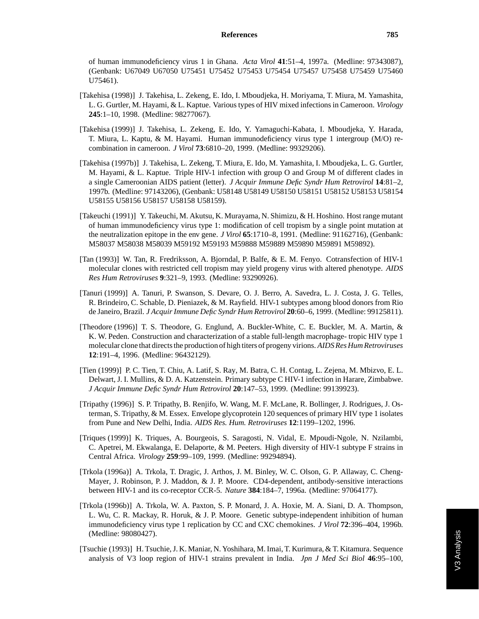of human immunodeficiency virus 1 in Ghana. *Acta Virol* **41**:51–4, 1997a. (Medline: 97343087), (Genbank: U67049 U67050 U75451 U75452 U75453 U75454 U75457 U75458 U75459 U75460 U75461).

- [Takehisa (1998)] J. Takehisa, L. Zekeng, E. Ido, I. Mboudjeka, H. Moriyama, T. Miura, M. Yamashita, L. G. Gurtler, M. Hayami, & L. Kaptue. Various types of HIV mixed infections in Cameroon. *Virology* **245**:1–10, 1998. (Medline: 98277067).
- [Takehisa (1999)] J. Takehisa, L. Zekeng, E. Ido, Y. Yamaguchi-Kabata, I. Mboudjeka, Y. Harada, T. Miura, L. Kaptu, & M. Hayami. Human immunodeficiency virus type 1 intergroup (M/O) recombination in cameroon. *J Virol* **73**:6810–20, 1999. (Medline: 99329206).
- [Takehisa (1997b)] J. Takehisa, L. Zekeng, T. Miura, E. Ido, M. Yamashita, I. Mboudjeka, L. G. Gurtler, M. Hayami, & L. Kaptue. Triple HIV-1 infection with group O and Group M of different clades in a single Cameroonian AIDS patient (letter). *J Acquir Immune Defic Syndr Hum Retrovirol* **14**:81–2, 1997b. (Medline: 97143206), (Genbank: U58148 U58149 U58150 U58151 U58152 U58153 U58154 U58155 U58156 U58157 U58158 U58159).
- [Takeuchi (1991)] Y. Takeuchi, M. Akutsu, K. Murayama, N. Shimizu, & H. Hoshino. Host range mutant of human immunodeficiency virus type 1: modification of cell tropism by a single point mutation at the neutralization epitope in the env gene. *J Virol* **65**:1710–8, 1991. (Medline: 91162716), (Genbank: M58037 M58038 M58039 M59192 M59193 M59888 M59889 M59890 M59891 M59892).
- [Tan (1993)] W. Tan, R. Fredriksson, A. Bjorndal, P. Balfe, & E. M. Fenyo. Cotransfection of HIV-1 molecular clones with restricted cell tropism may yield progeny virus with altered phenotype. *AIDS Res Hum Retroviruses* **9**:321–9, 1993. (Medline: 93290926).
- [Tanuri (1999)] A. Tanuri, P. Swanson, S. Devare, O. J. Berro, A. Savedra, L. J. Costa, J. G. Telles, R. Brindeiro, C. Schable, D. Pieniazek, & M. Rayfield. HIV-1 subtypes among blood donors from Rio de Janeiro, Brazil. *J Acquir Immune Defic Syndr Hum Retrovirol* **20**:60–6, 1999. (Medline: 99125811).
- [Theodore (1996)] T. S. Theodore, G. Englund, A. Buckler-White, C. E. Buckler, M. A. Martin, & K. W. Peden. Construction and characterization of a stable full-length macrophage- tropic HIV type 1 molecular clone that directs the production of high titers of progeny virions. *AIDS Res Hum Retroviruses* **12**:191–4, 1996. (Medline: 96432129).
- [Tien (1999)] P. C. Tien, T. Chiu, A. Latif, S. Ray, M. Batra, C. H. Contag, L. Zejena, M. Mbizvo, E. L. Delwart, J. I. Mullins, & D. A. Katzenstein. Primary subtype C HIV-1 infection in Harare, Zimbabwe. *J Acquir Immune Defic Syndr Hum Retrovirol* **20**:147–53, 1999. (Medline: 99139923).
- [Tripathy (1996)] S. P. Tripathy, B. Renjifo, W. Wang, M. F. McLane, R. Bollinger, J. Rodrigues, J. Osterman, S. Tripathy, & M. Essex. Envelope glycoprotein 120 sequences of primary HIV type 1 isolates from Pune and New Delhi, India. *AIDS Res. Hum. Retroviruses* **12**:1199–1202, 1996.
- [Triques (1999)] K. Triques, A. Bourgeois, S. Saragosti, N. Vidal, E. Mpoudi-Ngole, N. Nzilambi, C. Apetrei, M. Ekwalanga, E. Delaporte, & M. Peeters. High diversity of HIV-1 subtype F strains in Central Africa. *Virology* **259**:99–109, 1999. (Medline: 99294894).
- [Trkola (1996a)] A. Trkola, T. Dragic, J. Arthos, J. M. Binley, W. C. Olson, G. P. Allaway, C. Cheng-Mayer, J. Robinson, P. J. Maddon, & J. P. Moore. CD4-dependent, antibody-sensitive interactions between HIV-1 and its co-receptor CCR-5. *Nature* **384**:184–7, 1996a. (Medline: 97064177).
- [Trkola (1996b)] A. Trkola, W. A. Paxton, S. P. Monard, J. A. Hoxie, M. A. Siani, D. A. Thompson, L. Wu, C. R. Mackay, R. Horuk, & J. P. Moore. Genetic subtype-independent inhibition of human immunodeficiency virus type 1 replication by CC and CXC chemokines. *J Virol* **72**:396–404, 1996b. (Medline: 98080427).
- [Tsuchie (1993)] H. Tsuchie, J. K. Maniar, N. Yoshihara, M. Imai, T. Kurimura, & T. Kitamura. Sequence analysis of V3 loop region of HIV-1 strains prevalent in India. *Jpn J Med Sci Biol* **46**:95–100,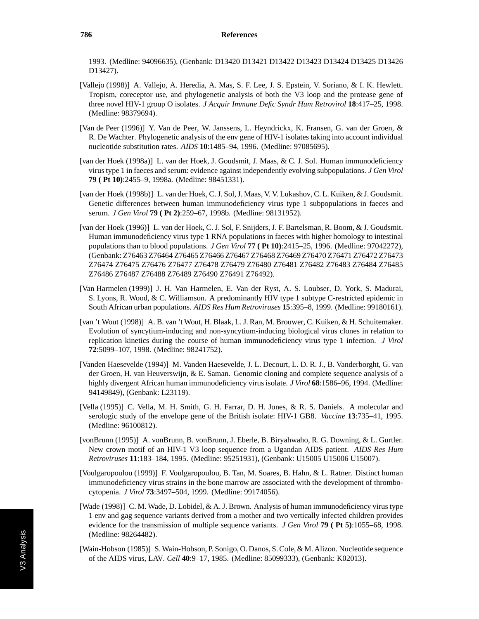1993. (Medline: 94096635), (Genbank: D13420 D13421 D13422 D13423 D13424 D13425 D13426 D13427).

- [Vallejo (1998)] A. Vallejo, A. Heredia, A. Mas, S. F. Lee, J. S. Epstein, V. Soriano, & I. K. Hewlett. Tropism, coreceptor use, and phylogenetic analysis of both the V3 loop and the protease gene of three novel HIV-1 group O isolates. *J Acquir Immune Defic Syndr Hum Retrovirol* **18**:417–25, 1998. (Medline: 98379694).
- [Van de Peer (1996)] Y. Van de Peer, W. Janssens, L. Heyndrickx, K. Fransen, G. van der Groen, & R. De Wachter. Phylogenetic analysis of the env gene of HIV-1 isolates taking into account individual nucleotide substitution rates. *AIDS* **10**:1485–94, 1996. (Medline: 97085695).
- [van der Hoek (1998a)] L. van der Hoek, J. Goudsmit, J. Maas, & C. J. Sol. Human immunodeficiency virus type 1 in faeces and serum: evidence against independently evolving subpopulations. *J Gen Virol* **79 ( Pt 10)**:2455–9, 1998a. (Medline: 98451331).
- [van der Hoek (1998b)] L. van der Hoek, C. J. Sol, J. Maas, V. V. Lukashov, C. L. Kuiken, & J. Goudsmit. Genetic differences between human immunodeficiency virus type 1 subpopulations in faeces and serum. *J Gen Virol* **79 ( Pt 2)**:259–67, 1998b. (Medline: 98131952).
- [van der Hoek (1996)] L. van der Hoek, C. J. Sol, F. Snijders, J. F. Bartelsman, R. Boom, & J. Goudsmit. Human immunodeficiency virus type 1 RNA populations in faeces with higher homology to intestinal populations than to blood populations. *J Gen Virol* **77 ( Pt 10)**:2415–25, 1996. (Medline: 97042272), (Genbank: Z76463 Z76464 Z76465 Z76466 Z76467 Z76468 Z76469 Z76470 Z76471 Z76472 Z76473 Z76474 Z76475 Z76476 Z76477 Z76478 Z76479 Z76480 Z76481 Z76482 Z76483 Z76484 Z76485 Z76486 Z76487 Z76488 Z76489 Z76490 Z76491 Z76492).
- [Van Harmelen (1999)] J. H. Van Harmelen, E. Van der Ryst, A. S. Loubser, D. York, S. Madurai, S. Lyons, R. Wood, & C. Williamson. A predominantly HIV type 1 subtype C-restricted epidemic in South African urban populations. *AIDS Res Hum Retroviruses* **15**:395–8, 1999. (Medline: 99180161).
- [van 't Wout (1998)] A. B. van 't Wout, H. Blaak, L. J. Ran, M. Brouwer, C. Kuiken, & H. Schuitemaker. Evolution of syncytium-inducing and non-syncytium-inducing biological virus clones in relation to replication kinetics during the course of human immunodeficiency virus type 1 infection. *J Virol* **72**:5099–107, 1998. (Medline: 98241752).
- [Vanden Haesevelde (1994)] M. Vanden Haesevelde, J. L. Decourt, L. D. R. J., B. Vanderborght, G. van der Groen, H. van Heuverswijn, & E. Saman. Genomic cloning and complete sequence analysis of a highly divergent African human immunodeficiency virus isolate. *J Virol* **68**:1586–96, 1994. (Medline: 94149849), (Genbank: L23119).
- [Vella (1995)] C. Vella, M. H. Smith, G. H. Farrar, D. H. Jones, & R. S. Daniels. A molecular and serologic study of the envelope gene of the British isolate: HIV-1 GB8. *Vaccine* **13**:735–41, 1995. (Medline: 96100812).
- [vonBrunn (1995)] A. vonBrunn, B. vonBrunn, J. Eberle, B. Biryahwaho, R. G. Downing, & L. Gurtler. New crown motif of an HIV-1 V3 loop sequence from a Ugandan AIDS patient. *AIDS Res Hum Retroviruses* **11**:183–184, 1995. (Medline: 95251931), (Genbank: U15005 U15006 U15007).
- [Voulgaropoulou (1999)] F. Voulgaropoulou, B. Tan, M. Soares, B. Hahn, & L. Ratner. Distinct human immunodeficiency virus strains in the bone marrow are associated with the development of thrombocytopenia. *J Virol* **73**:3497–504, 1999. (Medline: 99174056).
- [Wade (1998)] C. M. Wade, D. Lobidel, & A. J. Brown. Analysis of human immunodeficiency virus type 1 env and gag sequence variants derived from a mother and two vertically infected children provides evidence for the transmission of multiple sequence variants. *J Gen Virol* **79 ( Pt 5)**:1055–68, 1998. (Medline: 98264482).
- [Wain-Hobson (1985)] S. Wain-Hobson, P. Sonigo, O. Danos, S. Cole, & M. Alizon. Nucleotide sequence of the AIDS virus, LAV. *Cell* **40**:9–17, 1985. (Medline: 85099333), (Genbank: K02013).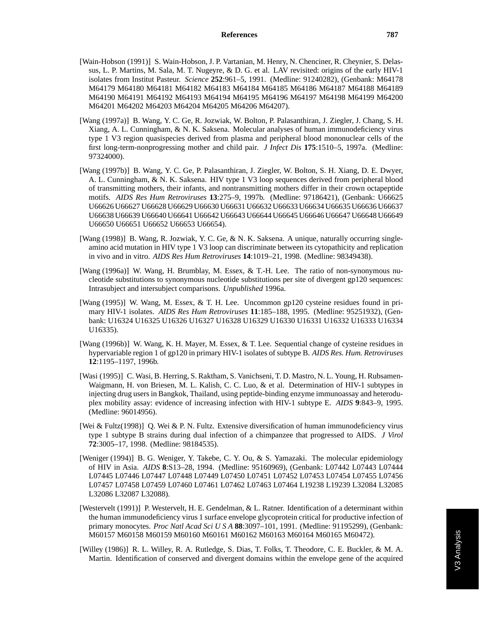- [Wain-Hobson (1991)] S. Wain-Hobson, J. P. Vartanian, M. Henry, N. Chenciner, R. Cheynier, S. Delassus, L. P. Martins, M. Sala, M. T. Nugeyre, & D. G. et al. LAV revisited: origins of the early HIV-1 isolates from Institut Pasteur. *Science* **252**:961–5, 1991. (Medline: 91240282), (Genbank: M64178 M64179 M64180 M64181 M64182 M64183 M64184 M64185 M64186 M64187 M64188 M64189 M64190 M64191 M64192 M64193 M64194 M64195 M64196 M64197 M64198 M64199 M64200 M64201 M64202 M64203 M64204 M64205 M64206 M64207).
- [Wang (1997a)] B. Wang, Y. C. Ge, R. Jozwiak, W. Bolton, P. Palasanthiran, J. Ziegler, J. Chang, S. H. Xiang, A. L. Cunningham, & N. K. Saksena. Molecular analyses of human immunodeficiency virus type 1 V3 region quasispecies derived from plasma and peripheral blood mononuclear cells of the first long-term-nonprogressing mother and child pair. *J Infect Dis* **175**:1510–5, 1997a. (Medline: 97324000).
- [Wang (1997b)] B. Wang, Y. C. Ge, P. Palasanthiran, J. Ziegler, W. Bolton, S. H. Xiang, D. E. Dwyer, A. L. Cunningham, & N. K. Saksena. HIV type 1 V3 loop sequences derived from peripheral blood of transmitting mothers, their infants, and nontransmitting mothers differ in their crown octapeptide motifs. *AIDS Res Hum Retroviruses* **13**:275–9, 1997b. (Medline: 97186421), (Genbank: U66625 U66626 U66627 U66628 U66629 U66630 U66631 U66632 U66633 U66634 U66635 U66636 U66637 U66638 U66639 U66640 U66641 U66642 U66643 U66644 U66645 U66646 U66647 U66648 U66649 U66650 U66651 U66652 U66653 U66654).
- [Wang (1998)] B. Wang, R. Jozwiak, Y. C. Ge, & N. K. Saksena. A unique, naturally occurring singleamino acid mutation in HIV type 1 V3 loop can discriminate between its cytopathicity and replication in vivo and in vitro. *AIDS Res Hum Retroviruses* **14**:1019–21, 1998. (Medline: 98349438).
- [Wang (1996a)] W. Wang, H. Brumblay, M. Essex, & T.-H. Lee. The ratio of non-synonymous nucleotide substitutions to synonymous nucleotide substitutions per site of divergent gp120 sequences: Intrasubject and intersubject comparisons. *Unpublished* 1996a.
- [Wang (1995)] W. Wang, M. Essex, & T. H. Lee. Uncommon gp120 cysteine residues found in primary HIV-1 isolates. *AIDS Res Hum Retroviruses* **11**:185–188, 1995. (Medline: 95251932), (Genbank: U16324 U16325 U16326 U16327 U16328 U16329 U16330 U16331 U16332 U16333 U16334 U16335).
- [Wang (1996b)] W. Wang, K. H. Mayer, M. Essex, & T. Lee. Sequential change of cysteine residues in hypervariable region 1 of gp120 in primary HIV-1 isolates of subtype B. *AIDS Res. Hum. Retroviruses* **12**:1195–1197, 1996b.
- [Wasi (1995)] C. Wasi, B. Herring, S. Raktham, S. Vanichseni, T. D. Mastro, N. L. Young, H. Rubsamen-Waigmann, H. von Briesen, M. L. Kalish, C. C. Luo, & et al. Determination of HIV-1 subtypes in injecting drug users in Bangkok, Thailand, using peptide-binding enzyme immunoassay and heteroduplex mobility assay: evidence of increasing infection with HIV-1 subtype E. *AIDS* **9**:843–9, 1995. (Medline: 96014956).
- [Wei & Fultz(1998)] Q. Wei & P. N. Fultz. Extensive diversification of human immunodeficiency virus type 1 subtype B strains during dual infection of a chimpanzee that progressed to AIDS. *J Virol* **72**:3005–17, 1998. (Medline: 98184535).
- [Weniger (1994)] B. G. Weniger, Y. Takebe, C. Y. Ou, & S. Yamazaki. The molecular epidemiology of HIV in Asia. *AIDS* **8**:S13–28, 1994. (Medline: 95160969), (Genbank: L07442 L07443 L07444 L07445 L07446 L07447 L07448 L07449 L07450 L07451 L07452 L07453 L07454 L07455 L07456 L07457 L07458 L07459 L07460 L07461 L07462 L07463 L07464 L19238 L19239 L32084 L32085 L32086 L32087 L32088).
- [Westervelt (1991)] P. Westervelt, H. E. Gendelman, & L. Ratner. Identification of a determinant within the human immunodeficiency virus 1 surface envelope glycoprotein critical for productive infection of primary monocytes. *Proc Natl Acad SciUSA* **88**:3097–101, 1991. (Medline: 91195299), (Genbank: M60157 M60158 M60159 M60160 M60161 M60162 M60163 M60164 M60165 M60472).
- [Willey (1986)] R. L. Willey, R. A. Rutledge, S. Dias, T. Folks, T. Theodore, C. E. Buckler, & M. A. Martin. Identification of conserved and divergent domains within the envelope gene of the acquired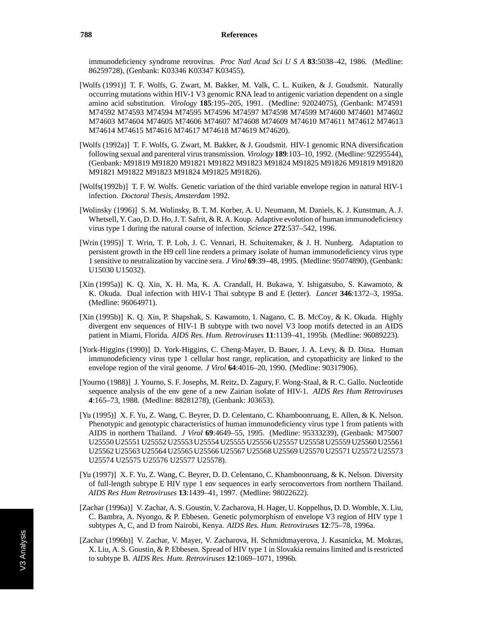immunodeficiency syndrome retrovirus. *Proc Natl Acad SciUSA* **83**:5038–42, 1986. (Medline: 86259728), (Genbank: K03346 K03347 K03455).

- [Wolfs (1991)] T. F. Wolfs, G. Zwart, M. Bakker, M. Valk, C. L. Kuiken, & J. Goudsmit. Naturally occurring mutations within HIV-1 V3 genomic RNA lead to antigenic variation dependent on a single amino acid substitution. *Virology* **185**:195–205, 1991. (Medline: 92024075), (Genbank: M74591 M74592 M74593 M74594 M74595 M74596 M74597 M74598 M74599 M74600 M74601 M74602 M74603 M74604 M74605 M74606 M74607 M74608 M74609 M74610 M74611 M74612 M74613 M74614 M74615 M74616 M74617 M74618 M74619 M74620).
- [Wolfs (1992a)] T. F. Wolfs, G. Zwart, M. Bakker, & J. Goudsmit. HIV-1 genomic RNA diversification following sexual and parenteral virus transmission. *Virology* **189**:103–10, 1992. (Medline: 92295544), (Genbank: M91819 M91820 M91821 M91822 M91823 M91824 M91825 M91826 M91819 M91820 M91821 M91822 M91823 M91824 M91825 M91826).
- [Wolfs(1992b)] T. F. W. Wolfs. Genetic variation of the third variable envelope region in natural HIV-1 infection. *Doctoral Thesis, Amsterdam* 1992.
- [Wolinsky (1996)] S. M. Wolinsky, B. T. M. Korber, A. U. Neumann, M. Daniels, K. J. Kunstman, A. J. Whetsell, Y. Cao, D. D. Ho, J. T. Safrit, & R. A. Koup. Adaptive evolution of human immunodeficiency virus type 1 during the natural course of infection. *Science* **272**:537–542, 1996.
- [Wrin (1995)] T. Wrin, T. P. Loh, J. C. Vennari, H. Schuitemaker, & J. H. Nunberg. Adaptation to persistent growth in the H9 cell line renders a primary isolate of human immunodeficiency virus type 1 sensitive to neutralization by vaccine sera. *J Virol* **69**:39–48, 1995. (Medline: 95074890), (Genbank: U15030 U15032).
- [Xin (1995a)] K. Q. Xin, X. H. Ma, K. A. Crandall, H. Bukawa, Y. Ishigatsubo, S. Kawamoto, & K. Okuda. Dual infection with HIV-1 Thai subtype B and E (letter). *Lancet* **346**:1372–3, 1995a. (Medline: 96064971).
- [Xin (1995b)] K. Q. Xin, P. Shapshak, S. Kawamoto, I. Nagano, C. B. McCoy, & K. Okuda. Highly divergent env sequences of HIV-1 B subtype with two novel V3 loop motifs detected in an AIDS patient in Miami, Florida. *AIDS Res. Hum. Retroviruses* **11**:1139–41, 1995b. (Medline: 96089223).
- [York-Higgins (1990)] D. York-Higgins, C. Cheng-Mayer, D. Bauer, J. A. Levy, & D. Dina. Human immunodeficiency virus type 1 cellular host range, replication, and cytopathicity are linked to the envelope region of the viral genome. *J Virol* **64**:4016–20, 1990. (Medline: 90317906).
- [Yourno (1988)] J. Yourno, S. F. Josephs, M. Reitz, D. Zagury, F. Wong-Staal, & R. C. Gallo. Nucleotide sequence analysis of the env gene of a new Zairian isolate of HIV-1. *AIDS Res Hum Retroviruses* **4**:165–73, 1988. (Medline: 88281278), (Genbank: J03653).
- [Yu (1995)] X. F. Yu, Z. Wang, C. Beyrer, D. D. Celentano, C. Khamboonruang, E. Allen, & K. Nelson. Phenotypic and genotypic characteristics of human immunodeficiency virus type 1 from patients with AIDS in northern Thailand. *J Virol* **69**:4649–55, 1995. (Medline: 95333239), (Genbank: M75007 U25550 U25551 U25552 U25553 U25554 U25555 U25556 U25557 U25558 U25559 U25560 U25561 U25562 U25563 U25564 U25565 U25566 U25567 U25568 U25569 U25570 U25571 U25572 U25573 U25574 U25575 U25576 U25577 U25578).
- [Yu (1997)] X. F. Yu, Z. Wang, C. Beyrer, D. D. Celentano, C. Khamboonruang, & K. Nelson. Diversity of full-length subtype E HIV type 1 env sequences in early seroconvertors from northern Thailand. *AIDS Res Hum Retroviruses* **13**:1439–41, 1997. (Medline: 98022622).
- [Zachar (1996a)] V. Zachar, A. S. Goustin, V. Zacharova, H. Hager, U. Koppelhus, D. D. Womble, X. Liu, C. Bambra, A. Nyongo, & P. Ebbesen. Genetic polymorphism of envelope V3 region of HIV type 1 subtypes A, C, and D from Nairobi, Kenya. *AIDS Res. Hum. Retroviruses* **12**:75–78, 1996a.
- [Zachar (1996b)] V. Zachar, V. Mayer, V. Zacharova, H. Schmidtmayerova, J. Kasanicka, M. Mokras, X. Liu, A. S. Goustin, & P. Ebbesen. Spread of HIV type 1 in Slovakia remains limited and is restricted to subtype B. *AIDS Res. Hum. Retroviruses* **12**:1069–1071, 1996b.